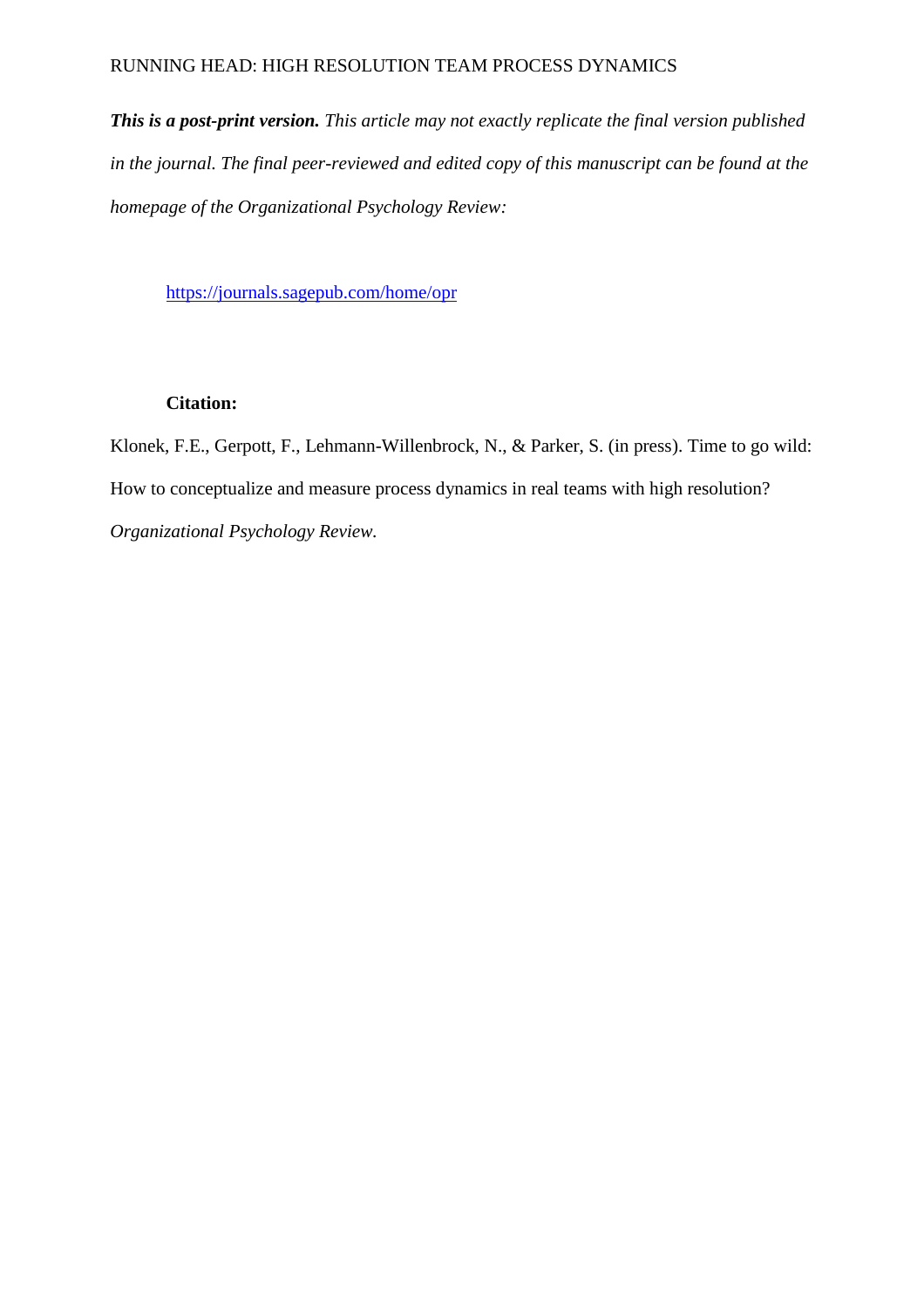## RUNNING HEAD: HIGH RESOLUTION TEAM PROCESS DYNAMICS

*This is a post-print version. This article may not exactly replicate the final version published in the journal. The final peer-reviewed and edited copy of this manuscript can be found at the homepage of the Organizational Psychology Review:*

<https://journals.sagepub.com/home/opr>

## **Citation:**

Klonek, F.E., Gerpott, F., Lehmann-Willenbrock, N., & Parker, S. (in press). Time to go wild: How to conceptualize and measure process dynamics in real teams with high resolution? *Organizational Psychology Review.*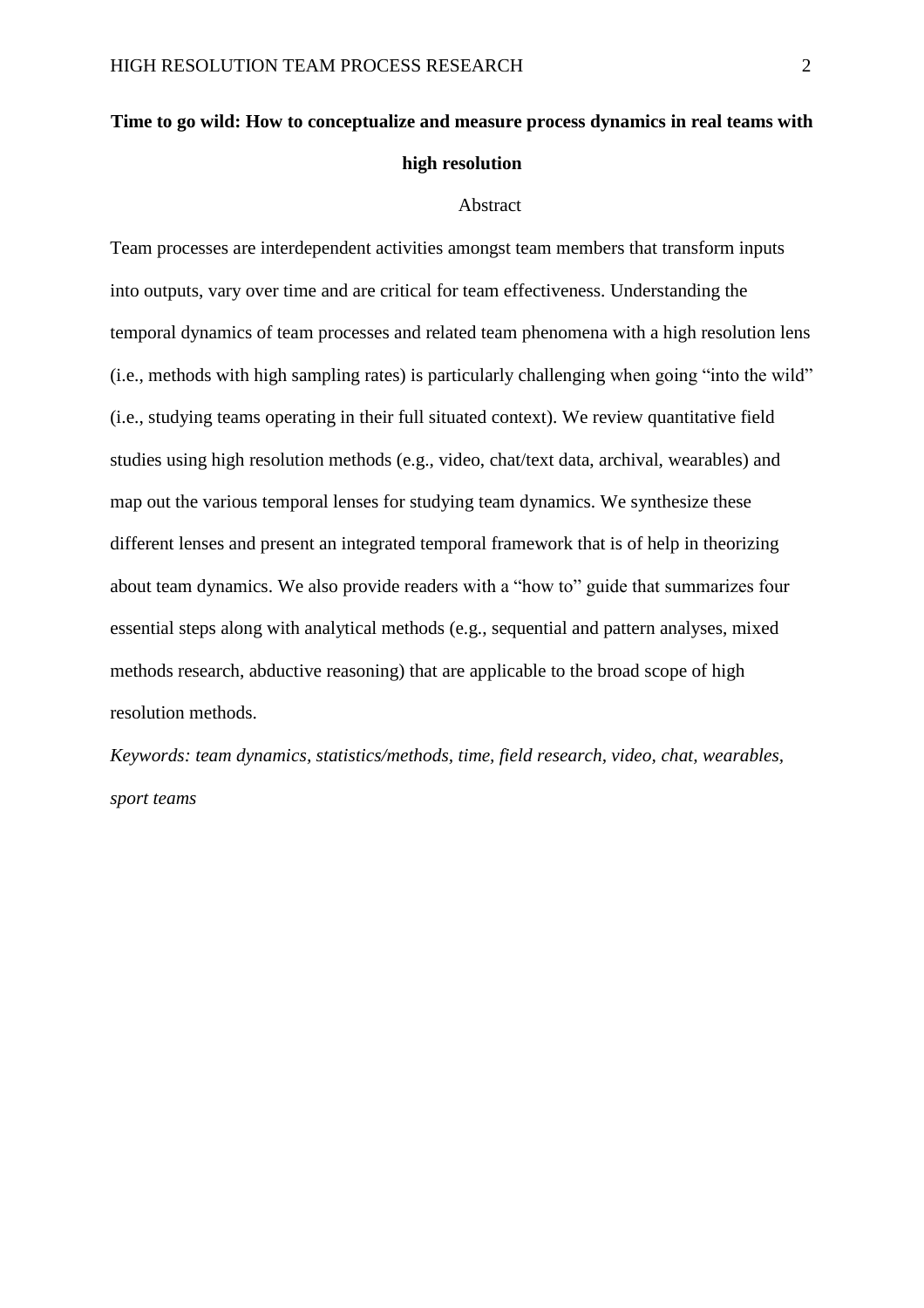# **Time to go wild: How to conceptualize and measure process dynamics in real teams with high resolution**

#### Abstract

Team processes are interdependent activities amongst team members that transform inputs into outputs, vary over time and are critical for team effectiveness. Understanding the temporal dynamics of team processes and related team phenomena with a high resolution lens (i.e., methods with high sampling rates) is particularly challenging when going "into the wild" (i.e., studying teams operating in their full situated context). We review quantitative field studies using high resolution methods (e.g., video, chat/text data, archival, wearables) and map out the various temporal lenses for studying team dynamics. We synthesize these different lenses and present an integrated temporal framework that is of help in theorizing about team dynamics. We also provide readers with a "how to" guide that summarizes four essential steps along with analytical methods (e.g., sequential and pattern analyses, mixed methods research, abductive reasoning) that are applicable to the broad scope of high resolution methods.

*Keywords: team dynamics, statistics/methods, time, field research, video, chat, wearables, sport teams*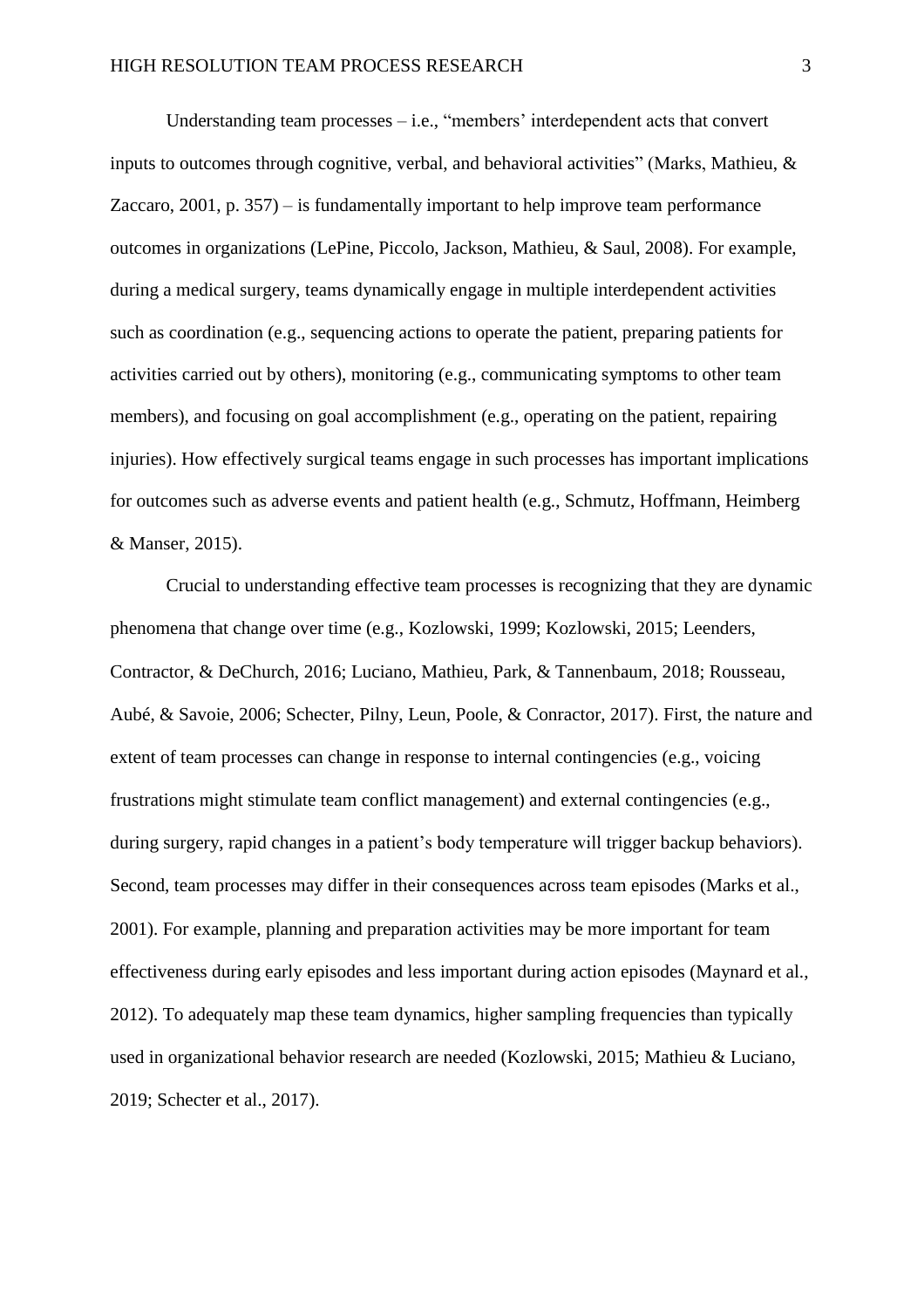Understanding team processes – i.e., "members' interdependent acts that convert inputs to outcomes through cognitive, verbal, and behavioral activities" (Marks, Mathieu, & Zaccaro, 2001, p. 357) – is fundamentally important to help improve team performance outcomes in organizations (LePine, Piccolo, Jackson, Mathieu, & Saul, 2008). For example, during a medical surgery, teams dynamically engage in multiple interdependent activities such as coordination (e.g., sequencing actions to operate the patient, preparing patients for activities carried out by others), monitoring (e.g., communicating symptoms to other team members), and focusing on goal accomplishment (e.g., operating on the patient, repairing injuries). How effectively surgical teams engage in such processes has important implications for outcomes such as adverse events and patient health (e.g., Schmutz, Hoffmann, Heimberg & Manser, 2015).

Crucial to understanding effective team processes is recognizing that they are dynamic phenomena that change over time (e.g., Kozlowski, 1999; Kozlowski, 2015; Leenders, Contractor, & DeChurch, 2016; Luciano, Mathieu, Park, & Tannenbaum, 2018; Rousseau, Aubé, & Savoie, 2006; Schecter, Pilny, Leun, Poole, & Conractor, 2017). First, the nature and extent of team processes can change in response to internal contingencies (e.g., voicing frustrations might stimulate team conflict management) and external contingencies (e.g., during surgery, rapid changes in a patient's body temperature will trigger backup behaviors). Second, team processes may differ in their consequences across team episodes (Marks et al., 2001). For example, planning and preparation activities may be more important for team effectiveness during early episodes and less important during action episodes (Maynard et al., 2012). To adequately map these team dynamics, higher sampling frequencies than typically used in organizational behavior research are needed (Kozlowski, 2015; Mathieu & Luciano, 2019; Schecter et al., 2017).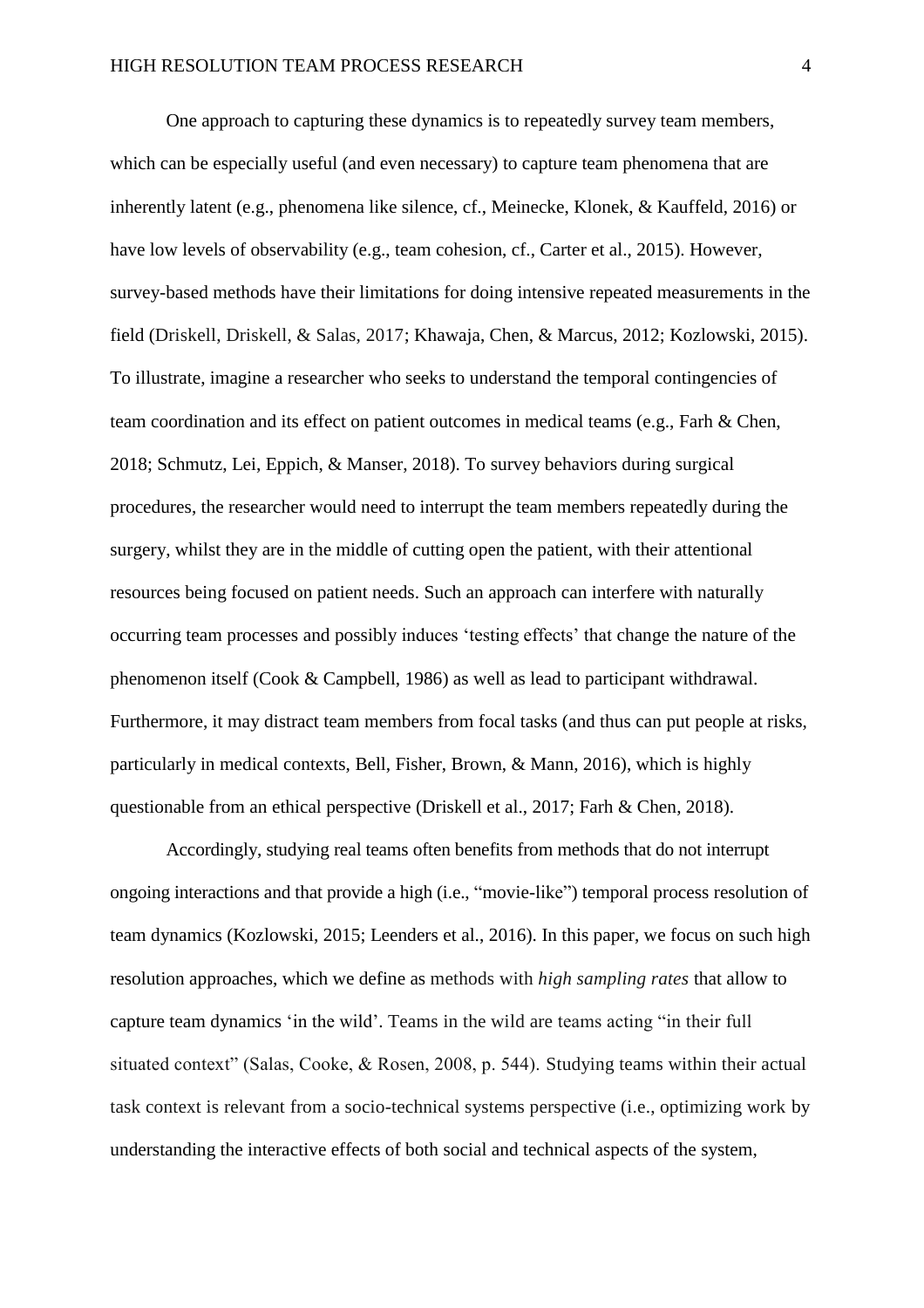One approach to capturing these dynamics is to repeatedly survey team members, which can be especially useful (and even necessary) to capture team phenomena that are inherently latent (e.g., phenomena like silence, cf., Meinecke, Klonek, & Kauffeld, 2016) or have low levels of observability (e.g., team cohesion, cf., Carter et al., 2015). However, survey-based methods have their limitations for doing intensive repeated measurements in the field (Driskell, Driskell, & Salas, 2017; Khawaja, Chen, & Marcus, 2012; Kozlowski, 2015). To illustrate, imagine a researcher who seeks to understand the temporal contingencies of team coordination and its effect on patient outcomes in medical teams (e.g., Farh & Chen, 2018; Schmutz, Lei, Eppich, & Manser, 2018). To survey behaviors during surgical procedures, the researcher would need to interrupt the team members repeatedly during the surgery, whilst they are in the middle of cutting open the patient, with their attentional resources being focused on patient needs. Such an approach can interfere with naturally occurring team processes and possibly induces 'testing effects' that change the nature of the phenomenon itself (Cook & Campbell, 1986) as well as lead to participant withdrawal. Furthermore, it may distract team members from focal tasks (and thus can put people at risks, particularly in medical contexts, Bell, Fisher, Brown, & Mann, 2016), which is highly questionable from an ethical perspective (Driskell et al., 2017; Farh & Chen, 2018).

Accordingly, studying real teams often benefits from methods that do not interrupt ongoing interactions and that provide a high (i.e., "movie-like") temporal process resolution of team dynamics (Kozlowski, 2015; Leenders et al., 2016). In this paper, we focus on such high resolution approaches, which we define as methods with *high sampling rates* that allow to capture team dynamics 'in the wild'. Teams in the wild are teams acting "in their full situated context" (Salas, Cooke, & Rosen, 2008, p. 544). Studying teams within their actual task context is relevant from a socio-technical systems perspective (i.e., optimizing work by understanding the interactive effects of both social and technical aspects of the system,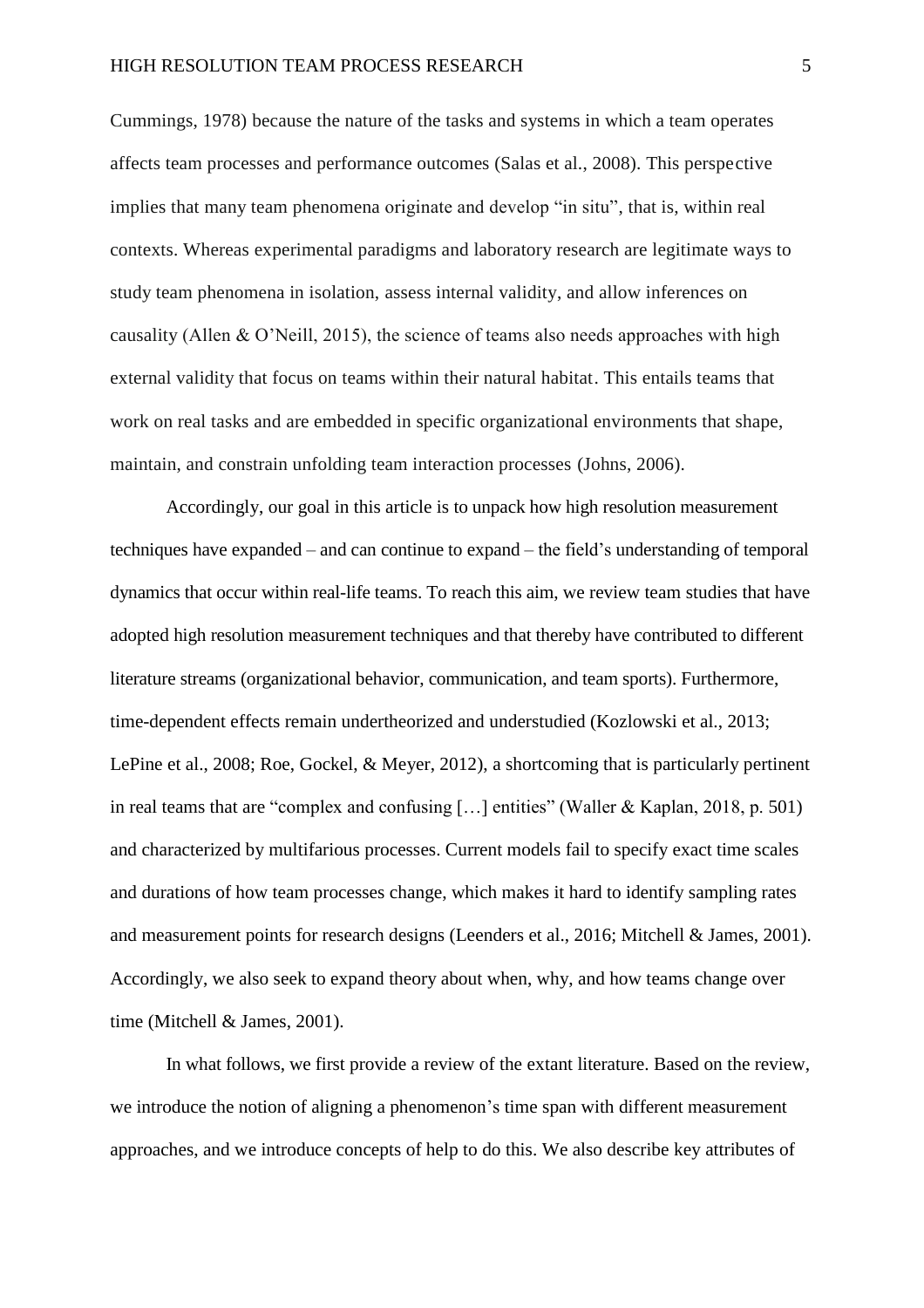Cummings, 1978) because the nature of the tasks and systems in which a team operates affects team processes and performance outcomes (Salas et al., 2008). This perspective implies that many team phenomena originate and develop "in situ", that is, within real contexts. Whereas experimental paradigms and laboratory research are legitimate ways to study team phenomena in isolation, assess internal validity, and allow inferences on causality (Allen & O'Neill, 2015), the science of teams also needs approaches with high external validity that focus on teams within their natural habitat. This entails teams that work on real tasks and are embedded in specific organizational environments that shape, maintain, and constrain unfolding team interaction processes (Johns, 2006).

Accordingly, our goal in this article is to unpack how high resolution measurement techniques have expanded – and can continue to expand – the field's understanding of temporal dynamics that occur within real-life teams. To reach this aim, we review team studies that have adopted high resolution measurement techniques and that thereby have contributed to different literature streams (organizational behavior, communication, and team sports). Furthermore, time-dependent effects remain undertheorized and understudied (Kozlowski et al., 2013; LePine et al., 2008; Roe, Gockel, & Meyer, 2012), a shortcoming that is particularly pertinent in real teams that are "complex and confusing […] entities" (Waller & Kaplan, 2018, p. 501) and characterized by multifarious processes. Current models fail to specify exact time scales and durations of how team processes change, which makes it hard to identify sampling rates and measurement points for research designs (Leenders et al., 2016; Mitchell & James, 2001). Accordingly, we also seek to expand theory about when, why, and how teams change over time (Mitchell & James, 2001).

In what follows, we first provide a review of the extant literature. Based on the review, we introduce the notion of aligning a phenomenon's time span with different measurement approaches, and we introduce concepts of help to do this. We also describe key attributes of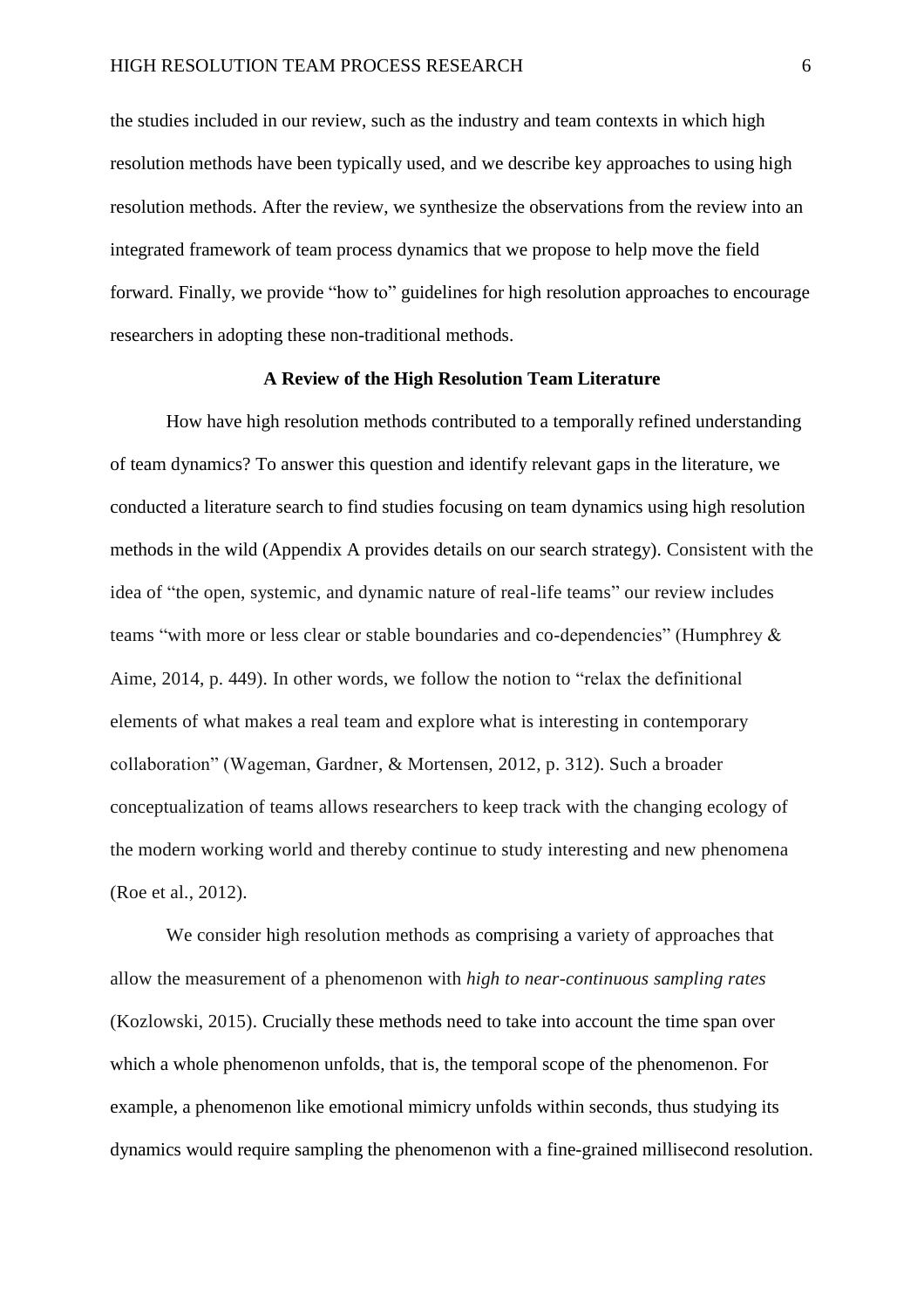the studies included in our review, such as the industry and team contexts in which high resolution methods have been typically used, and we describe key approaches to using high resolution methods. After the review, we synthesize the observations from the review into an integrated framework of team process dynamics that we propose to help move the field forward. Finally, we provide "how to" guidelines for high resolution approaches to encourage researchers in adopting these non-traditional methods.

#### **A Review of the High Resolution Team Literature**

How have high resolution methods contributed to a temporally refined understanding of team dynamics? To answer this question and identify relevant gaps in the literature, we conducted a literature search to find studies focusing on team dynamics using high resolution methods in the wild (Appendix A provides details on our search strategy). Consistent with the idea of "the open, systemic, and dynamic nature of real-life teams" our review includes teams "with more or less clear or stable boundaries and co-dependencies" (Humphrey & Aime, 2014, p. 449). In other words, we follow the notion to "relax the definitional elements of what makes a real team and explore what is interesting in contemporary collaboration" (Wageman, Gardner, & Mortensen, 2012, p. 312). Such a broader conceptualization of teams allows researchers to keep track with the changing ecology of the modern working world and thereby continue to study interesting and new phenomena (Roe et al., 2012).

We consider high resolution methods as comprising a variety of approaches that allow the measurement of a phenomenon with *high to near-continuous sampling rates* (Kozlowski, 2015). Crucially these methods need to take into account the time span over which a whole phenomenon unfolds, that is, the temporal scope of the phenomenon. For example, a phenomenon like emotional mimicry unfolds within seconds, thus studying its dynamics would require sampling the phenomenon with a fine-grained millisecond resolution.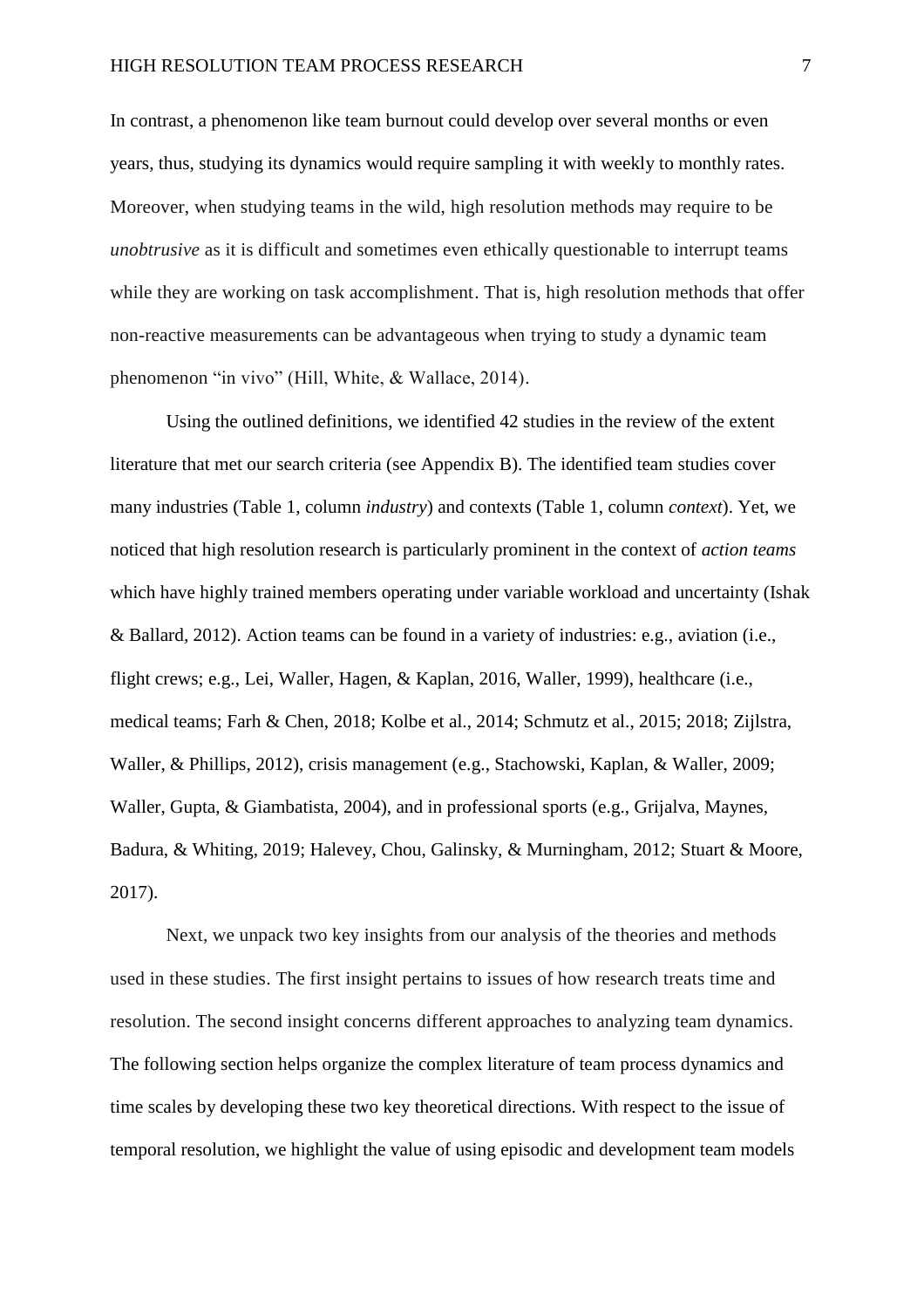In contrast, a phenomenon like team burnout could develop over several months or even years, thus, studying its dynamics would require sampling it with weekly to monthly rates. Moreover, when studying teams in the wild, high resolution methods may require to be *unobtrusive* as it is difficult and sometimes even ethically questionable to interrupt teams while they are working on task accomplishment. That is, high resolution methods that offer non-reactive measurements can be advantageous when trying to study a dynamic team phenomenon "in vivo" (Hill, White, & Wallace, 2014).

Using the outlined definitions, we identified 42 studies in the review of the extent literature that met our search criteria (see Appendix B). The identified team studies cover many industries (Table 1, column *industry*) and contexts (Table 1, column *context*). Yet, we noticed that high resolution research is particularly prominent in the context of *action teams* which have highly trained members operating under variable workload and uncertainty (Ishak & Ballard, 2012). Action teams can be found in a variety of industries: e.g., aviation (i.e., flight crews; e.g., Lei, Waller, Hagen, & Kaplan, 2016, Waller, 1999), healthcare (i.e., medical teams; Farh & Chen, 2018; Kolbe et al., 2014; Schmutz et al., 2015; 2018; Zijlstra, Waller, & Phillips, 2012), crisis management (e.g., Stachowski, Kaplan, & Waller, 2009; Waller, Gupta, & Giambatista, 2004), and in professional sports (e.g., Grijalva, Maynes, Badura, & Whiting, 2019; Halevey, Chou, Galinsky, & Murningham, 2012; Stuart & Moore, 2017).

Next, we unpack two key insights from our analysis of the theories and methods used in these studies. The first insight pertains to issues of how research treats time and resolution. The second insight concerns different approaches to analyzing team dynamics. The following section helps organize the complex literature of team process dynamics and time scales by developing these two key theoretical directions. With respect to the issue of temporal resolution, we highlight the value of using episodic and development team models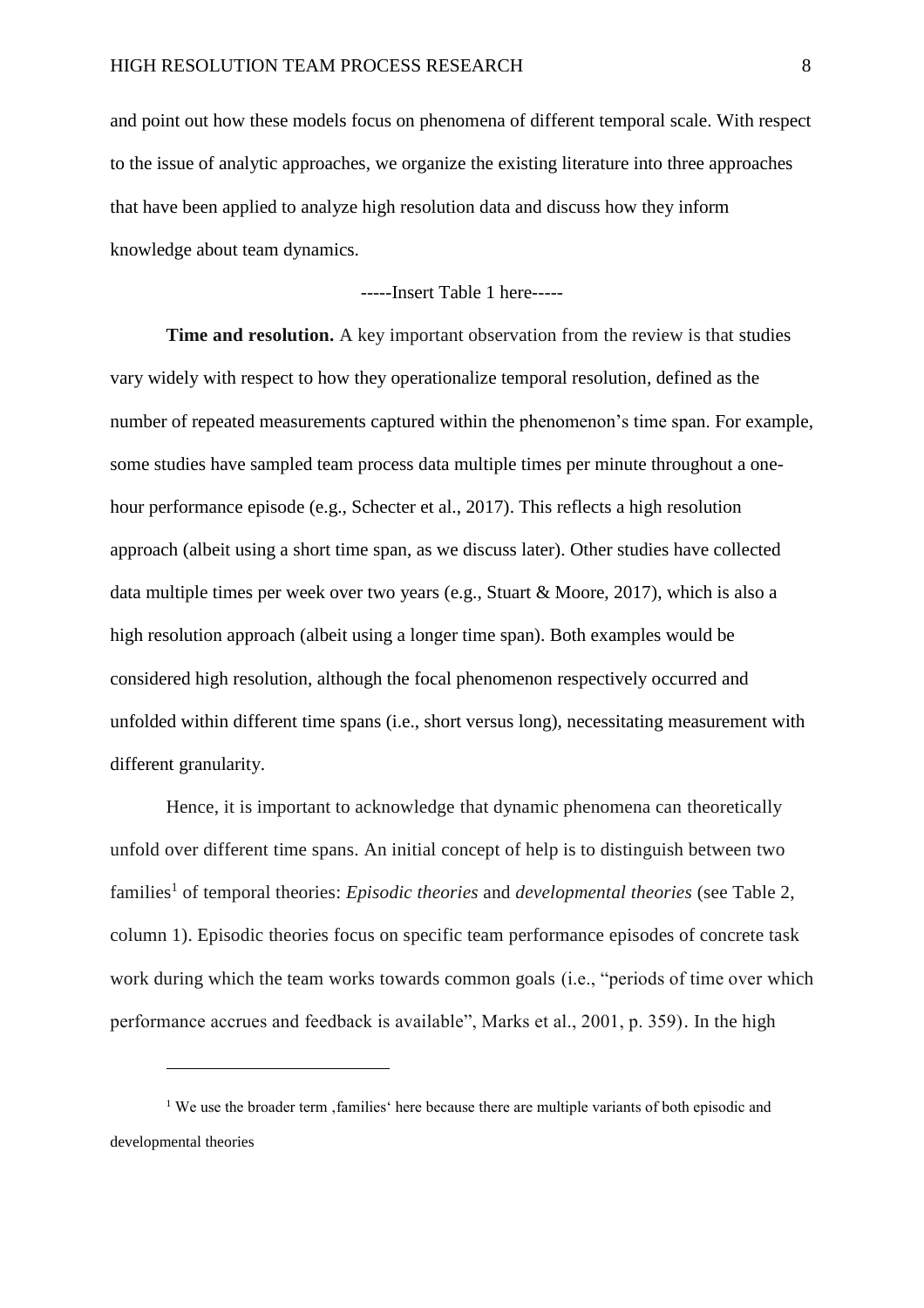and point out how these models focus on phenomena of different temporal scale. With respect to the issue of analytic approaches, we organize the existing literature into three approaches that have been applied to analyze high resolution data and discuss how they inform knowledge about team dynamics.

-----Insert Table 1 here-----

**Time and resolution.** A key important observation from the review is that studies vary widely with respect to how they operationalize temporal resolution*,* defined as the number of repeated measurements captured within the phenomenon's time span. For example, some studies have sampled team process data multiple times per minute throughout a onehour performance episode (e.g., Schecter et al., 2017). This reflects a high resolution approach (albeit using a short time span, as we discuss later). Other studies have collected data multiple times per week over two years (e.g., Stuart & Moore, 2017), which is also a high resolution approach (albeit using a longer time span). Both examples would be considered high resolution, although the focal phenomenon respectively occurred and unfolded within different time spans (i.e., short versus long), necessitating measurement with different granularity.

Hence, it is important to acknowledge that dynamic phenomena can theoretically unfold over different time spans. An initial concept of help is to distinguish between two families<sup>1</sup> of temporal theories: *Episodic theories* and *developmental theories* (see Table 2, column 1). Episodic theories focus on specific team performance episodes of concrete task work during which the team works towards common goals (i.e., "periods of time over which performance accrues and feedback is available", Marks et al., 2001, p. 359). In the high

 $\overline{a}$ 

<sup>&</sup>lt;sup>1</sup> We use the broader term  $\alpha$ , families there because there are multiple variants of both episodic and developmental theories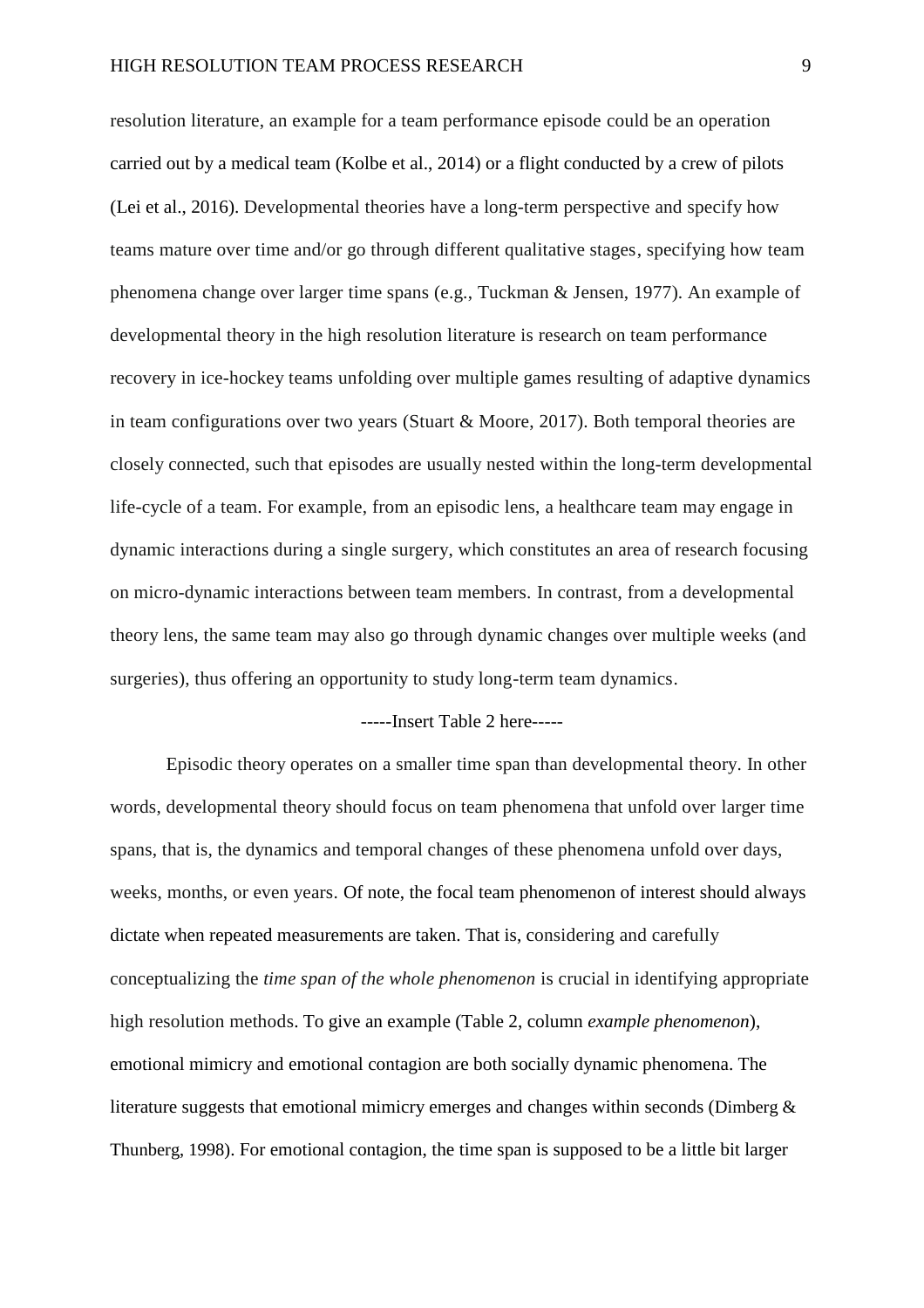resolution literature, an example for a team performance episode could be an operation carried out by a medical team (Kolbe et al., 2014) or a flight conducted by a crew of pilots (Lei et al., 2016). Developmental theories have a long-term perspective and specify how teams mature over time and/or go through different qualitative stages, specifying how team phenomena change over larger time spans (e.g., Tuckman & Jensen, 1977). An example of developmental theory in the high resolution literature is research on team performance recovery in ice-hockey teams unfolding over multiple games resulting of adaptive dynamics in team configurations over two years (Stuart & Moore, 2017). Both temporal theories are closely connected, such that episodes are usually nested within the long-term developmental life-cycle of a team. For example, from an episodic lens, a healthcare team may engage in dynamic interactions during a single surgery, which constitutes an area of research focusing on micro-dynamic interactions between team members. In contrast, from a developmental theory lens, the same team may also go through dynamic changes over multiple weeks (and surgeries), thus offering an opportunity to study long-term team dynamics.

### -----Insert Table 2 here-----

Episodic theory operates on a smaller time span than developmental theory. In other words, developmental theory should focus on team phenomena that unfold over larger time spans, that is, the dynamics and temporal changes of these phenomena unfold over days, weeks, months, or even years. Of note, the focal team phenomenon of interest should always dictate when repeated measurements are taken. That is, considering and carefully conceptualizing the *time span of the whole phenomenon* is crucial in identifying appropriate high resolution methods. To give an example (Table 2, column *example phenomenon*), emotional mimicry and emotional contagion are both socially dynamic phenomena. The literature suggests that emotional mimicry emerges and changes within seconds (Dimberg & Thunberg, 1998). For emotional contagion, the time span is supposed to be a little bit larger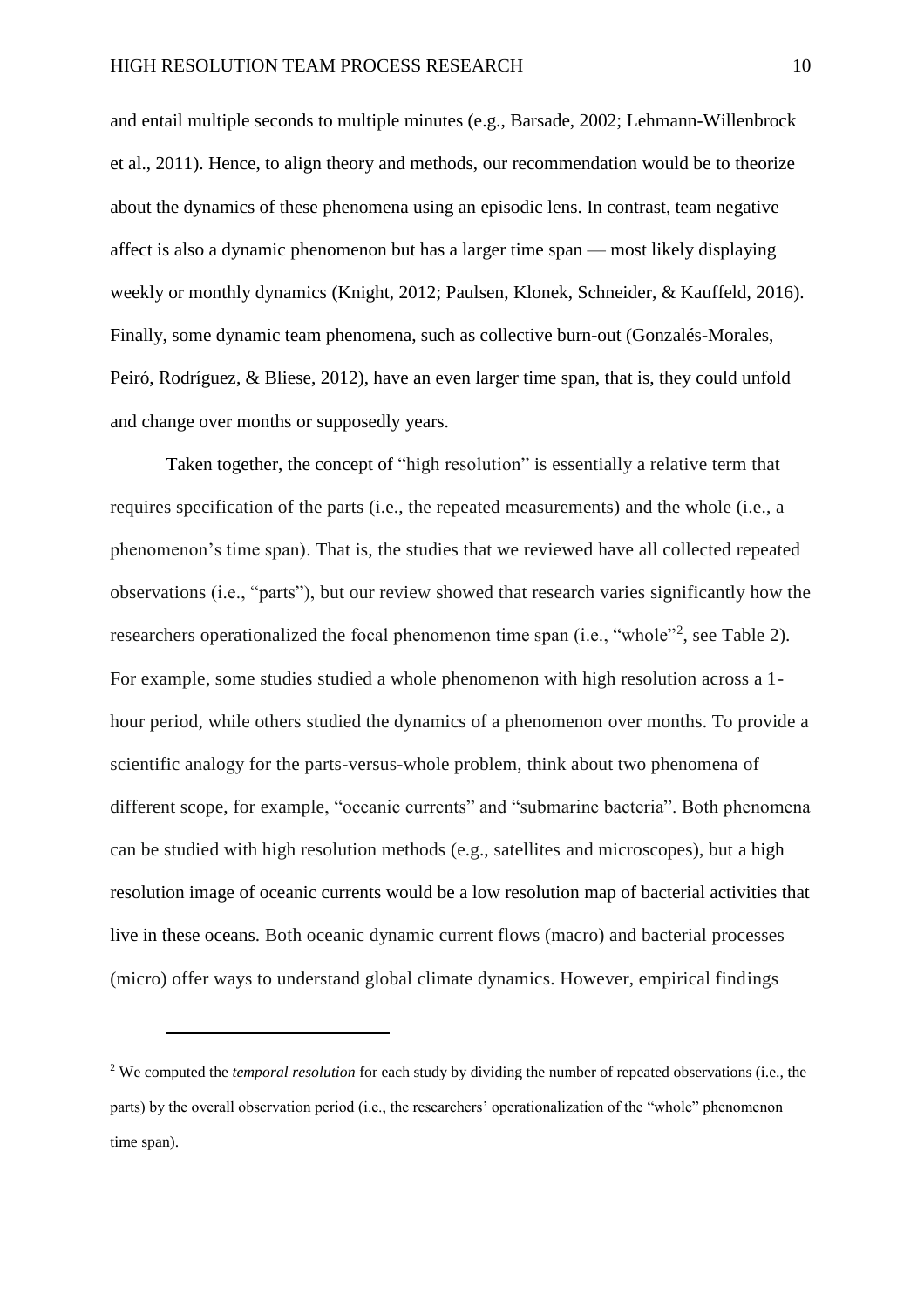and entail multiple seconds to multiple minutes (e.g., Barsade, 2002; Lehmann-Willenbrock et al., 2011). Hence, to align theory and methods, our recommendation would be to theorize about the dynamics of these phenomena using an episodic lens. In contrast, team negative affect is also a dynamic phenomenon but has a larger time span — most likely displaying weekly or monthly dynamics (Knight, 2012; Paulsen, Klonek, Schneider, & Kauffeld, 2016). Finally, some dynamic team phenomena, such as collective burn-out (Gonzalés-Morales, Peiró, Rodríguez, & Bliese, 2012), have an even larger time span, that is, they could unfold and change over months or supposedly years.

Taken together, the concept of "high resolution" is essentially a relative term that requires specification of the parts (i.e., the repeated measurements) and the whole (i.e., a phenomenon's time span). That is, the studies that we reviewed have all collected repeated observations (i.e., "parts"), but our review showed that research varies significantly how the researchers operationalized the focal phenomenon time span (i.e., "whole"<sup>2</sup>, see Table 2). For example, some studies studied a whole phenomenon with high resolution across a 1 hour period, while others studied the dynamics of a phenomenon over months. To provide a scientific analogy for the parts-versus-whole problem, think about two phenomena of different scope, for example, "oceanic currents" and "submarine bacteria". Both phenomena can be studied with high resolution methods (e.g., satellites and microscopes), but a high resolution image of oceanic currents would be a low resolution map of bacterial activities that live in these oceans. Both oceanic dynamic current flows (macro) and bacterial processes (micro) offer ways to understand global climate dynamics. However, empirical findings

 $\overline{a}$ 

<sup>2</sup> We computed the *temporal resolution* for each study by dividing the number of repeated observations (i.e., the parts) by the overall observation period (i.e., the researchers' operationalization of the "whole" phenomenon time span).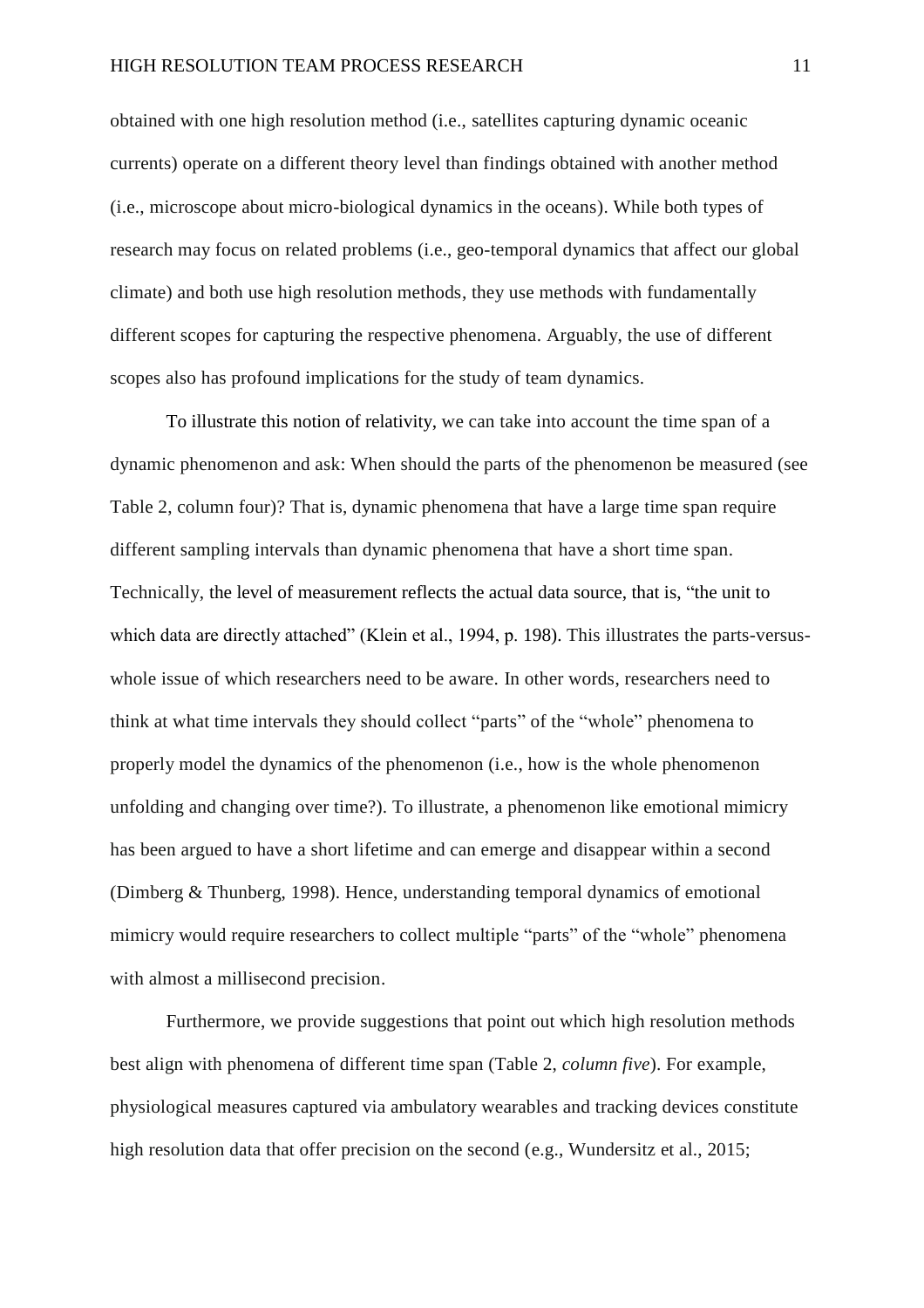obtained with one high resolution method (i.e., satellites capturing dynamic oceanic currents) operate on a different theory level than findings obtained with another method (i.e., microscope about micro-biological dynamics in the oceans). While both types of research may focus on related problems (i.e., geo-temporal dynamics that affect our global climate) and both use high resolution methods, they use methods with fundamentally different scopes for capturing the respective phenomena. Arguably, the use of different scopes also has profound implications for the study of team dynamics.

To illustrate this notion of relativity, we can take into account the time span of a dynamic phenomenon and ask: When should the parts of the phenomenon be measured (see Table 2, column four)? That is, dynamic phenomena that have a large time span require different sampling intervals than dynamic phenomena that have a short time span. Technically, the level of measurement reflects the actual data source, that is, "the unit to which data are directly attached" (Klein et al., 1994, p. 198). This illustrates the parts-versuswhole issue of which researchers need to be aware. In other words, researchers need to think at what time intervals they should collect "parts" of the "whole" phenomena to properly model the dynamics of the phenomenon (i.e., how is the whole phenomenon unfolding and changing over time?). To illustrate, a phenomenon like emotional mimicry has been argued to have a short lifetime and can emerge and disappear within a second (Dimberg & Thunberg, 1998). Hence, understanding temporal dynamics of emotional mimicry would require researchers to collect multiple "parts" of the "whole" phenomena with almost a millisecond precision.

Furthermore, we provide suggestions that point out which high resolution methods best align with phenomena of different time span (Table 2, *column five*). For example, physiological measures captured via ambulatory wearables and tracking devices constitute high resolution data that offer precision on the second (e.g., Wundersitz et al., 2015;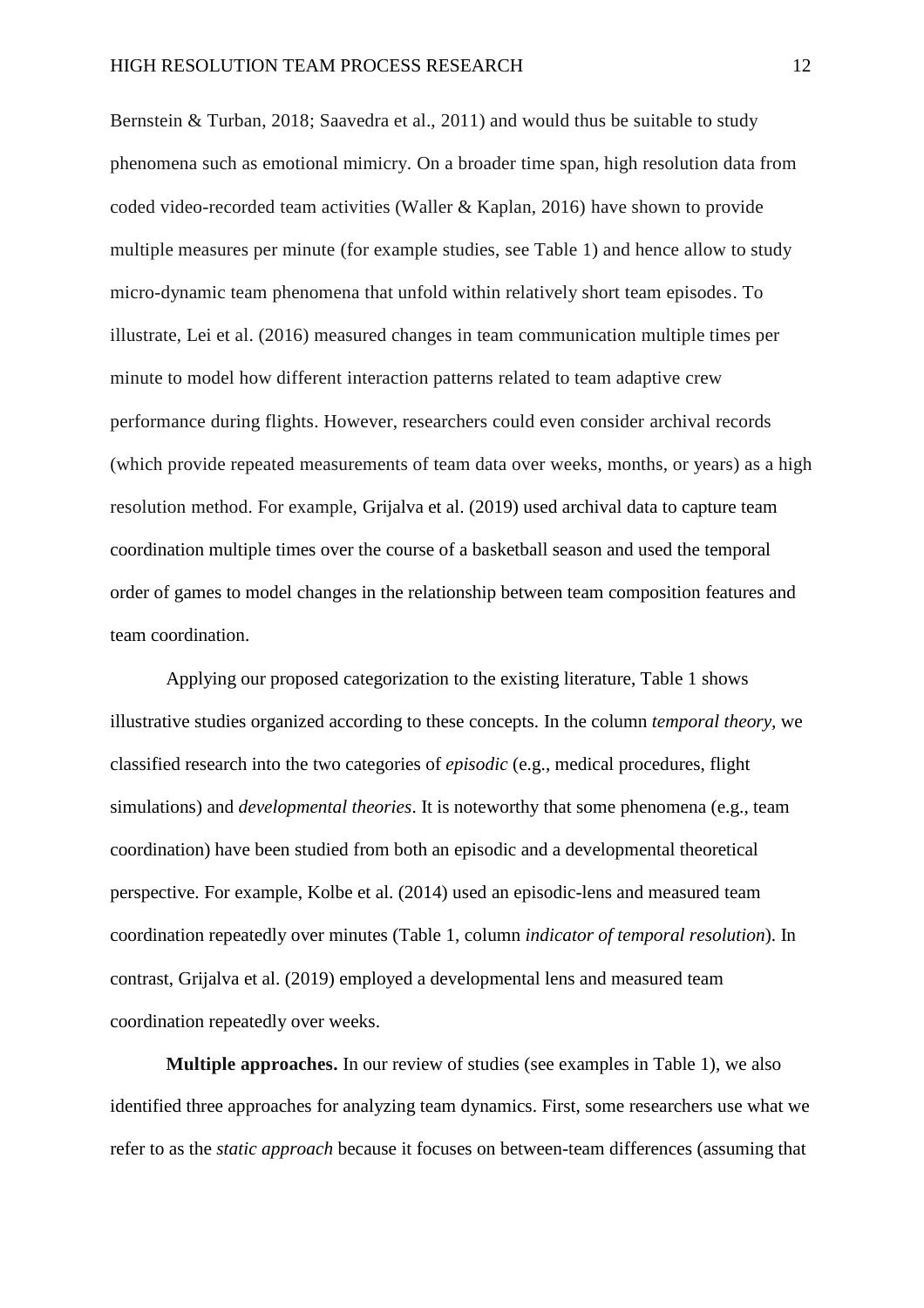Bernstein & Turban, 2018; Saavedra et al., 2011) and would thus be suitable to study phenomena such as emotional mimicry. On a broader time span, high resolution data from coded video-recorded team activities (Waller & Kaplan, 2016) have shown to provide multiple measures per minute (for example studies, see Table 1) and hence allow to study micro-dynamic team phenomena that unfold within relatively short team episodes. To illustrate, Lei et al. (2016) measured changes in team communication multiple times per minute to model how different interaction patterns related to team adaptive crew performance during flights. However, researchers could even consider archival records (which provide repeated measurements of team data over weeks, months, or years) as a high resolution method. For example, Grijalva et al. (2019) used archival data to capture team coordination multiple times over the course of a basketball season and used the temporal order of games to model changes in the relationship between team composition features and team coordination.

Applying our proposed categorization to the existing literature, Table 1 shows illustrative studies organized according to these concepts. In the column *temporal theory,* we classified research into the two categories of *episodic* (e.g., medical procedures, flight simulations) and *developmental theories*. It is noteworthy that some phenomena (e.g., team coordination) have been studied from both an episodic and a developmental theoretical perspective. For example, Kolbe et al. (2014) used an episodic-lens and measured team coordination repeatedly over minutes (Table 1, column *indicator of temporal resolution*). In contrast, Grijalva et al. (2019) employed a developmental lens and measured team coordination repeatedly over weeks.

**Multiple approaches.** In our review of studies (see examples in Table 1), we also identified three approaches for analyzing team dynamics. First, some researchers use what we refer to as the *static approach* because it focuses on between-team differences (assuming that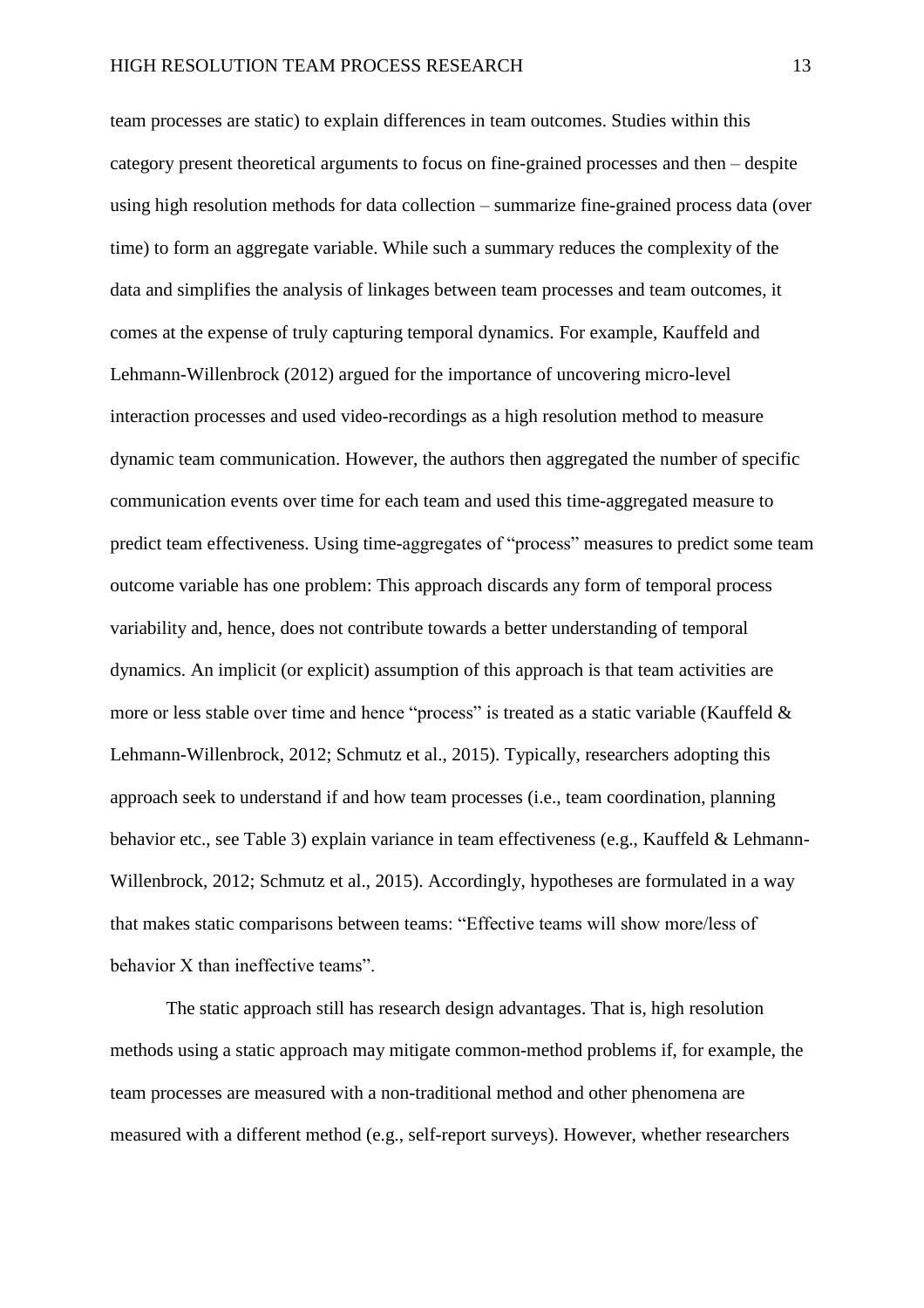team processes are static) to explain differences in team outcomes. Studies within this category present theoretical arguments to focus on fine-grained processes and then – despite using high resolution methods for data collection – summarize fine-grained process data (over time) to form an aggregate variable. While such a summary reduces the complexity of the data and simplifies the analysis of linkages between team processes and team outcomes, it comes at the expense of truly capturing temporal dynamics. For example, Kauffeld and Lehmann-Willenbrock (2012) argued for the importance of uncovering micro-level interaction processes and used video-recordings as a high resolution method to measure dynamic team communication. However, the authors then aggregated the number of specific communication events over time for each team and used this time-aggregated measure to predict team effectiveness. Using time-aggregates of "process" measures to predict some team outcome variable has one problem: This approach discards any form of temporal process variability and, hence, does not contribute towards a better understanding of temporal dynamics. An implicit (or explicit) assumption of this approach is that team activities are more or less stable over time and hence "process" is treated as a static variable (Kauffeld & Lehmann-Willenbrock, 2012; Schmutz et al., 2015). Typically, researchers adopting this approach seek to understand if and how team processes (i.e., team coordination, planning behavior etc., see Table 3) explain variance in team effectiveness (e.g., Kauffeld & Lehmann-Willenbrock, 2012; Schmutz et al., 2015). Accordingly, hypotheses are formulated in a way that makes static comparisons between teams: "Effective teams will show more/less of behavior X than ineffective teams".

The static approach still has research design advantages. That is, high resolution methods using a static approach may mitigate common-method problems if, for example, the team processes are measured with a non-traditional method and other phenomena are measured with a different method (e.g., self-report surveys). However, whether researchers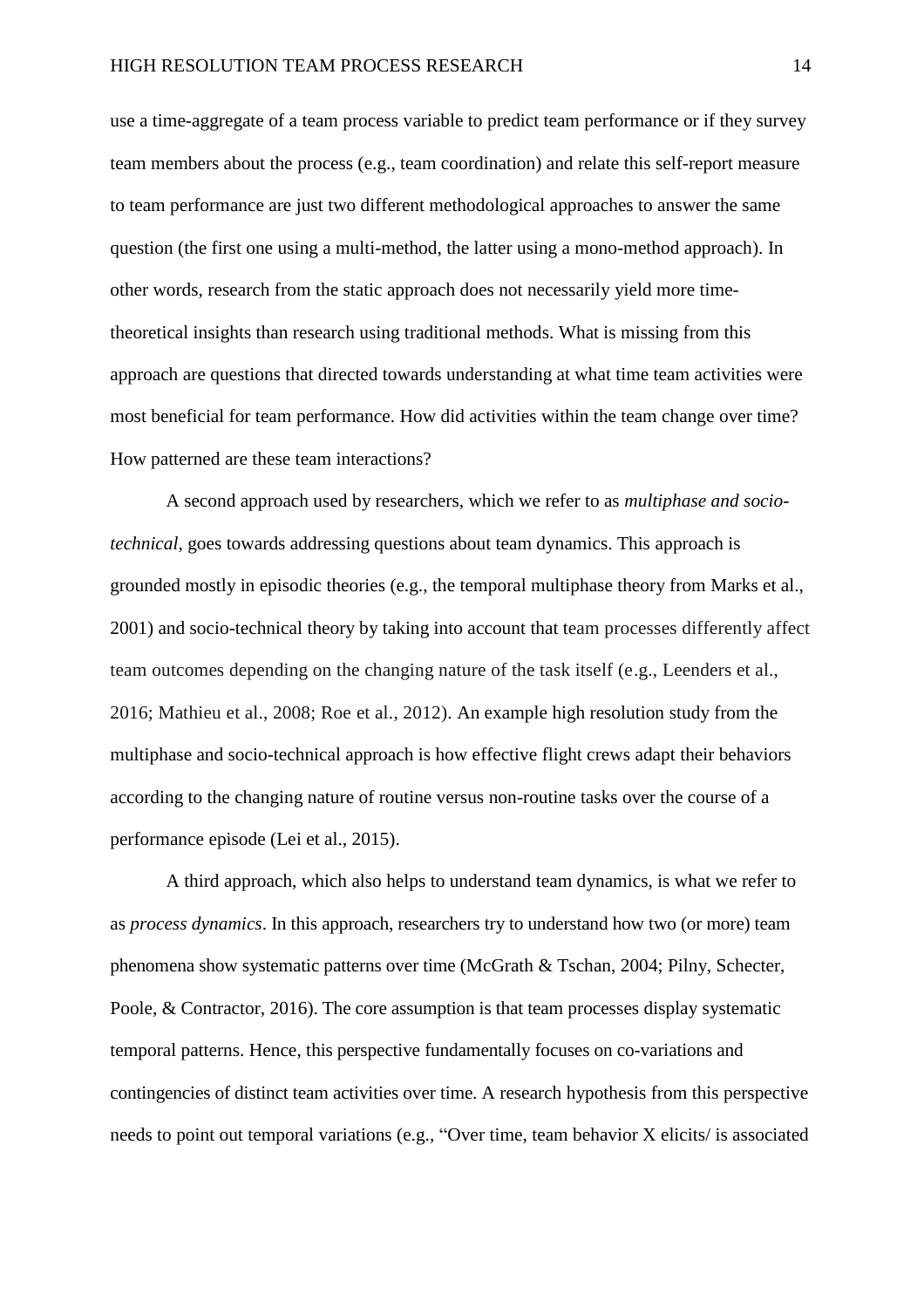use a time-aggregate of a team process variable to predict team performance or if they survey team members about the process (e.g., team coordination) and relate this self-report measure to team performance are just two different methodological approaches to answer the same question (the first one using a multi-method, the latter using a mono-method approach). In other words, research from the static approach does not necessarily yield more timetheoretical insights than research using traditional methods. What is missing from this approach are questions that directed towards understanding at what time team activities were most beneficial for team performance. How did activities within the team change over time? How patterned are these team interactions?

A second approach used by researchers, which we refer to as *multiphase and sociotechnical*, goes towards addressing questions about team dynamics. This approach is grounded mostly in episodic theories (e.g., the temporal multiphase theory from Marks et al., 2001) and socio-technical theory by taking into account that team processes differently affect team outcomes depending on the changing nature of the task itself (e.g., Leenders et al., 2016; Mathieu et al., 2008; Roe et al., 2012). An example high resolution study from the multiphase and socio-technical approach is how effective flight crews adapt their behaviors according to the changing nature of routine versus non-routine tasks over the course of a performance episode (Lei et al., 2015).

A third approach, which also helps to understand team dynamics, is what we refer to as *process dynamics*. In this approach, researchers try to understand how two (or more) team phenomena show systematic patterns over time (McGrath & Tschan, 2004; Pilny, Schecter, Poole, & Contractor, 2016). The core assumption is that team processes display systematic temporal patterns. Hence, this perspective fundamentally focuses on co-variations and contingencies of distinct team activities over time. A research hypothesis from this perspective needs to point out temporal variations (e.g., "Over time, team behavior X elicits/ is associated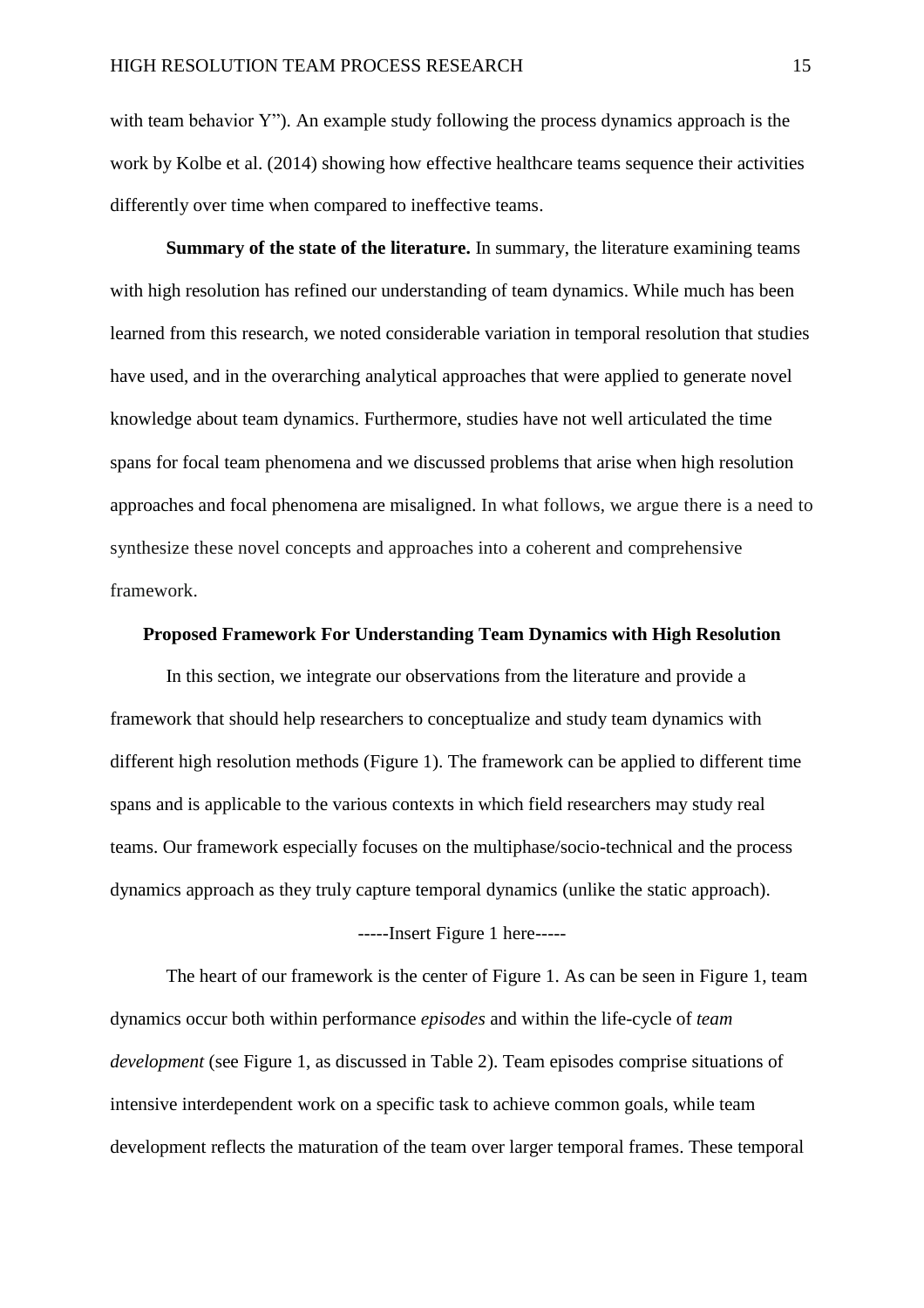with team behavior Y"). An example study following the process dynamics approach is the work by Kolbe et al. (2014) showing how effective healthcare teams sequence their activities differently over time when compared to ineffective teams.

**Summary of the state of the literature.** In summary, the literature examining teams with high resolution has refined our understanding of team dynamics. While much has been learned from this research, we noted considerable variation in temporal resolution that studies have used, and in the overarching analytical approaches that were applied to generate novel knowledge about team dynamics. Furthermore, studies have not well articulated the time spans for focal team phenomena and we discussed problems that arise when high resolution approaches and focal phenomena are misaligned. In what follows, we argue there is a need to synthesize these novel concepts and approaches into a coherent and comprehensive framework.

### **Proposed Framework For Understanding Team Dynamics with High Resolution**

In this section, we integrate our observations from the literature and provide a framework that should help researchers to conceptualize and study team dynamics with different high resolution methods (Figure 1). The framework can be applied to different time spans and is applicable to the various contexts in which field researchers may study real teams. Our framework especially focuses on the multiphase/socio-technical and the process dynamics approach as they truly capture temporal dynamics (unlike the static approach). -----Insert Figure 1 here-----

The heart of our framework is the center of Figure 1. As can be seen in Figure 1, team dynamics occur both within performance *episodes* and within the life-cycle of *team development* (see Figure 1, as discussed in Table 2). Team episodes comprise situations of intensive interdependent work on a specific task to achieve common goals, while team development reflects the maturation of the team over larger temporal frames. These temporal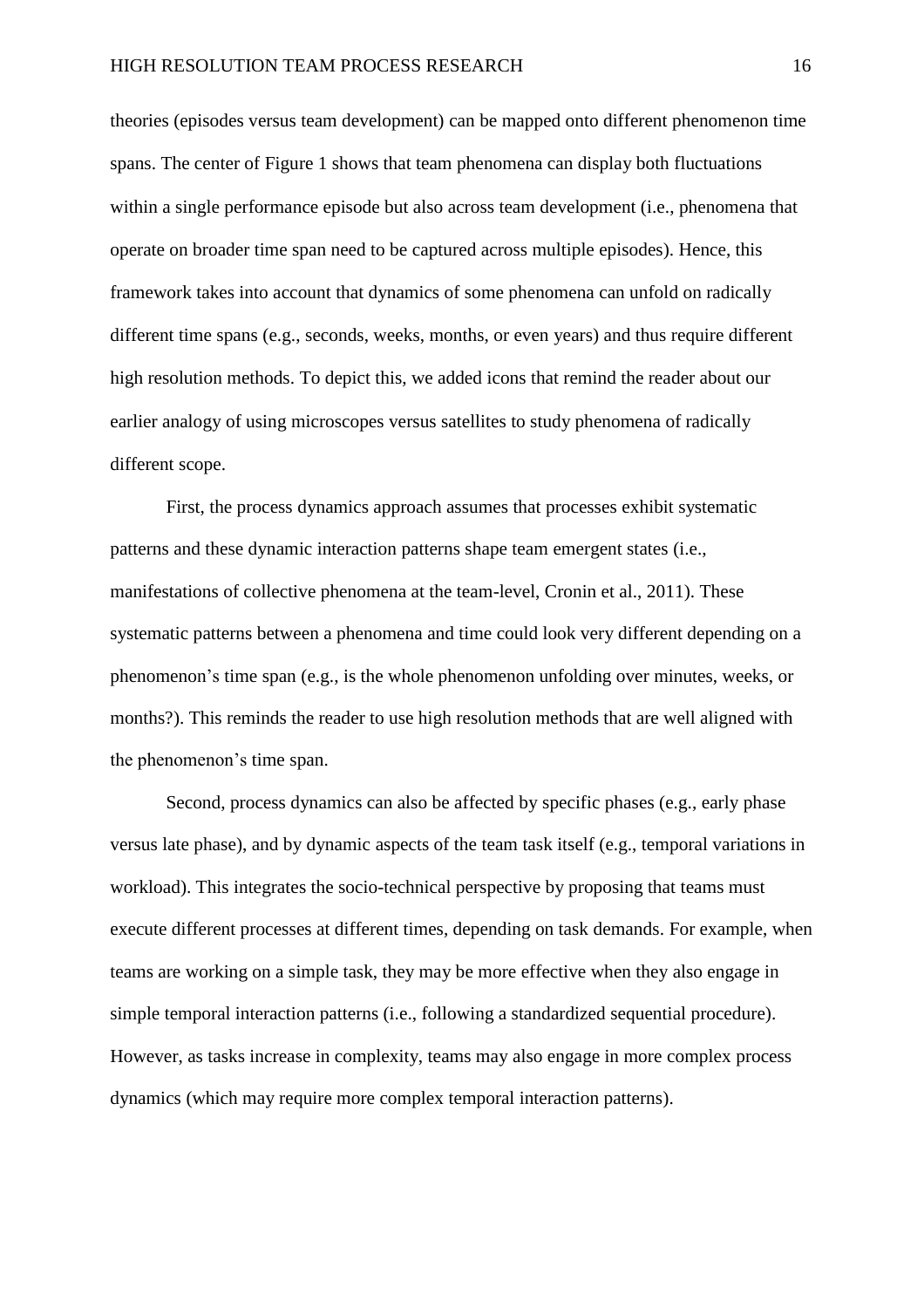theories (episodes versus team development) can be mapped onto different phenomenon time spans. The center of Figure 1 shows that team phenomena can display both fluctuations within a single performance episode but also across team development (i.e., phenomena that operate on broader time span need to be captured across multiple episodes). Hence, this framework takes into account that dynamics of some phenomena can unfold on radically different time spans (e.g., seconds, weeks, months, or even years) and thus require different high resolution methods. To depict this, we added icons that remind the reader about our earlier analogy of using microscopes versus satellites to study phenomena of radically different scope.

First, the process dynamics approach assumes that processes exhibit systematic patterns and these dynamic interaction patterns shape team emergent states (i.e., manifestations of collective phenomena at the team-level, Cronin et al., 2011). These systematic patterns between a phenomena and time could look very different depending on a phenomenon's time span (e.g., is the whole phenomenon unfolding over minutes, weeks, or months?). This reminds the reader to use high resolution methods that are well aligned with the phenomenon's time span.

Second, process dynamics can also be affected by specific phases (e.g., early phase versus late phase), and by dynamic aspects of the team task itself (e.g., temporal variations in workload). This integrates the socio-technical perspective by proposing that teams must execute different processes at different times, depending on task demands. For example, when teams are working on a simple task, they may be more effective when they also engage in simple temporal interaction patterns (i.e., following a standardized sequential procedure). However, as tasks increase in complexity, teams may also engage in more complex process dynamics (which may require more complex temporal interaction patterns).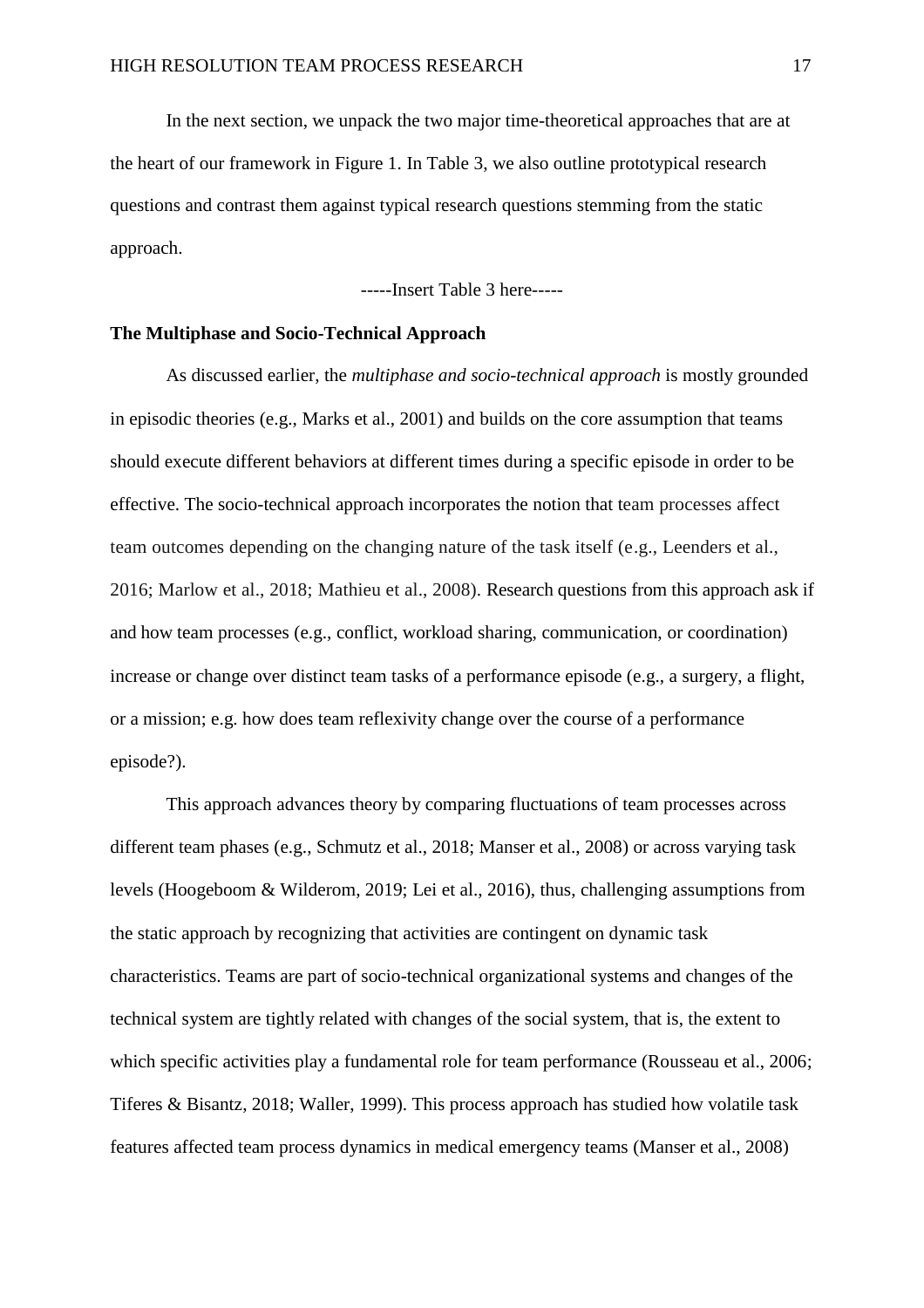In the next section, we unpack the two major time-theoretical approaches that are at the heart of our framework in Figure 1. In Table 3, we also outline prototypical research questions and contrast them against typical research questions stemming from the static approach.

-----Insert Table 3 here-----

### **The Multiphase and Socio-Technical Approach**

As discussed earlier, the *multiphase and socio-technical approach* is mostly grounded in episodic theories (e.g., Marks et al., 2001) and builds on the core assumption that teams should execute different behaviors at different times during a specific episode in order to be effective. The socio-technical approach incorporates the notion that team processes affect team outcomes depending on the changing nature of the task itself (e.g., Leenders et al., 2016; Marlow et al., 2018; Mathieu et al., 2008). Research questions from this approach ask if and how team processes (e.g., conflict, workload sharing, communication, or coordination) increase or change over distinct team tasks of a performance episode (e.g., a surgery, a flight, or a mission; e.g. how does team reflexivity change over the course of a performance episode?).

This approach advances theory by comparing fluctuations of team processes across different team phases (e.g., Schmutz et al., 2018; Manser et al., 2008) or across varying task levels (Hoogeboom & Wilderom, 2019; Lei et al., 2016), thus, challenging assumptions from the static approach by recognizing that activities are contingent on dynamic task characteristics. Teams are part of socio-technical organizational systems and changes of the technical system are tightly related with changes of the social system, that is, the extent to which specific activities play a fundamental role for team performance (Rousseau et al., 2006; Tiferes & Bisantz, 2018; Waller, 1999). This process approach has studied how volatile task features affected team process dynamics in medical emergency teams (Manser et al., 2008)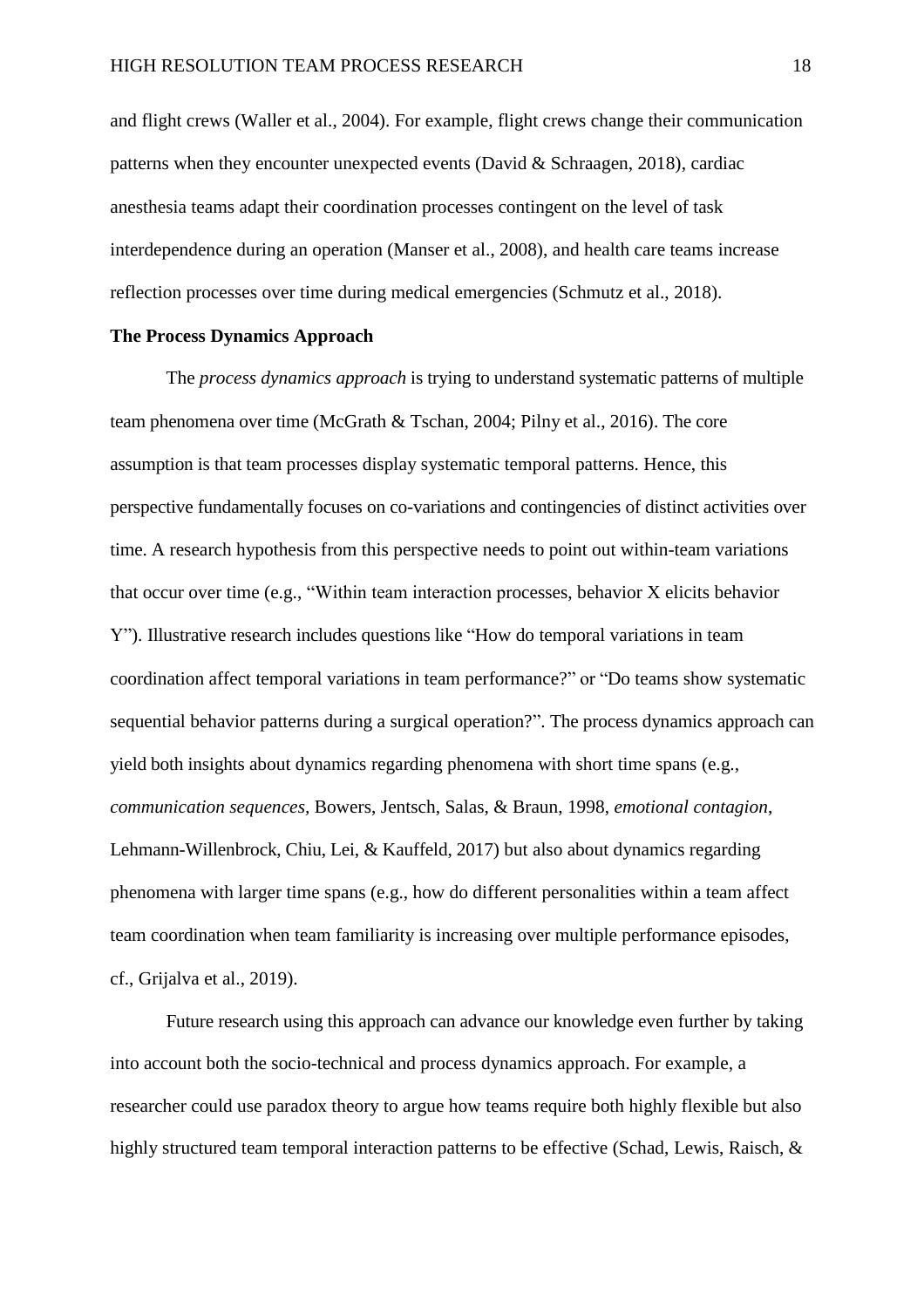and flight crews (Waller et al., 2004). For example, flight crews change their communication patterns when they encounter unexpected events (David & Schraagen, 2018), cardiac anesthesia teams adapt their coordination processes contingent on the level of task interdependence during an operation (Manser et al., 2008), and health care teams increase reflection processes over time during medical emergencies (Schmutz et al., 2018).

### **The Process Dynamics Approach**

The *process dynamics approach* is trying to understand systematic patterns of multiple team phenomena over time (McGrath & Tschan, 2004; Pilny et al., 2016). The core assumption is that team processes display systematic temporal patterns. Hence, this perspective fundamentally focuses on co-variations and contingencies of distinct activities over time. A research hypothesis from this perspective needs to point out within-team variations that occur over time (e.g., "Within team interaction processes, behavior X elicits behavior Y"). Illustrative research includes questions like "How do temporal variations in team coordination affect temporal variations in team performance?" or "Do teams show systematic sequential behavior patterns during a surgical operation?". The process dynamics approach can yield both insights about dynamics regarding phenomena with short time spans (e.g., *communication sequences,* Bowers, Jentsch, Salas, & Braun, 1998, *emotional contagion*, Lehmann-Willenbrock, Chiu, Lei, & Kauffeld, 2017) but also about dynamics regarding phenomena with larger time spans (e.g., how do different personalities within a team affect team coordination when team familiarity is increasing over multiple performance episodes, cf., Grijalva et al., 2019).

Future research using this approach can advance our knowledge even further by taking into account both the socio-technical and process dynamics approach. For example, a researcher could use paradox theory to argue how teams require both highly flexible but also highly structured team temporal interaction patterns to be effective (Schad, Lewis, Raisch, &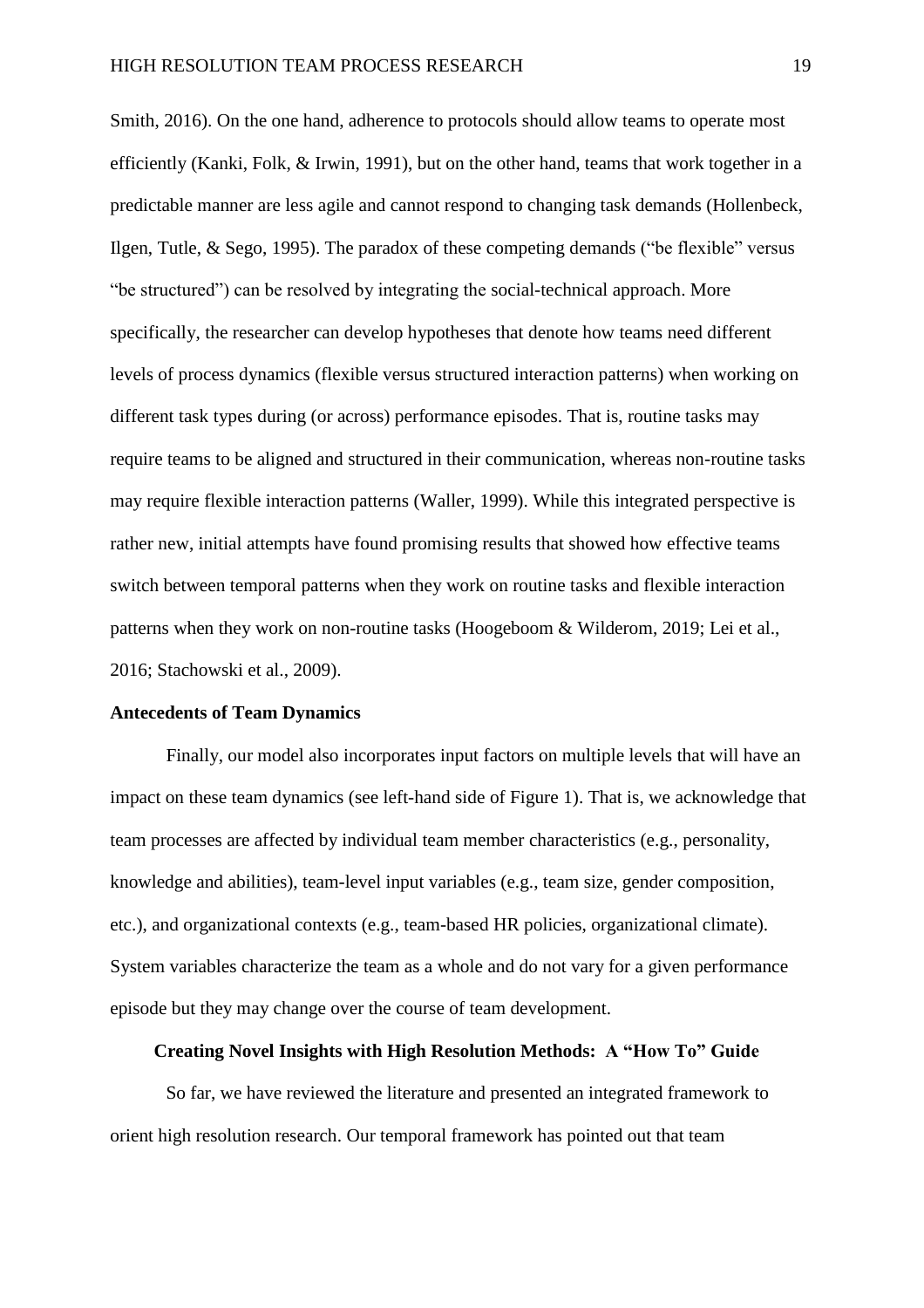Smith, 2016). On the one hand, adherence to protocols should allow teams to operate most efficiently (Kanki, Folk, & Irwin, 1991), but on the other hand, teams that work together in a predictable manner are less agile and cannot respond to changing task demands (Hollenbeck, Ilgen, Tutle, & Sego, 1995). The paradox of these competing demands ("be flexible" versus "be structured") can be resolved by integrating the social-technical approach. More specifically, the researcher can develop hypotheses that denote how teams need different levels of process dynamics (flexible versus structured interaction patterns) when working on different task types during (or across) performance episodes. That is, routine tasks may require teams to be aligned and structured in their communication, whereas non-routine tasks may require flexible interaction patterns (Waller, 1999). While this integrated perspective is rather new, initial attempts have found promising results that showed how effective teams switch between temporal patterns when they work on routine tasks and flexible interaction patterns when they work on non-routine tasks (Hoogeboom & Wilderom, 2019; Lei et al., 2016; Stachowski et al., 2009).

### **Antecedents of Team Dynamics**

Finally, our model also incorporates input factors on multiple levels that will have an impact on these team dynamics (see left-hand side of Figure 1). That is, we acknowledge that team processes are affected by individual team member characteristics (e.g., personality, knowledge and abilities), team-level input variables (e.g., team size, gender composition, etc.), and organizational contexts (e.g., team-based HR policies, organizational climate). System variables characterize the team as a whole and do not vary for a given performance episode but they may change over the course of team development.

## **Creating Novel Insights with High Resolution Methods: A "How To" Guide**

So far, we have reviewed the literature and presented an integrated framework to orient high resolution research. Our temporal framework has pointed out that team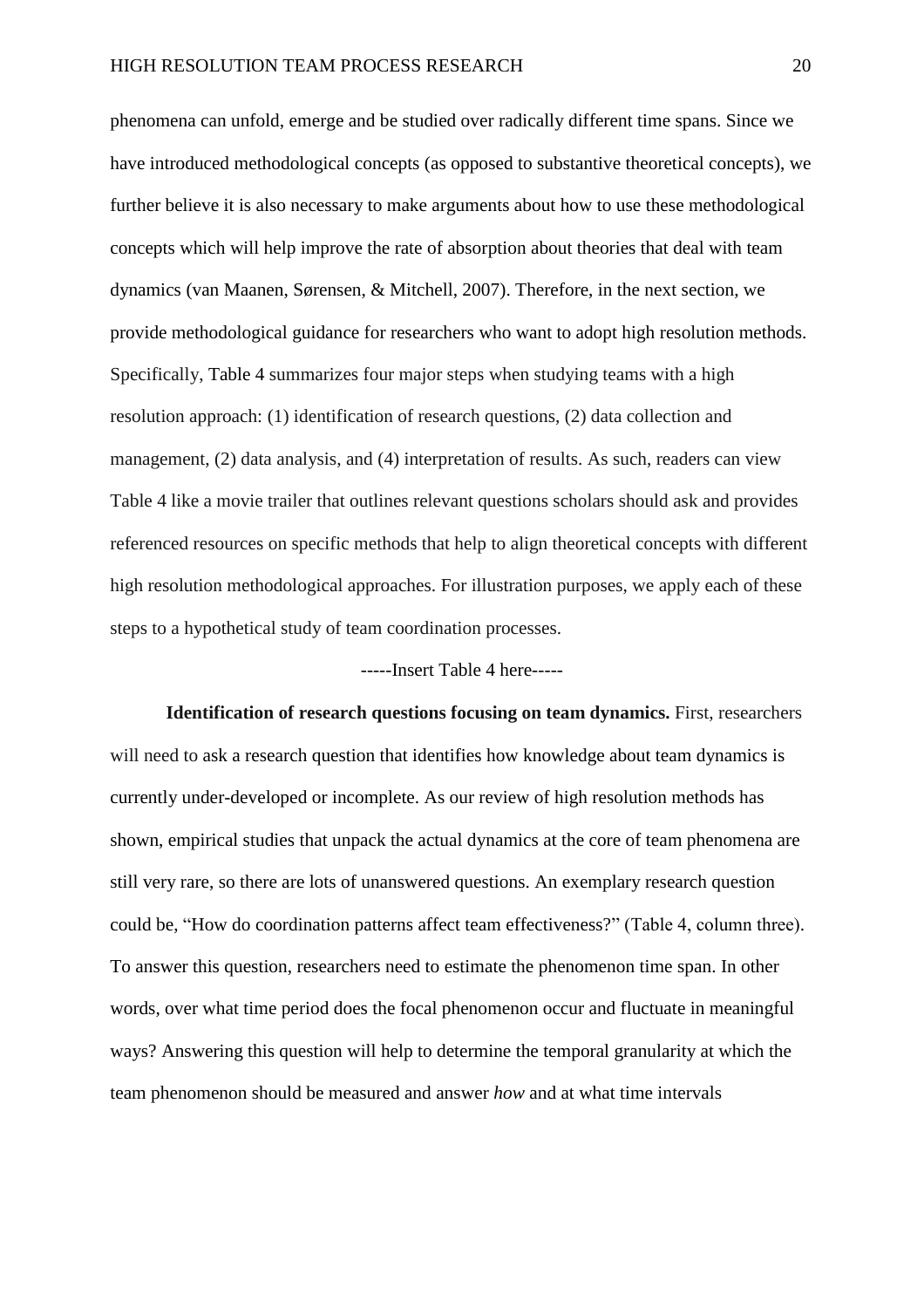phenomena can unfold, emerge and be studied over radically different time spans. Since we have introduced methodological concepts (as opposed to substantive theoretical concepts), we further believe it is also necessary to make arguments about how to use these methodological concepts which will help improve the rate of absorption about theories that deal with team dynamics (van Maanen, Sørensen, & Mitchell, 2007). Therefore, in the next section, we provide methodological guidance for researchers who want to adopt high resolution methods. Specifically, Table 4 summarizes four major steps when studying teams with a high resolution approach: (1) identification of research questions, (2) data collection and management, (2) data analysis, and (4) interpretation of results. As such, readers can view Table 4 like a movie trailer that outlines relevant questions scholars should ask and provides referenced resources on specific methods that help to align theoretical concepts with different high resolution methodological approaches. For illustration purposes, we apply each of these steps to a hypothetical study of team coordination processes.

### -----Insert Table 4 here-----

**Identification of research questions focusing on team dynamics.** First, researchers will need to ask a research question that identifies how knowledge about team dynamics is currently under-developed or incomplete. As our review of high resolution methods has shown, empirical studies that unpack the actual dynamics at the core of team phenomena are still very rare, so there are lots of unanswered questions. An exemplary research question could be, "How do coordination patterns affect team effectiveness?" (Table 4, column three). To answer this question, researchers need to estimate the phenomenon time span. In other words, over what time period does the focal phenomenon occur and fluctuate in meaningful ways? Answering this question will help to determine the temporal granularity at which the team phenomenon should be measured and answer *how* and at what time intervals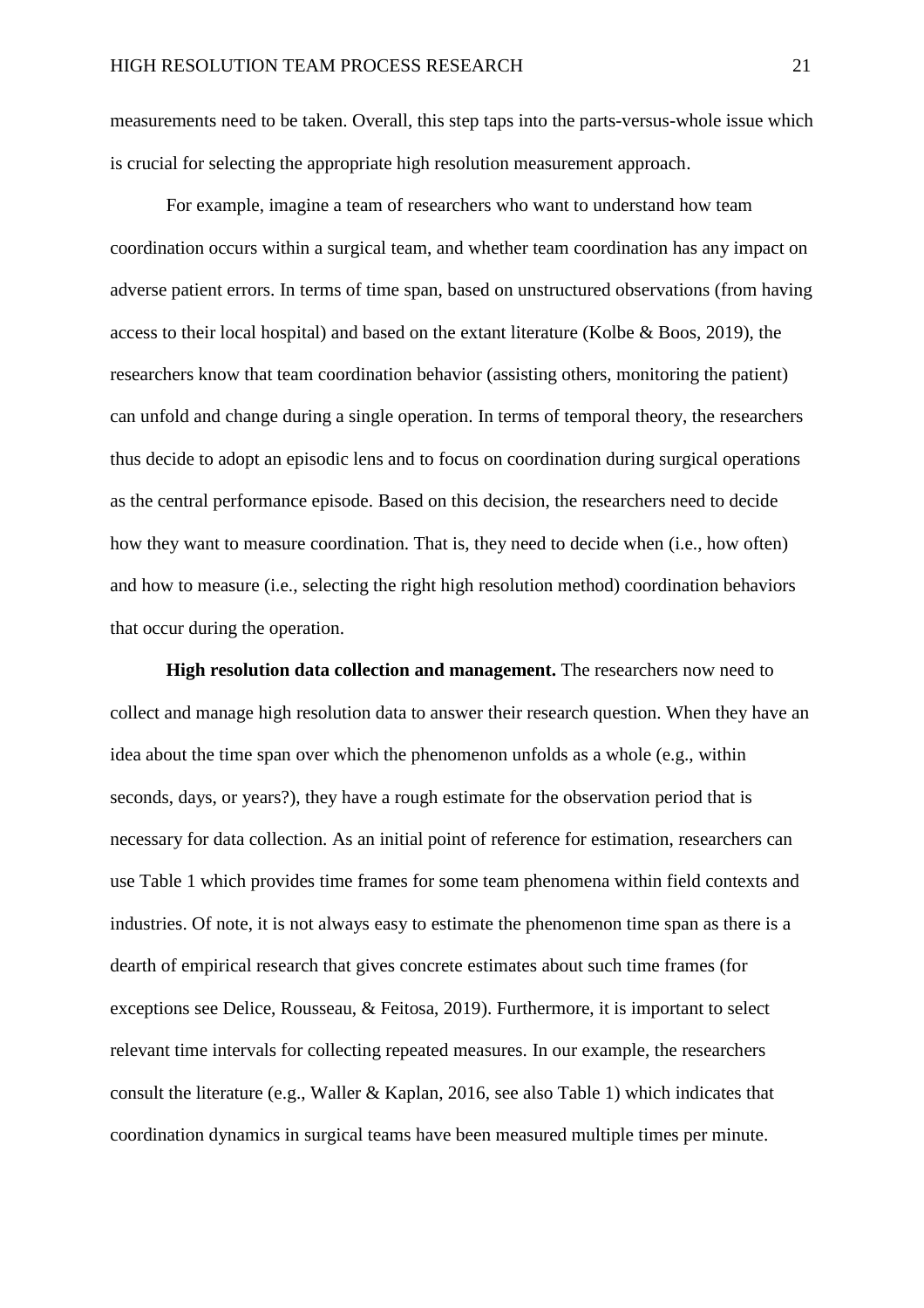measurements need to be taken. Overall, this step taps into the parts-versus-whole issue which is crucial for selecting the appropriate high resolution measurement approach.

For example, imagine a team of researchers who want to understand how team coordination occurs within a surgical team, and whether team coordination has any impact on adverse patient errors. In terms of time span, based on unstructured observations (from having access to their local hospital) and based on the extant literature (Kolbe & Boos, 2019), the researchers know that team coordination behavior (assisting others, monitoring the patient) can unfold and change during a single operation. In terms of temporal theory, the researchers thus decide to adopt an episodic lens and to focus on coordination during surgical operations as the central performance episode. Based on this decision, the researchers need to decide how they want to measure coordination. That is, they need to decide when (i.e., how often) and how to measure (i.e., selecting the right high resolution method) coordination behaviors that occur during the operation.

**High resolution data collection and management.** The researchers now need to collect and manage high resolution data to answer their research question. When they have an idea about the time span over which the phenomenon unfolds as a whole (e.g., within seconds, days, or years?), they have a rough estimate for the observation period that is necessary for data collection. As an initial point of reference for estimation, researchers can use Table 1 which provides time frames for some team phenomena within field contexts and industries. Of note, it is not always easy to estimate the phenomenon time span as there is a dearth of empirical research that gives concrete estimates about such time frames (for exceptions see Delice, Rousseau, & Feitosa, 2019). Furthermore, it is important to select relevant time intervals for collecting repeated measures. In our example, the researchers consult the literature (e.g., Waller & Kaplan, 2016, see also Table 1) which indicates that coordination dynamics in surgical teams have been measured multiple times per minute.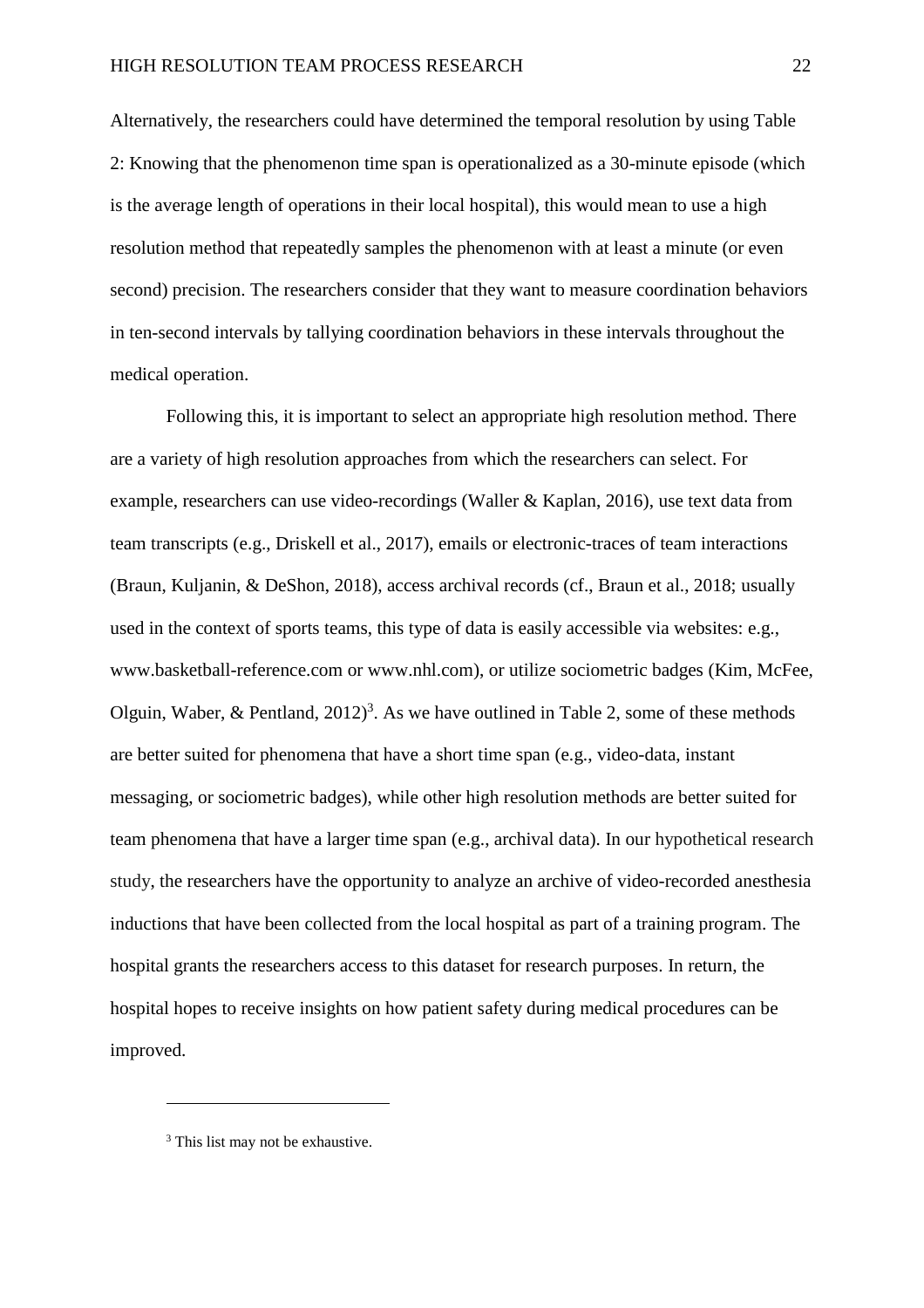Alternatively, the researchers could have determined the temporal resolution by using Table 2: Knowing that the phenomenon time span is operationalized as a 30-minute episode (which is the average length of operations in their local hospital), this would mean to use a high resolution method that repeatedly samples the phenomenon with at least a minute (or even second) precision. The researchers consider that they want to measure coordination behaviors in ten-second intervals by tallying coordination behaviors in these intervals throughout the medical operation.

Following this, it is important to select an appropriate high resolution method. There are a variety of high resolution approaches from which the researchers can select. For example, researchers can use video-recordings (Waller & Kaplan, 2016), use text data from team transcripts (e.g., Driskell et al., 2017), emails or electronic-traces of team interactions (Braun, Kuljanin, & DeShon, 2018), access archival records (cf., Braun et al., 2018; usually used in the context of sports teams, this type of data is easily accessible via websites: e.g., www.basketball-reference.com or www.nhl.com), or utilize sociometric badges (Kim, McFee, Olguin, Waber, & Pentland,  $2012$ <sup>3</sup>. As we have outlined in Table 2, some of these methods are better suited for phenomena that have a short time span (e.g., video-data, instant messaging, or sociometric badges), while other high resolution methods are better suited for team phenomena that have a larger time span (e.g., archival data). In our hypothetical research study, the researchers have the opportunity to analyze an archive of video-recorded anesthesia inductions that have been collected from the local hospital as part of a training program. The hospital grants the researchers access to this dataset for research purposes. In return, the hospital hopes to receive insights on how patient safety during medical procedures can be improved.

 $\overline{a}$ 

<sup>&</sup>lt;sup>3</sup> This list may not be exhaustive.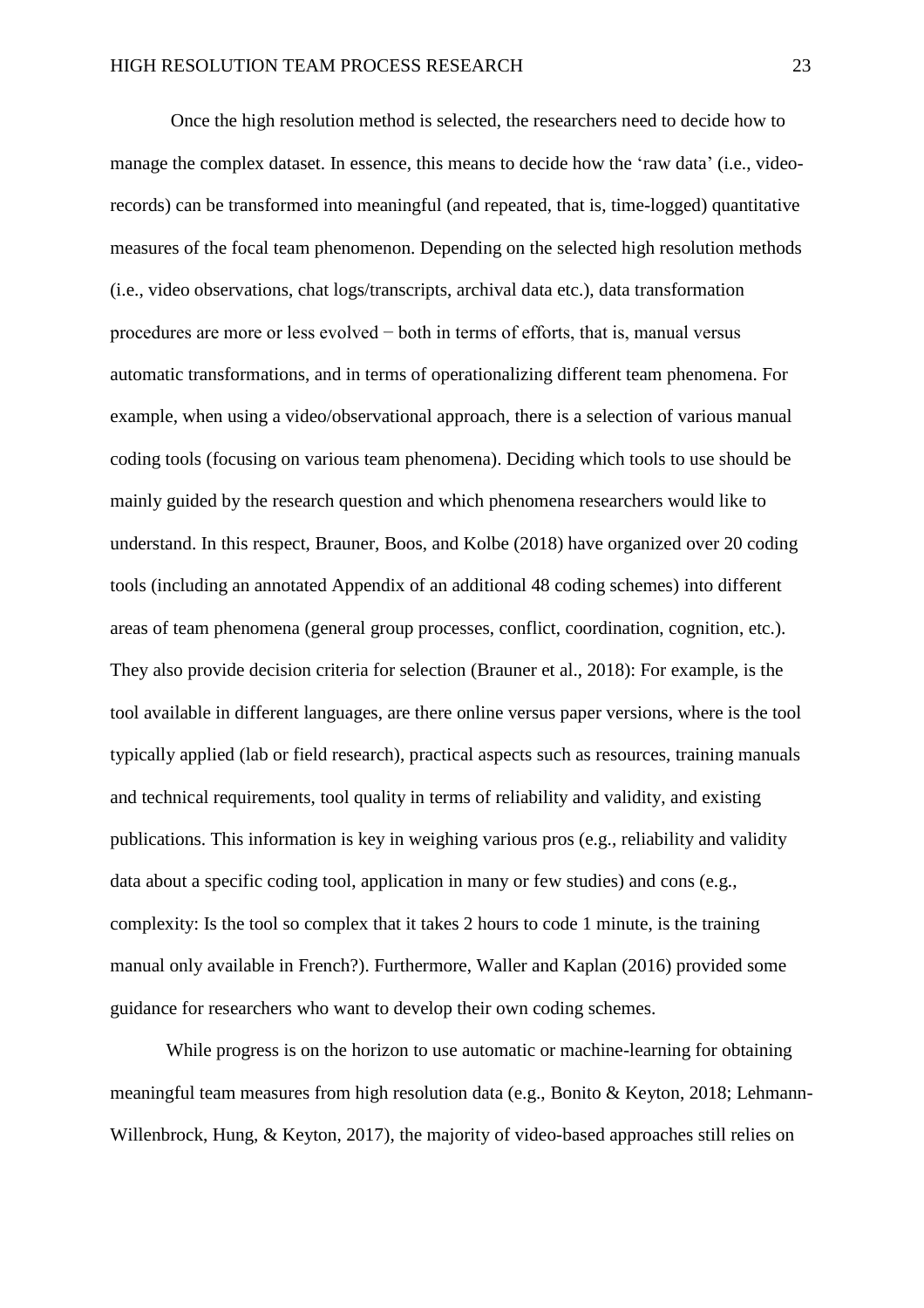Once the high resolution method is selected, the researchers need to decide how to manage the complex dataset. In essence, this means to decide how the 'raw data' (i.e., videorecords) can be transformed into meaningful (and repeated, that is, time-logged) quantitative measures of the focal team phenomenon. Depending on the selected high resolution methods (i.e., video observations, chat logs/transcripts, archival data etc.), data transformation procedures are more or less evolved − both in terms of efforts, that is, manual versus automatic transformations, and in terms of operationalizing different team phenomena. For example, when using a video/observational approach, there is a selection of various manual coding tools (focusing on various team phenomena). Deciding which tools to use should be mainly guided by the research question and which phenomena researchers would like to understand. In this respect, Brauner, Boos, and Kolbe (2018) have organized over 20 coding tools (including an annotated Appendix of an additional 48 coding schemes) into different areas of team phenomena (general group processes, conflict, coordination, cognition, etc.). They also provide decision criteria for selection (Brauner et al., 2018): For example, is the tool available in different languages, are there online versus paper versions, where is the tool typically applied (lab or field research), practical aspects such as resources, training manuals and technical requirements, tool quality in terms of reliability and validity, and existing publications. This information is key in weighing various pros (e.g., reliability and validity data about a specific coding tool, application in many or few studies) and cons (e.g., complexity: Is the tool so complex that it takes 2 hours to code 1 minute, is the training manual only available in French?). Furthermore, Waller and Kaplan (2016) provided some guidance for researchers who want to develop their own coding schemes.

While progress is on the horizon to use automatic or machine-learning for obtaining meaningful team measures from high resolution data (e.g., Bonito & Keyton, 2018; Lehmann-Willenbrock, Hung, & Keyton, 2017), the majority of video-based approaches still relies on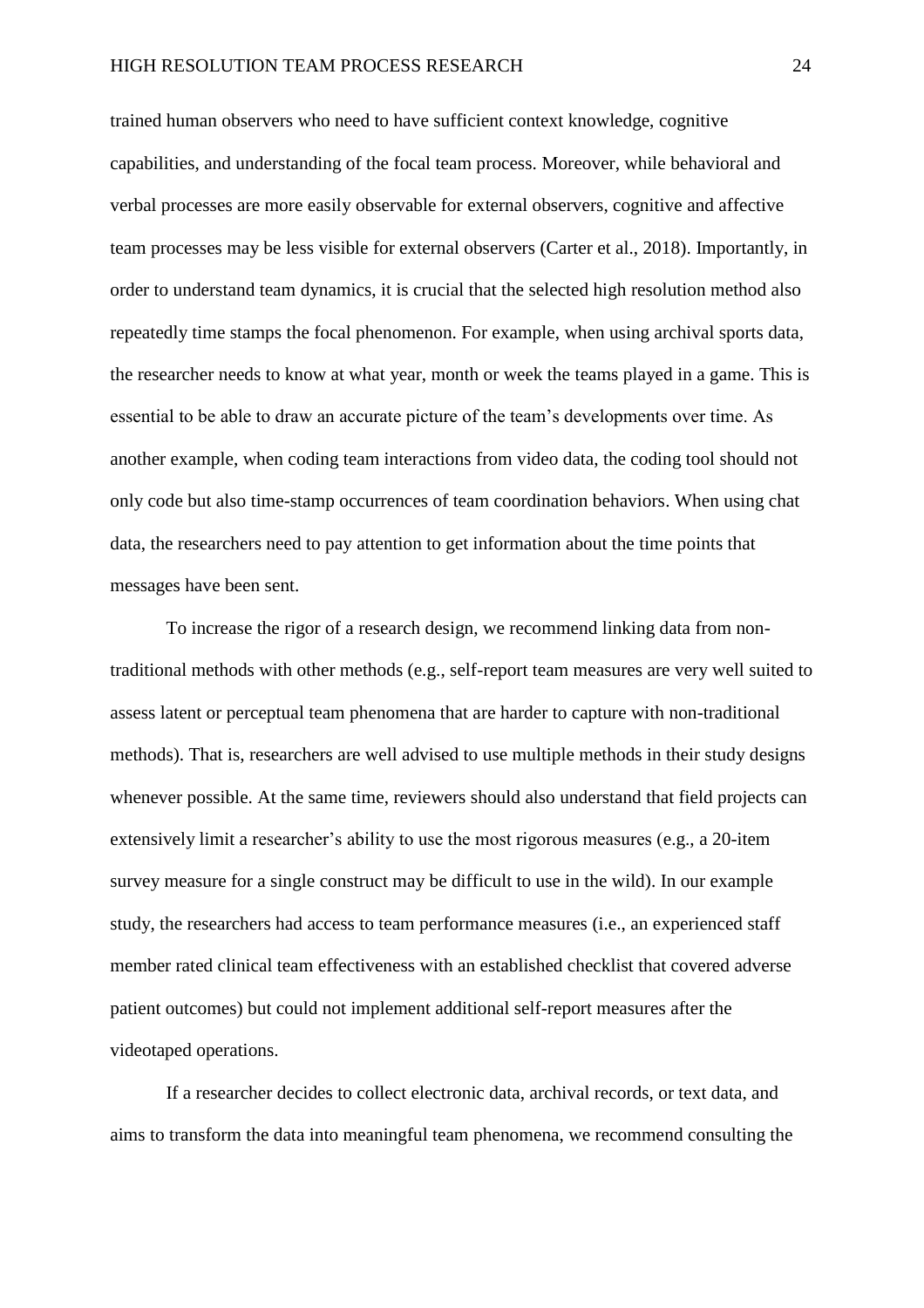trained human observers who need to have sufficient context knowledge, cognitive capabilities, and understanding of the focal team process. Moreover, while behavioral and verbal processes are more easily observable for external observers, cognitive and affective team processes may be less visible for external observers (Carter et al., 2018). Importantly, in order to understand team dynamics, it is crucial that the selected high resolution method also repeatedly time stamps the focal phenomenon. For example, when using archival sports data, the researcher needs to know at what year, month or week the teams played in a game. This is essential to be able to draw an accurate picture of the team's developments over time. As another example, when coding team interactions from video data, the coding tool should not only code but also time-stamp occurrences of team coordination behaviors. When using chat data, the researchers need to pay attention to get information about the time points that messages have been sent.

To increase the rigor of a research design, we recommend linking data from nontraditional methods with other methods (e.g., self-report team measures are very well suited to assess latent or perceptual team phenomena that are harder to capture with non-traditional methods). That is, researchers are well advised to use multiple methods in their study designs whenever possible. At the same time, reviewers should also understand that field projects can extensively limit a researcher's ability to use the most rigorous measures (e.g., a 20-item survey measure for a single construct may be difficult to use in the wild). In our example study, the researchers had access to team performance measures (i.e., an experienced staff member rated clinical team effectiveness with an established checklist that covered adverse patient outcomes) but could not implement additional self-report measures after the videotaped operations.

If a researcher decides to collect electronic data, archival records, or text data, and aims to transform the data into meaningful team phenomena, we recommend consulting the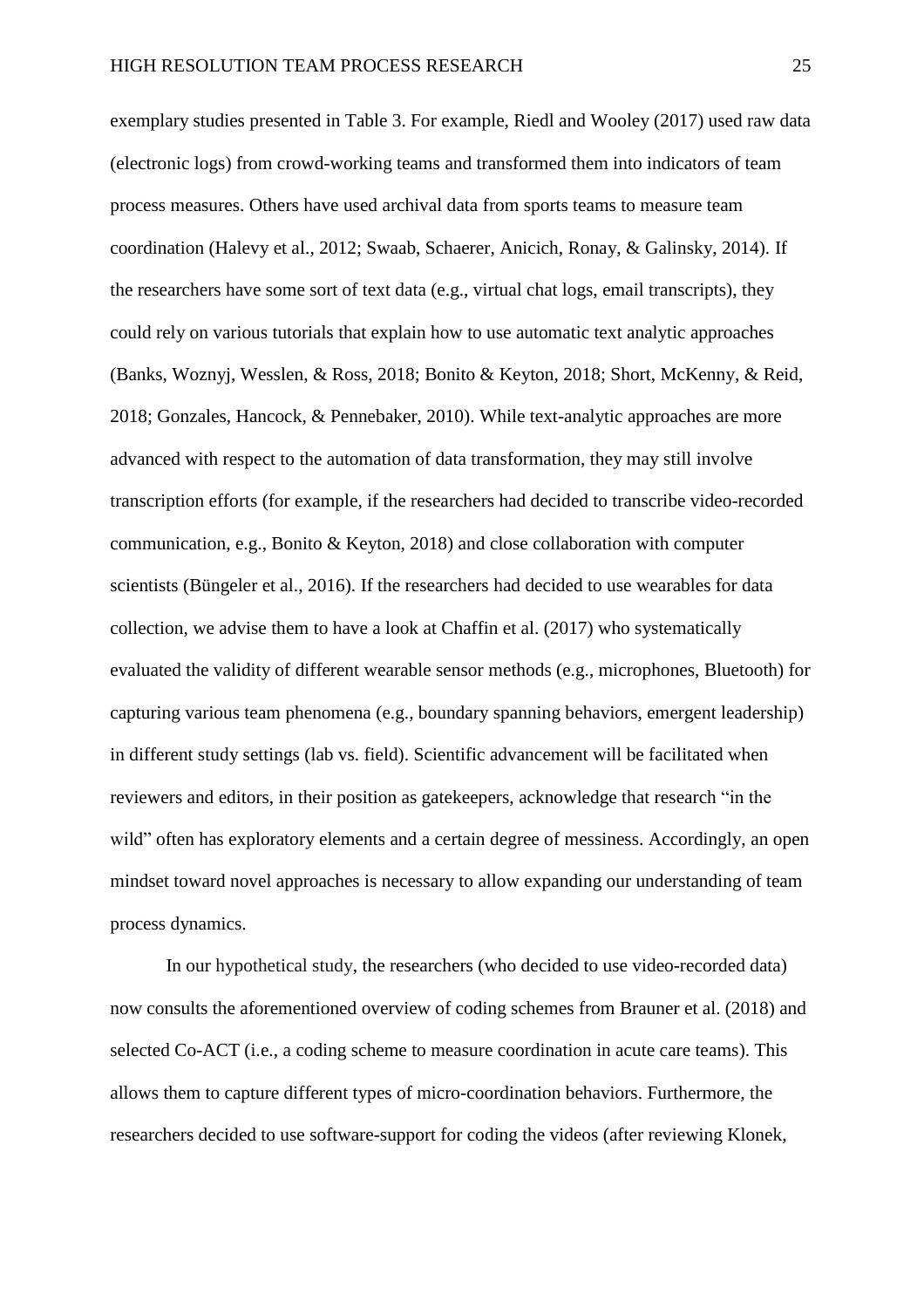exemplary studies presented in Table 3. For example, Riedl and Wooley (2017) used raw data (electronic logs) from crowd-working teams and transformed them into indicators of team process measures. Others have used archival data from sports teams to measure team coordination (Halevy et al., 2012; Swaab, Schaerer, Anicich, Ronay, & Galinsky, 2014). If the researchers have some sort of text data (e.g., virtual chat logs, email transcripts), they could rely on various tutorials that explain how to use automatic text analytic approaches (Banks, Woznyj, Wesslen, & Ross, 2018; Bonito & Keyton, 2018; Short, McKenny, & Reid, 2018; Gonzales, Hancock, & Pennebaker, 2010). While text-analytic approaches are more advanced with respect to the automation of data transformation, they may still involve transcription efforts (for example, if the researchers had decided to transcribe video-recorded communication, e.g., Bonito & Keyton, 2018) and close collaboration with computer scientists (Büngeler et al., 2016). If the researchers had decided to use wearables for data collection, we advise them to have a look at Chaffin et al. (2017) who systematically evaluated the validity of different wearable sensor methods (e.g., microphones, Bluetooth) for capturing various team phenomena (e.g., boundary spanning behaviors, emergent leadership) in different study settings (lab vs. field). Scientific advancement will be facilitated when reviewers and editors, in their position as gatekeepers, acknowledge that research "in the wild" often has exploratory elements and a certain degree of messiness. Accordingly, an open mindset toward novel approaches is necessary to allow expanding our understanding of team process dynamics.

In our hypothetical study, the researchers (who decided to use video-recorded data) now consults the aforementioned overview of coding schemes from Brauner et al. (2018) and selected Co-ACT (i.e., a coding scheme to measure coordination in acute care teams). This allows them to capture different types of micro-coordination behaviors. Furthermore, the researchers decided to use software-support for coding the videos (after reviewing Klonek,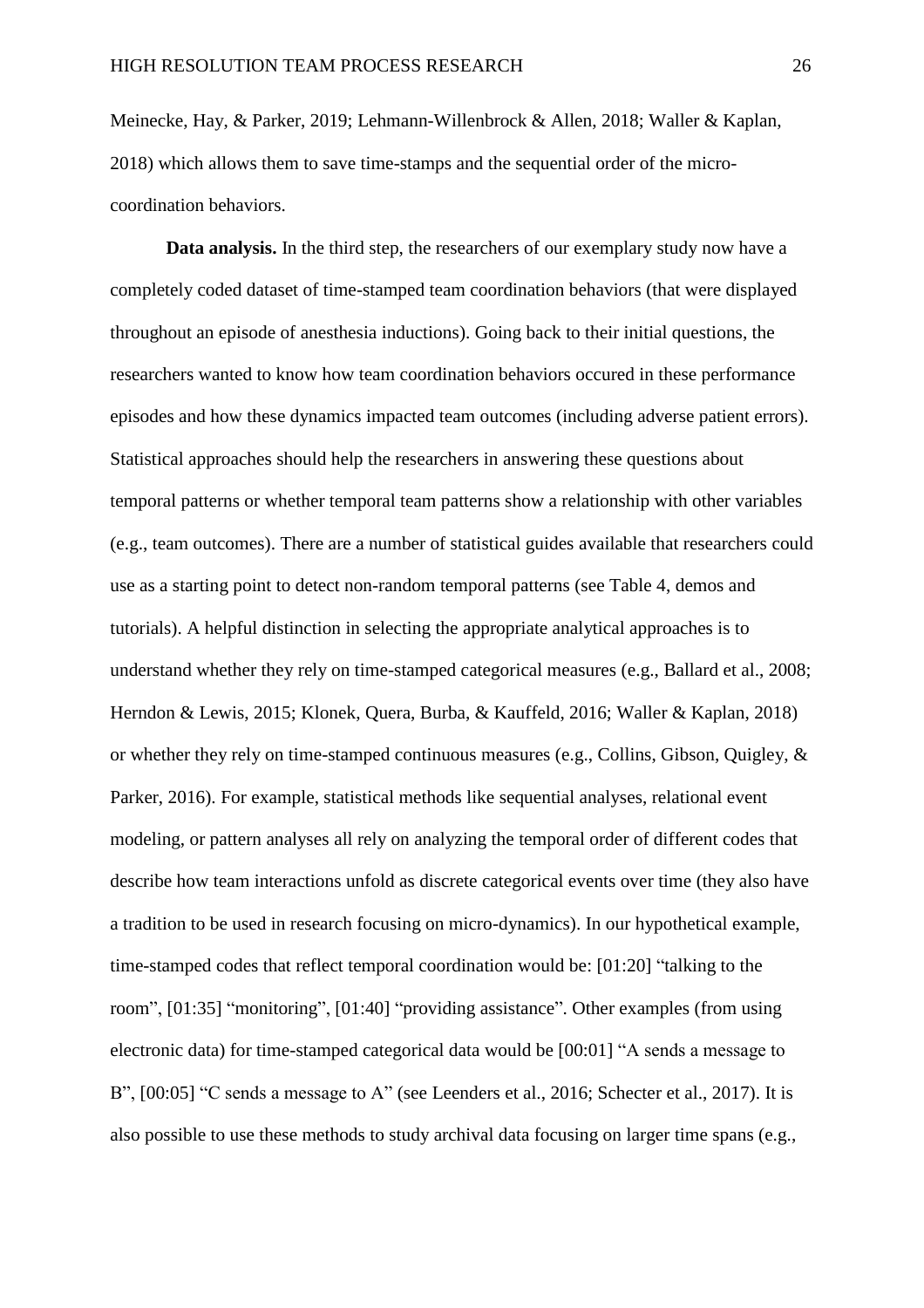Meinecke, Hay, & Parker, 2019; Lehmann-Willenbrock & Allen, 2018; Waller & Kaplan, 2018) which allows them to save time-stamps and the sequential order of the microcoordination behaviors.

**Data analysis.** In the third step, the researchers of our exemplary study now have a completely coded dataset of time-stamped team coordination behaviors (that were displayed throughout an episode of anesthesia inductions). Going back to their initial questions, the researchers wanted to know how team coordination behaviors occured in these performance episodes and how these dynamics impacted team outcomes (including adverse patient errors). Statistical approaches should help the researchers in answering these questions about temporal patterns or whether temporal team patterns show a relationship with other variables (e.g., team outcomes). There are a number of statistical guides available that researchers could use as a starting point to detect non-random temporal patterns (see Table 4, demos and tutorials). A helpful distinction in selecting the appropriate analytical approaches is to understand whether they rely on time-stamped categorical measures (e.g., Ballard et al., 2008; Herndon & Lewis, 2015; Klonek, Quera, Burba, & Kauffeld, 2016; Waller & Kaplan, 2018) or whether they rely on time-stamped continuous measures (e.g., Collins, Gibson, Quigley, & Parker, 2016). For example, statistical methods like sequential analyses, relational event modeling, or pattern analyses all rely on analyzing the temporal order of different codes that describe how team interactions unfold as discrete categorical events over time (they also have a tradition to be used in research focusing on micro-dynamics). In our hypothetical example, time-stamped codes that reflect temporal coordination would be: [01:20] "talking to the room", [01:35] "monitoring", [01:40] "providing assistance". Other examples (from using electronic data) for time-stamped categorical data would be [00:01] "A sends a message to B", [00:05] "C sends a message to A" (see Leenders et al., 2016; Schecter et al., 2017). It is also possible to use these methods to study archival data focusing on larger time spans (e.g.,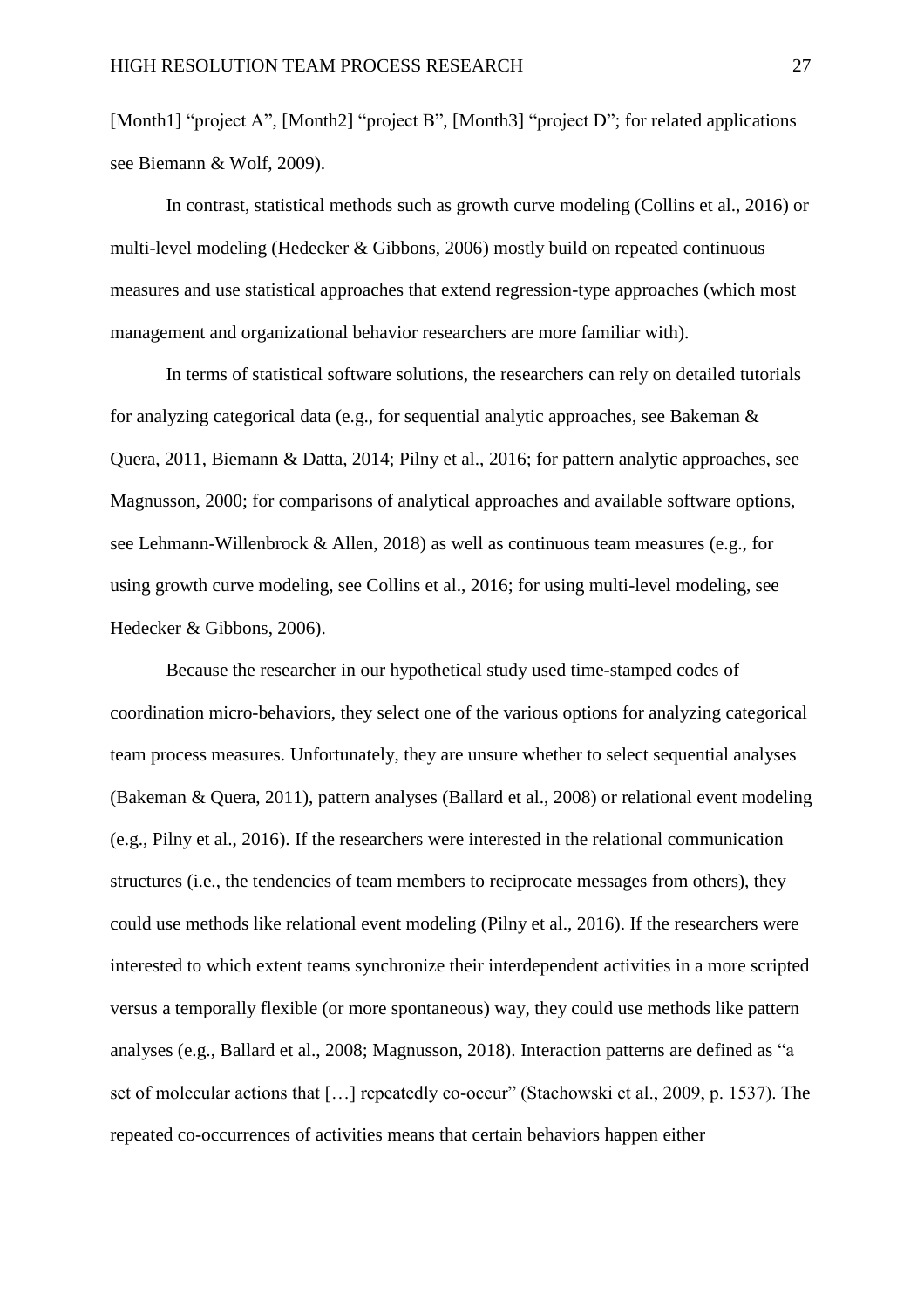[Month1] "project A", [Month2] "project B", [Month3] "project D"; for related applications see Biemann & Wolf, 2009).

In contrast, statistical methods such as growth curve modeling (Collins et al., 2016) or multi-level modeling (Hedecker & Gibbons, 2006) mostly build on repeated continuous measures and use statistical approaches that extend regression-type approaches (which most management and organizational behavior researchers are more familiar with).

In terms of statistical software solutions, the researchers can rely on detailed tutorials for analyzing categorical data (e.g., for sequential analytic approaches, see Bakeman & Quera, 2011, Biemann & Datta, 2014; Pilny et al., 2016; for pattern analytic approaches, see Magnusson, 2000; for comparisons of analytical approaches and available software options, see Lehmann-Willenbrock & Allen, 2018) as well as continuous team measures (e.g., for using growth curve modeling, see Collins et al., 2016; for using multi-level modeling, see Hedecker & Gibbons, 2006).

Because the researcher in our hypothetical study used time-stamped codes of coordination micro-behaviors, they select one of the various options for analyzing categorical team process measures. Unfortunately, they are unsure whether to select sequential analyses (Bakeman & Quera, 2011), pattern analyses (Ballard et al., 2008) or relational event modeling (e.g., Pilny et al., 2016). If the researchers were interested in the relational communication structures (i.e., the tendencies of team members to reciprocate messages from others), they could use methods like relational event modeling (Pilny et al., 2016). If the researchers were interested to which extent teams synchronize their interdependent activities in a more scripted versus a temporally flexible (or more spontaneous) way, they could use methods like pattern analyses (e.g., Ballard et al., 2008; Magnusson, 2018). Interaction patterns are defined as "a set of molecular actions that […] repeatedly co-occur" (Stachowski et al., 2009, p. 1537). The repeated co-occurrences of activities means that certain behaviors happen either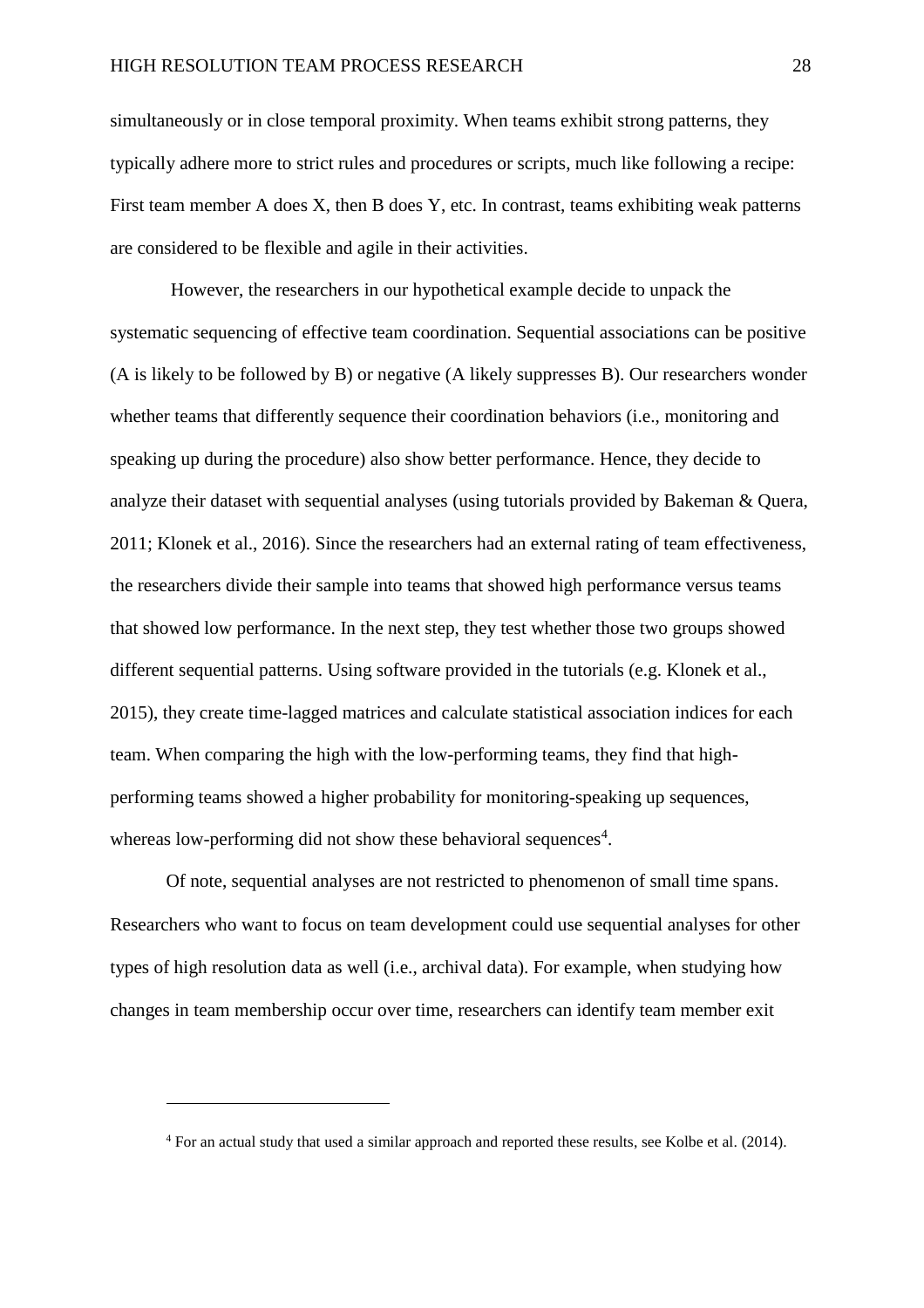simultaneously or in close temporal proximity. When teams exhibit strong patterns, they typically adhere more to strict rules and procedures or scripts, much like following a recipe: First team member A does X, then B does Y, etc. In contrast, teams exhibiting weak patterns are considered to be flexible and agile in their activities.

However, the researchers in our hypothetical example decide to unpack the systematic sequencing of effective team coordination. Sequential associations can be positive (A is likely to be followed by B) or negative (A likely suppresses B). Our researchers wonder whether teams that differently sequence their coordination behaviors (i.e., monitoring and speaking up during the procedure) also show better performance. Hence, they decide to analyze their dataset with sequential analyses (using tutorials provided by Bakeman & Quera, 2011; Klonek et al., 2016). Since the researchers had an external rating of team effectiveness, the researchers divide their sample into teams that showed high performance versus teams that showed low performance. In the next step, they test whether those two groups showed different sequential patterns. Using software provided in the tutorials (e.g. Klonek et al., 2015), they create time-lagged matrices and calculate statistical association indices for each team. When comparing the high with the low-performing teams, they find that highperforming teams showed a higher probability for monitoring-speaking up sequences, whereas low-performing did not show these behavioral sequences<sup>4</sup>.

Of note, sequential analyses are not restricted to phenomenon of small time spans. Researchers who want to focus on team development could use sequential analyses for other types of high resolution data as well (i.e., archival data). For example, when studying how changes in team membership occur over time, researchers can identify team member exit

 $\overline{a}$ 

<sup>4</sup> For an actual study that used a similar approach and reported these results, see Kolbe et al. (2014).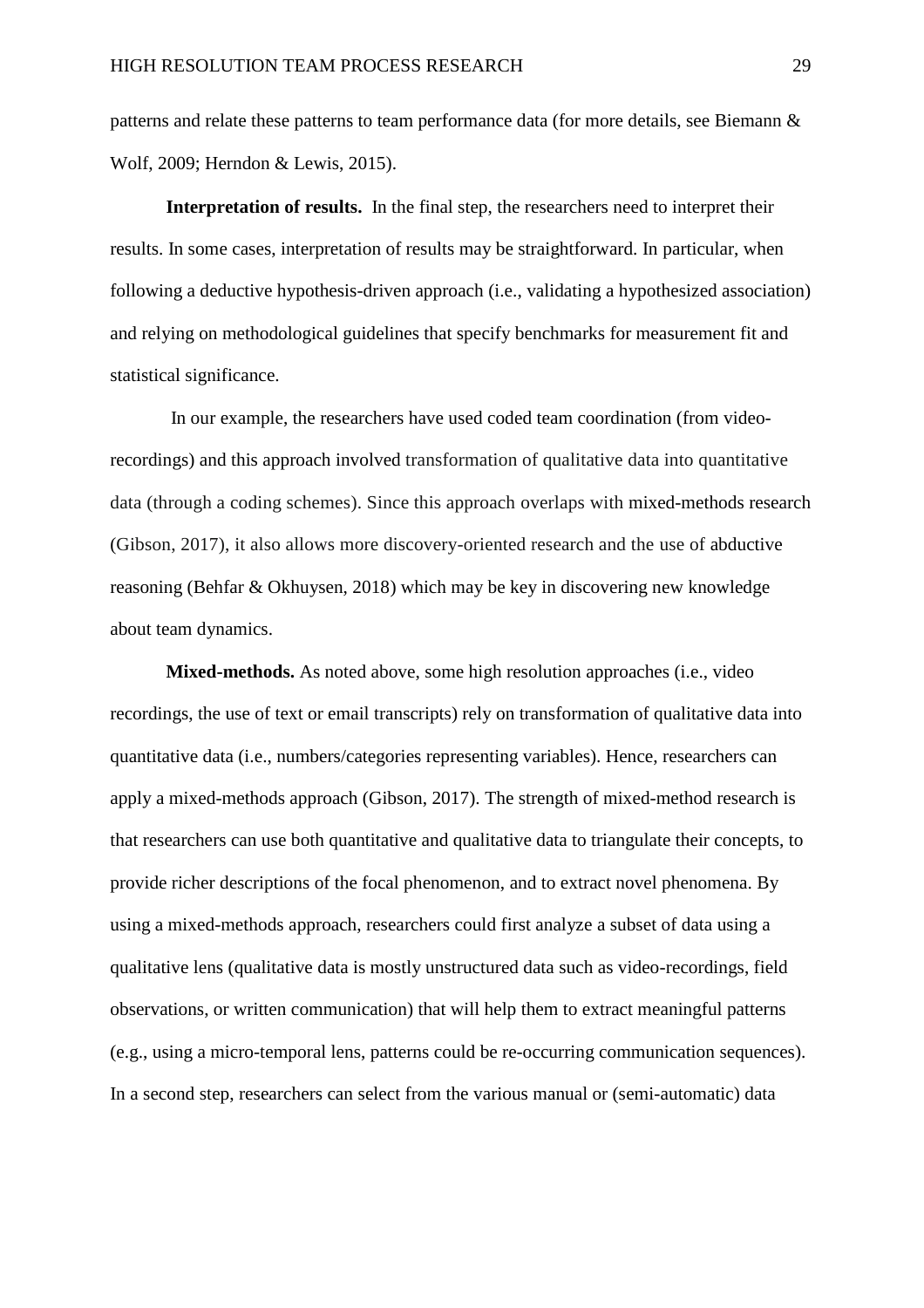patterns and relate these patterns to team performance data (for more details, see Biemann & Wolf, 2009; Herndon & Lewis, 2015).

**Interpretation of results.** In the final step, the researchers need to interpret their results. In some cases, interpretation of results may be straightforward. In particular, when following a deductive hypothesis-driven approach (i.e., validating a hypothesized association) and relying on methodological guidelines that specify benchmarks for measurement fit and statistical significance.

In our example, the researchers have used coded team coordination (from videorecordings) and this approach involved transformation of qualitative data into quantitative data (through a coding schemes). Since this approach overlaps with mixed-methods research (Gibson, 2017), it also allows more discovery-oriented research and the use of abductive reasoning (Behfar & Okhuysen, 2018) which may be key in discovering new knowledge about team dynamics.

**Mixed-methods.** As noted above, some high resolution approaches (i.e., video recordings, the use of text or email transcripts) rely on transformation of qualitative data into quantitative data (i.e., numbers/categories representing variables). Hence, researchers can apply a mixed-methods approach (Gibson, 2017). The strength of mixed-method research is that researchers can use both quantitative and qualitative data to triangulate their concepts, to provide richer descriptions of the focal phenomenon, and to extract novel phenomena. By using a mixed-methods approach, researchers could first analyze a subset of data using a qualitative lens (qualitative data is mostly unstructured data such as video-recordings, field observations, or written communication) that will help them to extract meaningful patterns (e.g., using a micro-temporal lens, patterns could be re-occurring communication sequences). In a second step, researchers can select from the various manual or (semi-automatic) data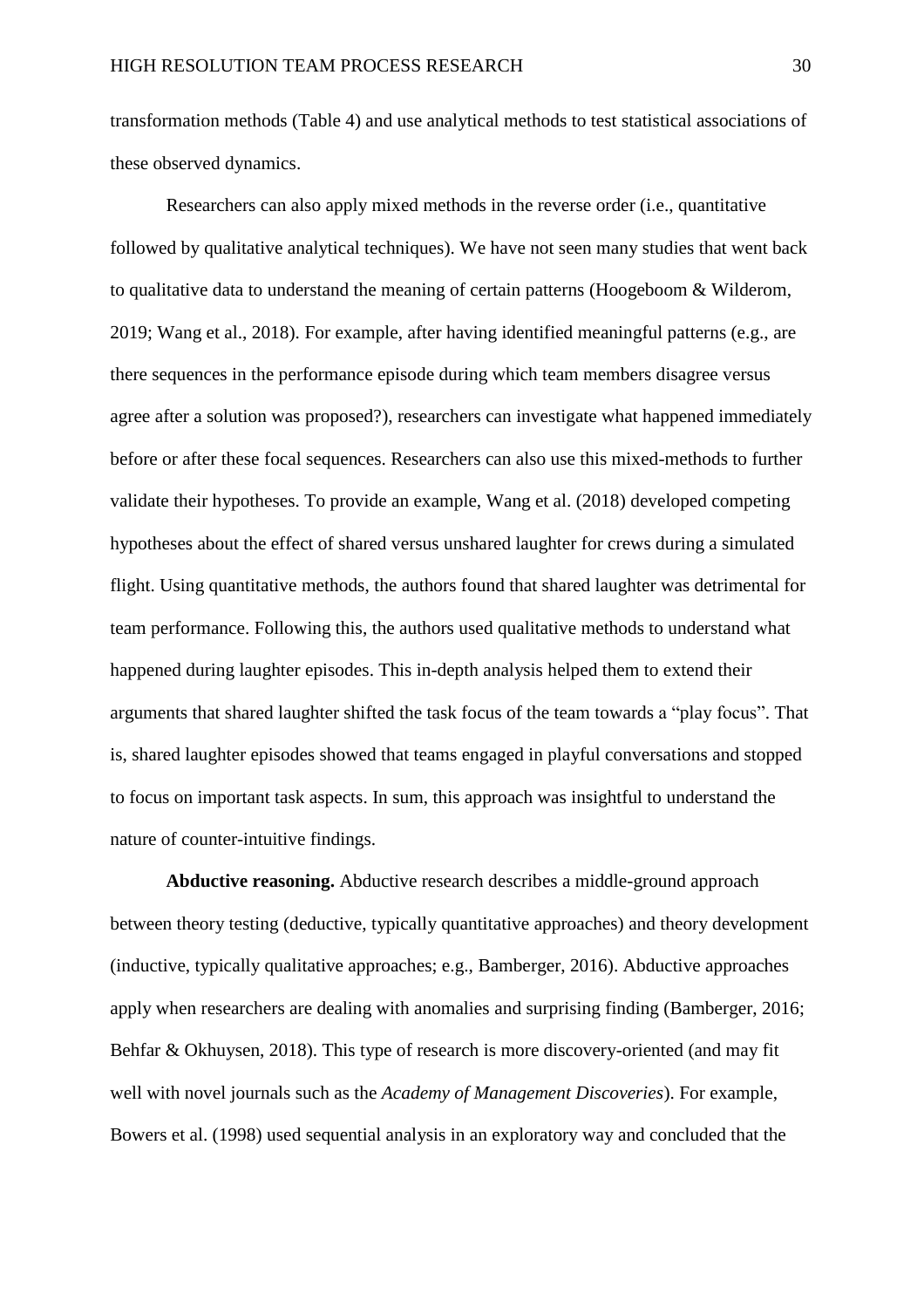transformation methods (Table 4) and use analytical methods to test statistical associations of these observed dynamics.

Researchers can also apply mixed methods in the reverse order (i.e., quantitative followed by qualitative analytical techniques). We have not seen many studies that went back to qualitative data to understand the meaning of certain patterns (Hoogeboom & Wilderom, 2019; Wang et al., 2018). For example, after having identified meaningful patterns (e.g., are there sequences in the performance episode during which team members disagree versus agree after a solution was proposed?), researchers can investigate what happened immediately before or after these focal sequences. Researchers can also use this mixed-methods to further validate their hypotheses. To provide an example, Wang et al. (2018) developed competing hypotheses about the effect of shared versus unshared laughter for crews during a simulated flight. Using quantitative methods, the authors found that shared laughter was detrimental for team performance. Following this, the authors used qualitative methods to understand what happened during laughter episodes. This in-depth analysis helped them to extend their arguments that shared laughter shifted the task focus of the team towards a "play focus". That is, shared laughter episodes showed that teams engaged in playful conversations and stopped to focus on important task aspects. In sum, this approach was insightful to understand the nature of counter-intuitive findings.

**Abductive reasoning.** Abductive research describes a middle-ground approach between theory testing (deductive, typically quantitative approaches) and theory development (inductive, typically qualitative approaches; e.g., Bamberger, 2016). Abductive approaches apply when researchers are dealing with anomalies and surprising finding (Bamberger, 2016; Behfar & Okhuysen, 2018). This type of research is more discovery-oriented (and may fit well with novel journals such as the *Academy of Management Discoveries*). For example, Bowers et al. (1998) used sequential analysis in an exploratory way and concluded that the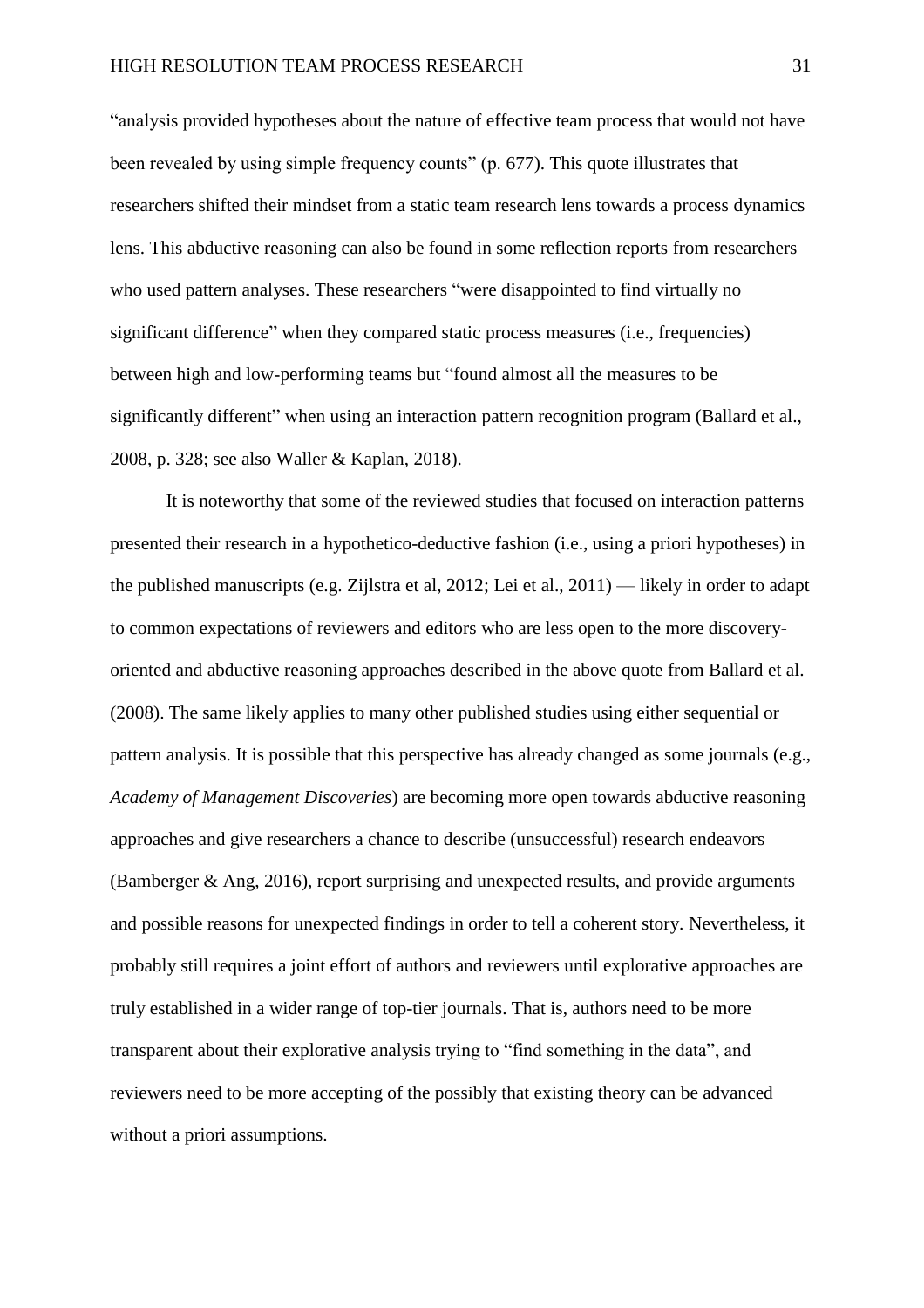"analysis provided hypotheses about the nature of effective team process that would not have been revealed by using simple frequency counts" (p. 677). This quote illustrates that researchers shifted their mindset from a static team research lens towards a process dynamics lens. This abductive reasoning can also be found in some reflection reports from researchers who used pattern analyses. These researchers "were disappointed to find virtually no significant difference" when they compared static process measures (i.e., frequencies) between high and low-performing teams but "found almost all the measures to be significantly different" when using an interaction pattern recognition program (Ballard et al., 2008, p. 328; see also Waller & Kaplan, 2018).

It is noteworthy that some of the reviewed studies that focused on interaction patterns presented their research in a hypothetico-deductive fashion (i.e., using a priori hypotheses) in the published manuscripts (e.g. Zijlstra et al, 2012; Lei et al., 2011) — likely in order to adapt to common expectations of reviewers and editors who are less open to the more discoveryoriented and abductive reasoning approaches described in the above quote from Ballard et al. (2008). The same likely applies to many other published studies using either sequential or pattern analysis. It is possible that this perspective has already changed as some journals (e.g., *Academy of Management Discoveries*) are becoming more open towards abductive reasoning approaches and give researchers a chance to describe (unsuccessful) research endeavors (Bamberger & Ang, 2016), report surprising and unexpected results, and provide arguments and possible reasons for unexpected findings in order to tell a coherent story. Nevertheless, it probably still requires a joint effort of authors and reviewers until explorative approaches are truly established in a wider range of top-tier journals. That is, authors need to be more transparent about their explorative analysis trying to "find something in the data", and reviewers need to be more accepting of the possibly that existing theory can be advanced without a priori assumptions.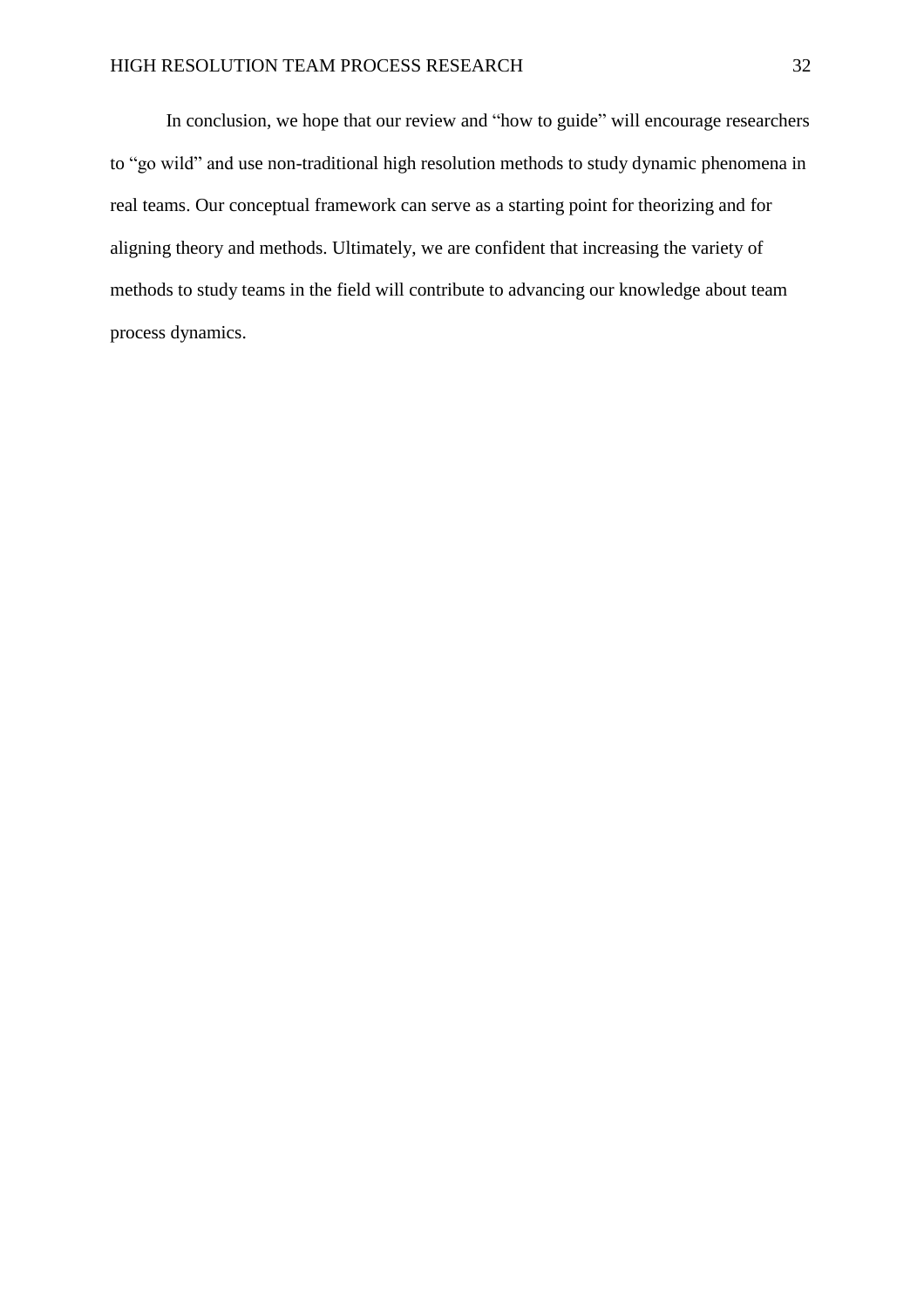In conclusion, we hope that our review and "how to guide" will encourage researchers to "go wild" and use non-traditional high resolution methods to study dynamic phenomena in real teams. Our conceptual framework can serve as a starting point for theorizing and for aligning theory and methods. Ultimately, we are confident that increasing the variety of methods to study teams in the field will contribute to advancing our knowledge about team process dynamics.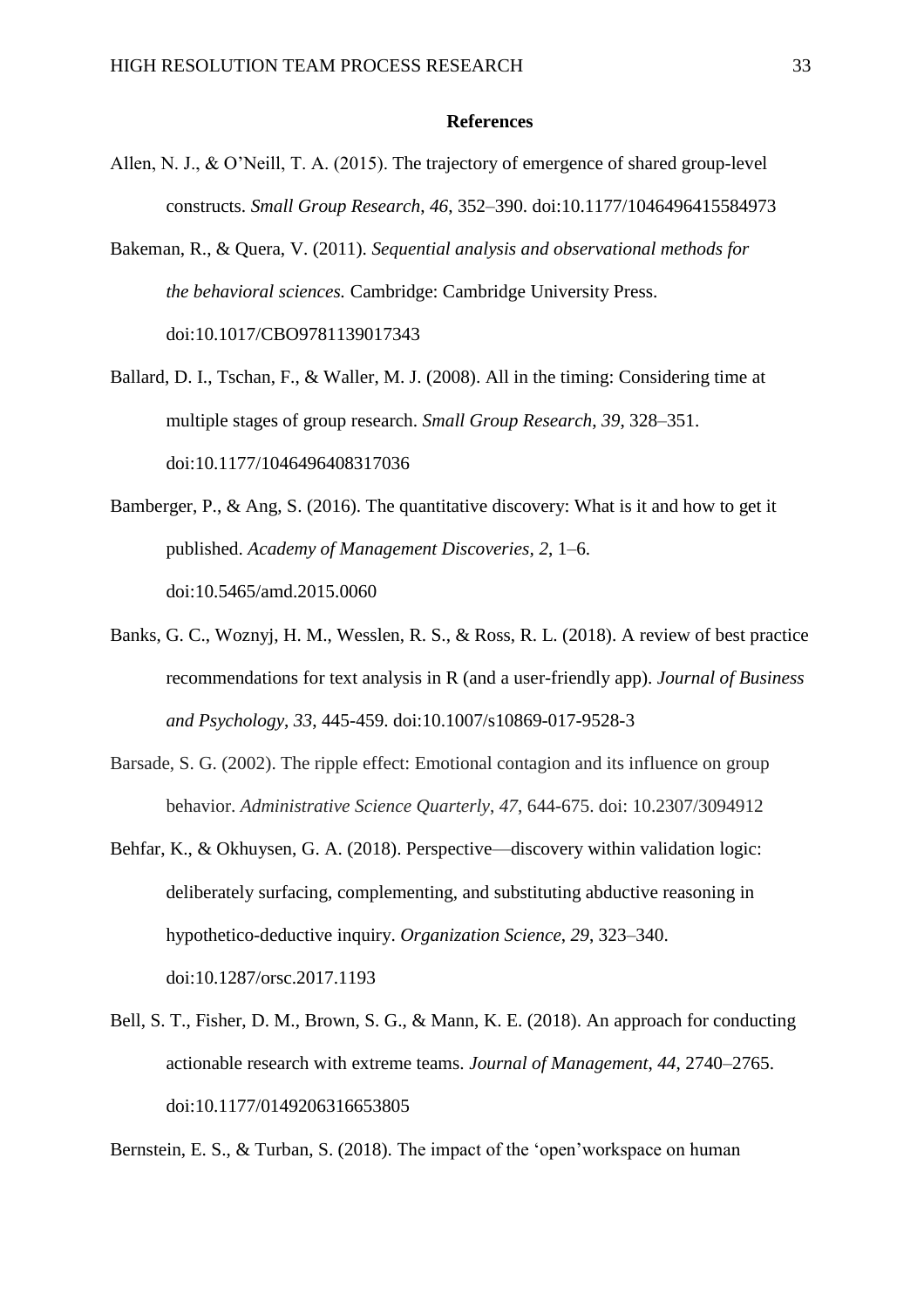#### **References**

- Allen, N. J., & O'Neill, T. A. (2015). The trajectory of emergence of shared group-level constructs. *Small Group Research*, *46*, 352–390. doi:10.1177/1046496415584973
- Bakeman, R., & Quera, V. (2011). *Sequential analysis and observational methods for the behavioral sciences.* Cambridge: Cambridge University Press. doi:10.1017/CBO9781139017343
- Ballard, D. I., Tschan, F., & Waller, M. J. (2008). All in the timing: Considering time at multiple stages of group research. *Small Group Research*, *39*, 328–351. doi:10.1177/1046496408317036
- Bamberger, P., & Ang, S. (2016). The quantitative discovery: What is it and how to get it published. *Academy of Management Discoveries, 2*, 1–6. doi:10.5465/amd.2015.0060
- Banks, G. C., Woznyj, H. M., Wesslen, R. S., & Ross, R. L. (2018). A review of best practice recommendations for text analysis in R (and a user-friendly app). *Journal of Business and Psychology*, *33*, 445-459. doi:10.1007/s10869-017-9528-3
- Barsade, S. G. (2002). The ripple effect: Emotional contagion and its influence on group behavior. *Administrative Science Quarterly*, *47*, 644-675. doi: 10.2307/3094912
- Behfar, K., & Okhuysen, G. A. (2018). Perspective—discovery within validation logic: deliberately surfacing, complementing, and substituting abductive reasoning in hypothetico-deductive inquiry. *Organization Science*, *29*, 323–340. doi:10.1287/orsc.2017.1193
- Bell, S. T., Fisher, D. M., Brown, S. G., & Mann, K. E. (2018). An approach for conducting actionable research with extreme teams. *Journal of Management*, *44*, 2740–2765. doi[:10.1177/0149206316653805](https://doi.org/10.1177%2F0149206316653805)

Bernstein, E. S., & Turban, S. (2018). The impact of the 'open' workspace on human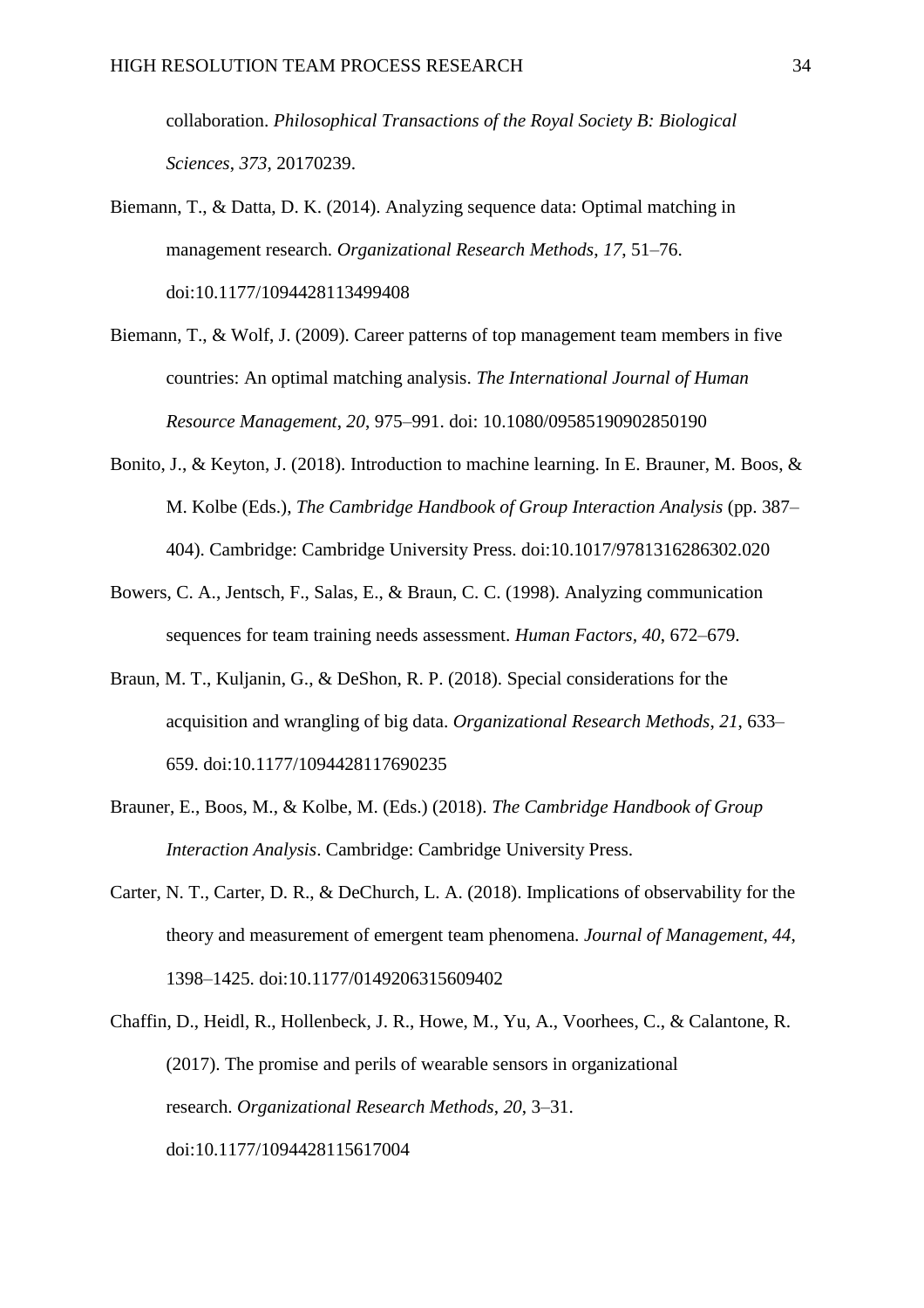collaboration. *Philosophical Transactions of the Royal Society B: Biological Sciences*, *373*, 20170239.

- Biemann, T., & Datta, D. K. (2014). Analyzing sequence data: Optimal matching in management research. *Organizational Research Methods*, *17*, 51–76. doi:10.1177/1094428113499408
- Biemann, T., & Wolf, J. (2009). Career patterns of top management team members in five countries: An optimal matching analysis. *The International Journal of Human Resource Management*, *20*, 975–991. doi: 10.1080/09585190902850190
- Bonito, J., & Keyton, J. (2018). Introduction to machine learning. In E. Brauner, M. Boos, & M. Kolbe (Eds.), *The Cambridge Handbook of Group Interaction Analysis* (pp. 387– 404). Cambridge: Cambridge University Press. doi:10.1017/9781316286302.020
- Bowers, C. A., Jentsch, F., Salas, E., & Braun, C. C. (1998). Analyzing communication sequences for team training needs assessment. *Human Factors, 40*, 672–679.
- Braun, M. T., Kuljanin, G., & DeShon, R. P. (2018). Special considerations for the acquisition and wrangling of big data. *Organizational Research Methods*, *21*, 633– 659. doi:10.1177/1094428117690235
- Brauner, E., Boos, M., & Kolbe, M. (Eds.) (2018). *The Cambridge Handbook of Group Interaction Analysis*. Cambridge: Cambridge University Press.
- Carter, N. T., Carter, D. R., & DeChurch, L. A. (2018). Implications of observability for the theory and measurement of emergent team phenomena. *Journal of Management, 44*, 1398–1425. doi:10.1177/0149206315609402
- Chaffin, D., Heidl, R., Hollenbeck, J. R., Howe, M., Yu, A., Voorhees, C., & Calantone, R. (2017). The promise and perils of wearable sensors in organizational research. *Organizational Research Methods*, *20*, 3–31. doi:10.1177/1094428115617004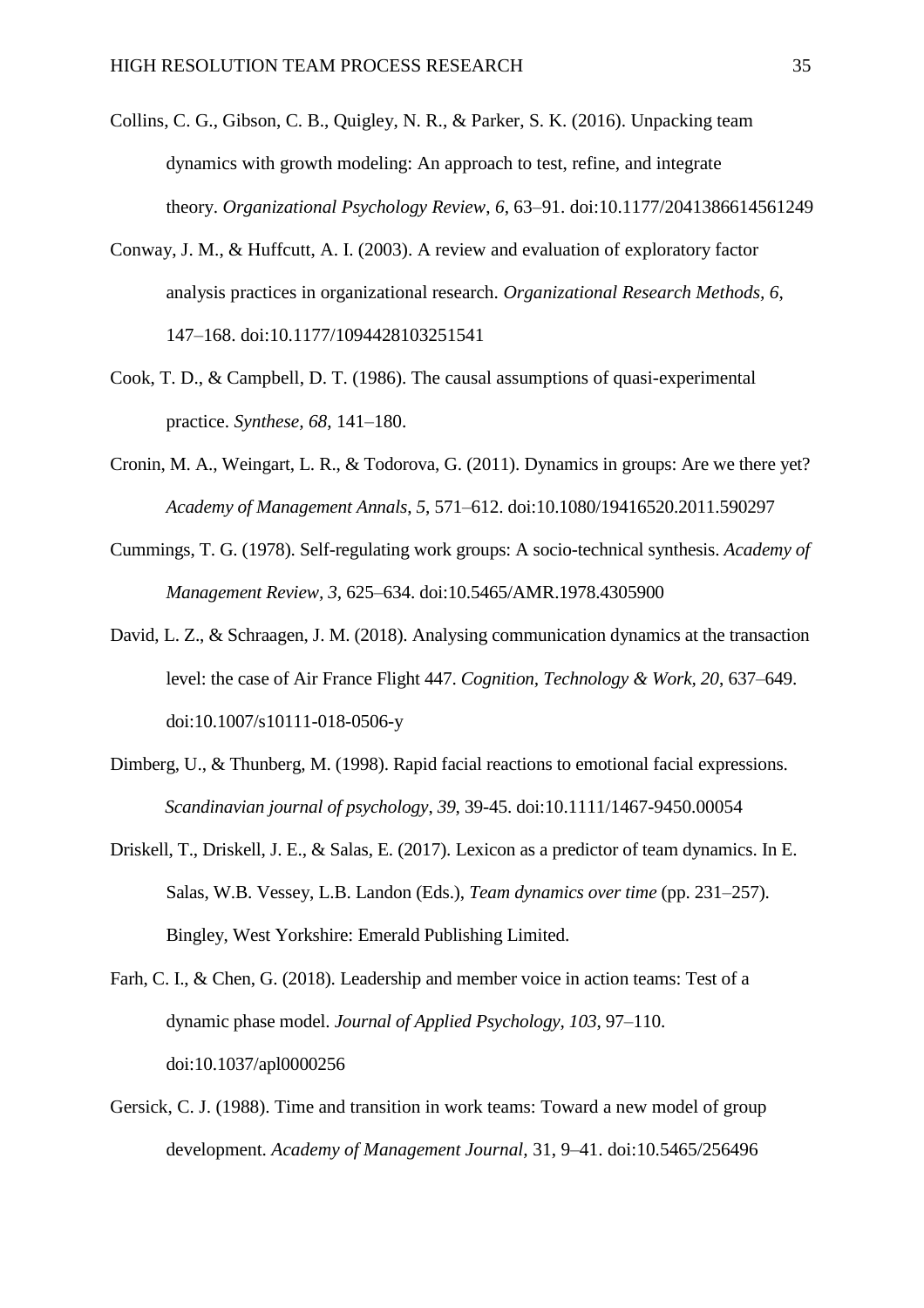- Collins, C. G., Gibson, C. B., Quigley, N. R., & Parker, S. K. (2016). Unpacking team dynamics with growth modeling: An approach to test, refine, and integrate theory. *Organizational Psychology Review*, *6*, 63–91. doi:10.1177/2041386614561249
- Conway, J. M., & Huffcutt, A. I. (2003). A review and evaluation of exploratory factor analysis practices in organizational research. *Organizational Research Methods, 6*, 147–168. doi:10.1177/1094428103251541
- Cook, T. D., & Campbell, D. T. (1986). The causal assumptions of quasi-experimental practice. *Synthese, 68*, 141–180.
- Cronin, M. A., Weingart, L. R., & Todorova, G. (2011). Dynamics in groups: Are we there yet? *Academy of Management Annals*, *5*, 571–612. doi:10.1080/19416520.2011.590297
- Cummings, T. G. (1978). Self-regulating work groups: A socio-technical synthesis. *Academy of Management Review, 3*, 625–634. doi:10.5465/AMR.1978.4305900
- David, L. Z., & Schraagen, J. M. (2018). Analysing communication dynamics at the transaction level: the case of Air France Flight 447. *Cognition, Technology & Work, 20*, 637–649. doi:10.1007/s10111-018-0506-y
- Dimberg, U., & Thunberg, M. (1998). Rapid facial reactions to emotional facial expressions. *Scandinavian journal of psychology*, *39*, 39-45. doi:10.1111/1467-9450.00054
- Driskell, T., Driskell, J. E., & Salas, E. (2017). Lexicon as a predictor of team dynamics. In E. Salas, W.B. Vessey, L.B. Landon (Eds.), *Team dynamics over time* (pp. 231–257). Bingley, West Yorkshire: Emerald Publishing Limited.
- Farh, C. I., & Chen, G. (2018). Leadership and member voice in action teams: Test of a dynamic phase model. *Journal of Applied Psychology, 103*, 97–110. doi:10.1037/apl0000256
- Gersick, C. J. (1988). Time and transition in work teams: Toward a new model of group development. *Academy of Management Journal,* 31, 9–41. doi:10.5465/256496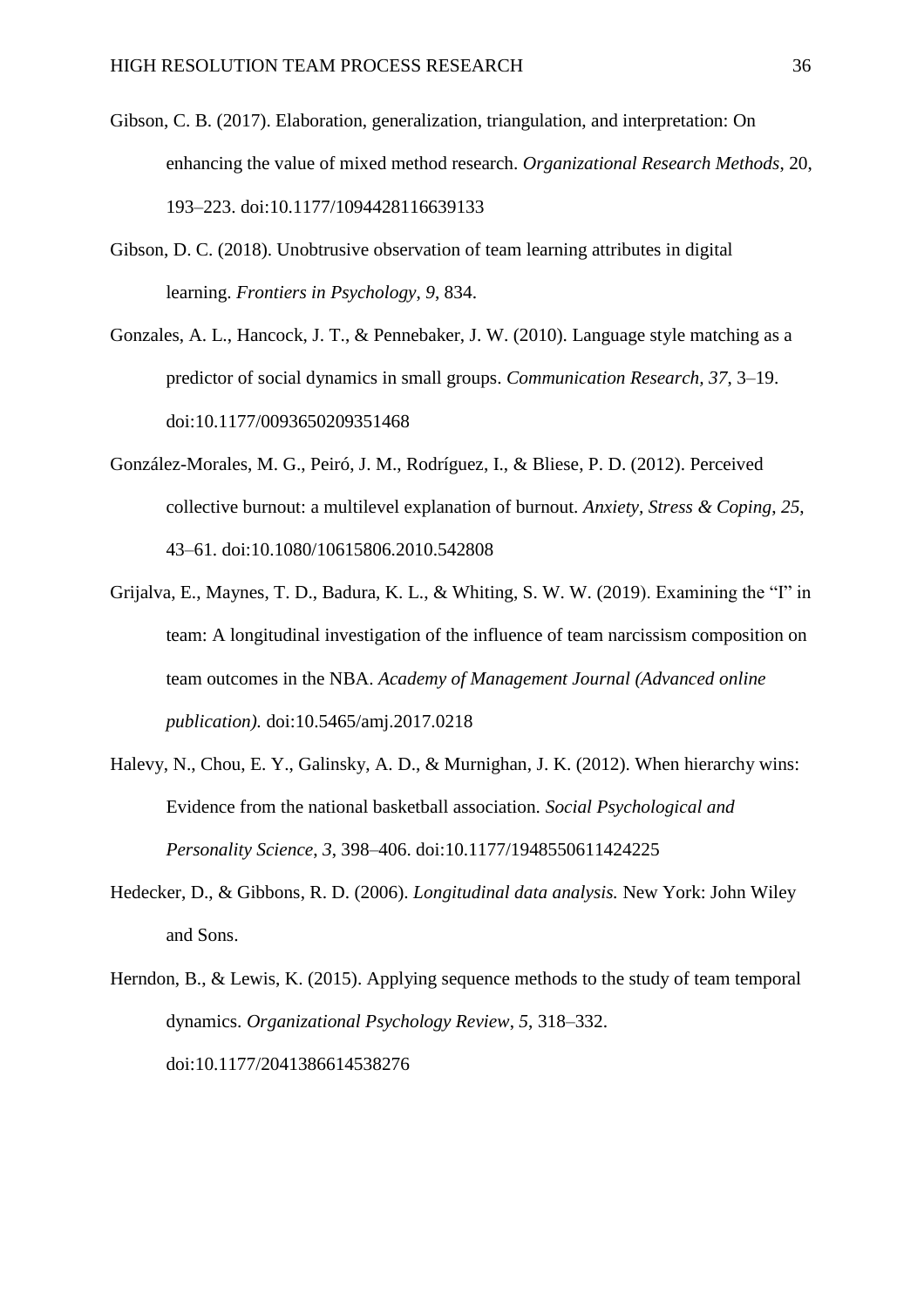- Gibson, C. B. (2017). Elaboration, generalization, triangulation, and interpretation: On enhancing the value of mixed method research. *Organizational Research Methods*, 20, 193–223. doi:10.1177/1094428116639133
- Gibson, D. C. (2018). Unobtrusive observation of team learning attributes in digital learning. *Frontiers in Psychology*, *9*, 834.
- Gonzales, A. L., Hancock, J. T., & Pennebaker, J. W. (2010). Language style matching as a predictor of social dynamics in small groups. *Communication Research, 37*, 3–19. doi:10.1177/0093650209351468
- González-Morales, M. G., Peiró, J. M., Rodríguez, I., & Bliese, P. D. (2012). Perceived collective burnout: a multilevel explanation of burnout. *Anxiety, Stress & Coping*, *25*, 43–61. doi:10.1080/10615806.2010.542808
- Grijalva, E., Maynes, T. D., Badura, K. L., & Whiting, S. W. W. (2019). Examining the "I" in team: A longitudinal investigation of the influence of team narcissism composition on team outcomes in the NBA. *Academy of Management Journal (Advanced online publication).* doi:10.5465/amj.2017.0218
- Halevy, N., Chou, E. Y., Galinsky, A. D., & Murnighan, J. K. (2012). When hierarchy wins: Evidence from the national basketball association. *Social Psychological and Personality Science*, *3*, 398–406. doi:10.1177/1948550611424225
- Hedecker, D., & Gibbons, R. D. (2006). *Longitudinal data analysis.* New York: John Wiley and Sons.
- Herndon, B., & Lewis, K. (2015). Applying sequence methods to the study of team temporal dynamics. *Organizational Psychology Review*, *5*, 318–332. doi:10.1177/2041386614538276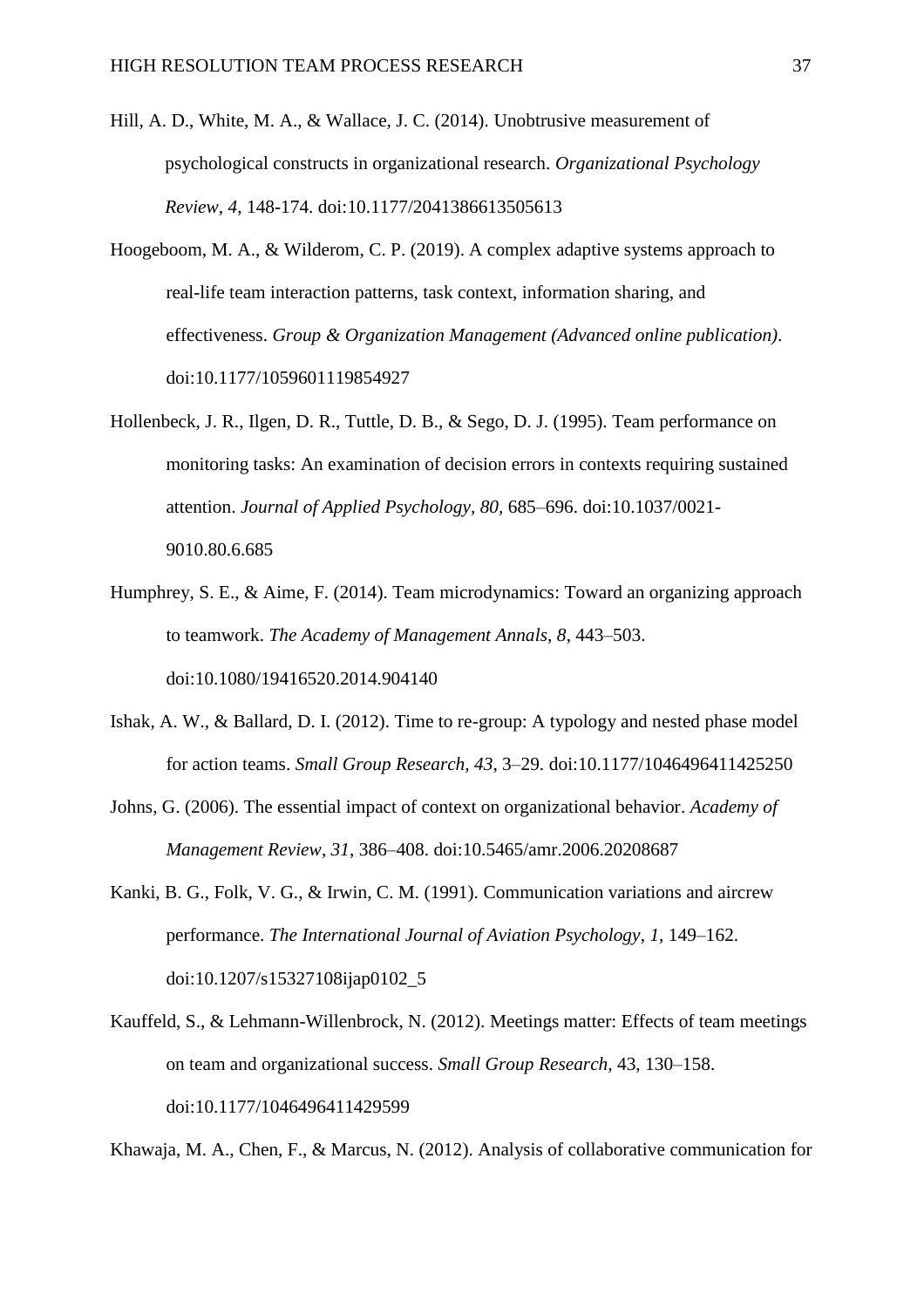- Hill, A. D., White, M. A., & Wallace, J. C. (2014). Unobtrusive measurement of psychological constructs in organizational research. *Organizational Psychology Review*, *4*, 148-174. doi:10.1177/2041386613505613
- Hoogeboom, M. A., & Wilderom, C. P. (2019). A complex adaptive systems approach to real-life team interaction patterns, task context, information sharing, and effectiveness. *Group & Organization Management (Advanced online publication)*. doi:10.1177/1059601119854927
- Hollenbeck, J. R., Ilgen, D. R., Tuttle, D. B., & Sego, D. J. (1995). Team performance on monitoring tasks: An examination of decision errors in contexts requiring sustained attention. *Journal of Applied Psychology, 80,* 685–696. doi:10.1037/0021- 9010.80.6.685
- Humphrey, S. E., & Aime, F. (2014). Team microdynamics: Toward an organizing approach to teamwork. *The Academy of Management Annals, 8*, 443–503. doi:10.1080/19416520.2014.904140
- Ishak, A. W., & Ballard, D. I. (2012). Time to re-group: A typology and nested phase model for action teams. *Small Group Research, 43*, 3–29. doi:10.1177/1046496411425250
- Johns, G. (2006). The essential impact of context on organizational behavior. *Academy of Management Review*, *31*, 386–408. doi:10.5465/amr.2006.20208687
- Kanki, B. G., Folk, V. G., & Irwin, C. M. (1991). Communication variations and aircrew performance. *The International Journal of Aviation Psychology*, *1*, 149–162. doi:10.1207/s15327108ijap0102\_5
- Kauffeld, S., & Lehmann-Willenbrock, N. (2012). Meetings matter: Effects of team meetings on team and organizational success. *Small Group Research,* 43, 130–158. doi:10.1177/1046496411429599

Khawaja, M. A., Chen, F., & Marcus, N. (2012). Analysis of collaborative communication for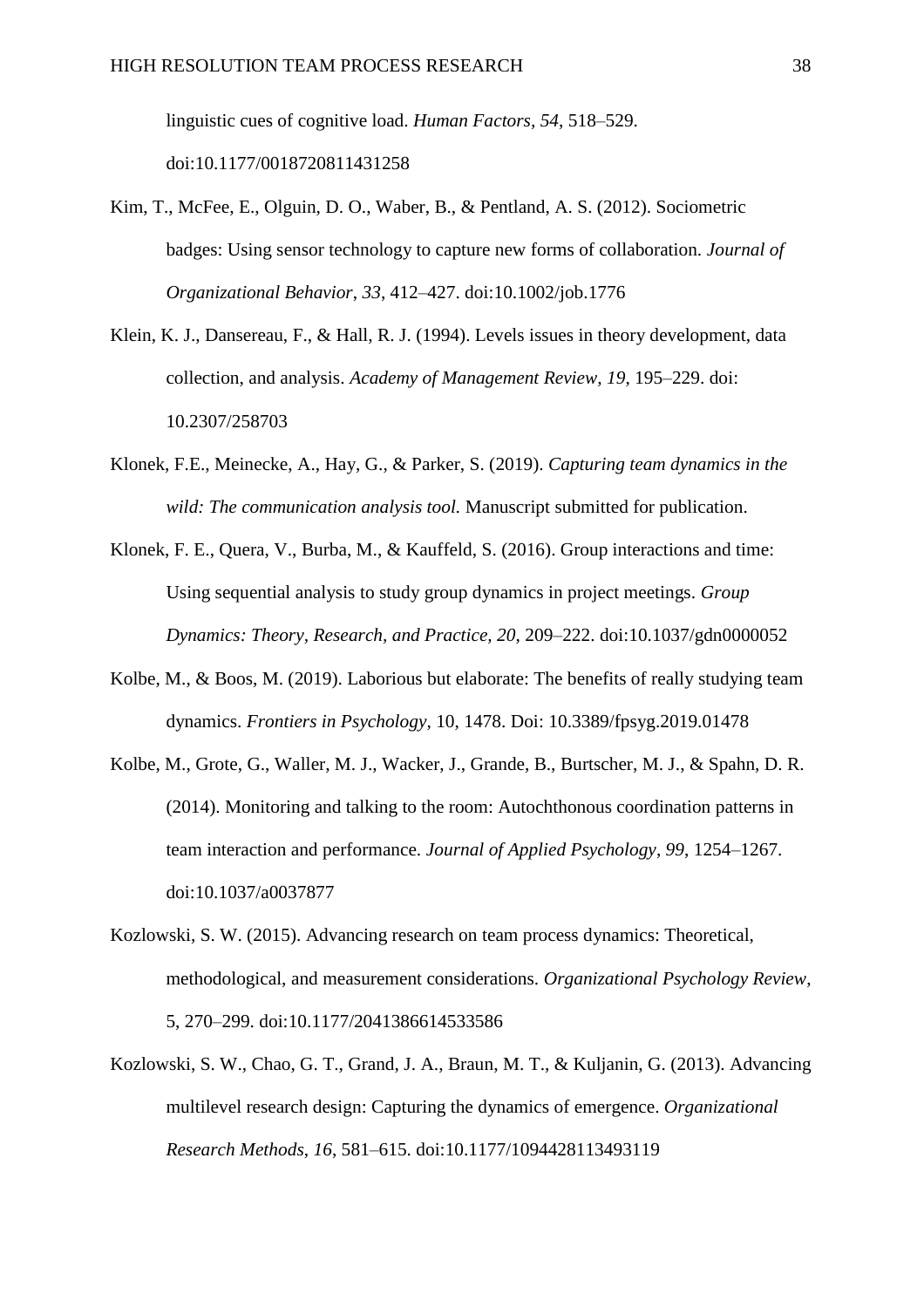linguistic cues of cognitive load. *Human Factors, 54*, 518–529. doi:10.1177/0018720811431258

- Kim, T., McFee, E., Olguin, D. O., Waber, B., & Pentland, A. S. (2012). Sociometric badges: Using sensor technology to capture new forms of collaboration. *Journal of Organizational Behavior*, *33*, 412–427. doi:10.1002/job.1776
- Klein, K. J., Dansereau, F., & Hall, R. J. (1994). Levels issues in theory development, data collection, and analysis. *Academy of Management Review, 19*, 195–229. doi: 10.2307/258703
- Klonek, F.E., Meinecke, A., Hay, G., & Parker, S. (2019). *Capturing team dynamics in the wild: The communication analysis tool.* Manuscript submitted for publication.
- Klonek, F. E., Quera, V., Burba, M., & Kauffeld, S. (2016). Group interactions and time: Using sequential analysis to study group dynamics in project meetings. *Group Dynamics: Theory, Research, and Practice, 20*, 209–222. doi:10.1037/gdn0000052
- Kolbe, M., & Boos, M. (2019). Laborious but elaborate: The benefits of really studying team dynamics. *Frontiers in Psychology*, 10, 1478. Doi: 10.3389/fpsyg.2019.01478
- Kolbe, M., Grote, G., Waller, M. J., Wacker, J., Grande, B., Burtscher, M. J., & Spahn, D. R. (2014). Monitoring and talking to the room: Autochthonous coordination patterns in team interaction and performance. *Journal of Applied Psychology*, *99*, 1254–1267. doi:10.1037/a0037877
- Kozlowski, S. W. (2015). Advancing research on team process dynamics: Theoretical, methodological, and measurement considerations. *Organizational Psychology Review*, 5, 270–299. doi:10.1177/2041386614533586
- Kozlowski, S. W., Chao, G. T., Grand, J. A., Braun, M. T., & Kuljanin, G. (2013). Advancing multilevel research design: Capturing the dynamics of emergence. *Organizational Research Methods*, *16*, 581–615. doi:10.1177/1094428113493119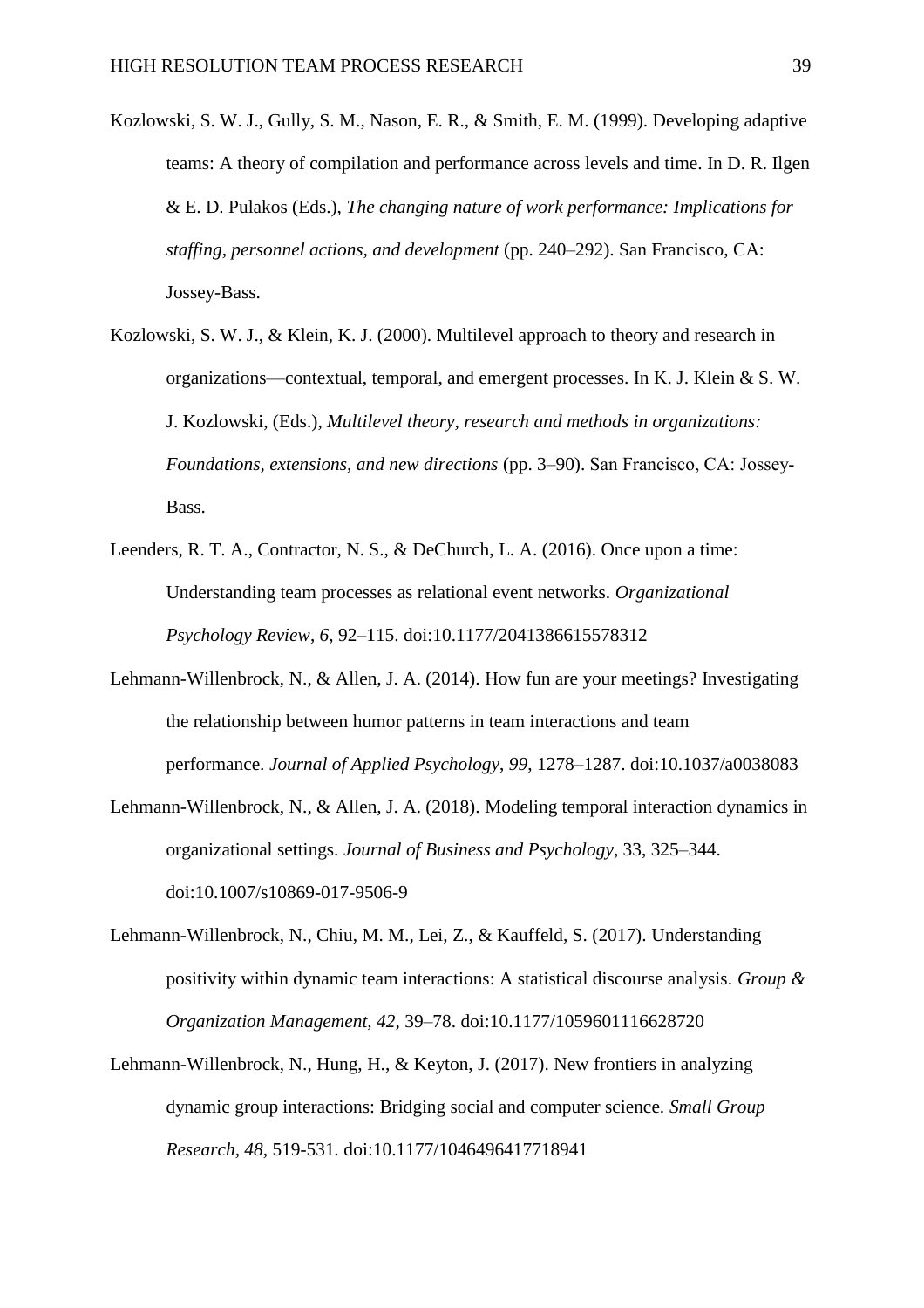- Kozlowski, S. W. J., Gully, S. M., Nason, E. R., & Smith, E. M. (1999). Developing adaptive teams: A theory of compilation and performance across levels and time. In D. R. Ilgen & E. D. Pulakos (Eds.), *The changing nature of work performance: Implications for staffing, personnel actions, and development* (pp. 240–292). San Francisco, CA: Jossey-Bass.
- Kozlowski, S. W. J., & Klein, K. J. (2000). Multilevel approach to theory and research in organizations—contextual, temporal, and emergent processes. In K. J. Klein & S. W. J. Kozlowski, (Eds.), *Multilevel theory, research and methods in organizations: Foundations, extensions, and new directions* (pp. 3–90). San Francisco, CA: Jossey‐ Bass.
- Leenders, R. T. A., Contractor, N. S., & DeChurch, L. A. (2016). Once upon a time: Understanding team processes as relational event networks. *Organizational Psychology Review*, *6*, 92–115. doi:10.1177/2041386615578312
- Lehmann-Willenbrock, N., & Allen, J. A. (2014). How fun are your meetings? Investigating the relationship between humor patterns in team interactions and team performance. *Journal of Applied Psychology*, *99*, 1278–1287. doi:10.1037/a0038083
- Lehmann-Willenbrock, N., & Allen, J. A. (2018). Modeling temporal interaction dynamics in organizational settings. *Journal of Business and Psychology*, 33, 325–344. doi:10.1007/s10869-017-9506-9
- Lehmann-Willenbrock, N., Chiu, M. M., Lei, Z., & Kauffeld, S. (2017). Understanding positivity within dynamic team interactions: A statistical discourse analysis. *Group & Organization Management, 42*, 39–78. doi:10.1177/1059601116628720
- Lehmann-Willenbrock, N., Hung, H., & Keyton, J. (2017). New frontiers in analyzing dynamic group interactions: Bridging social and computer science. *Small Group Research, 48,* 519-531*.* doi:10.1177/1046496417718941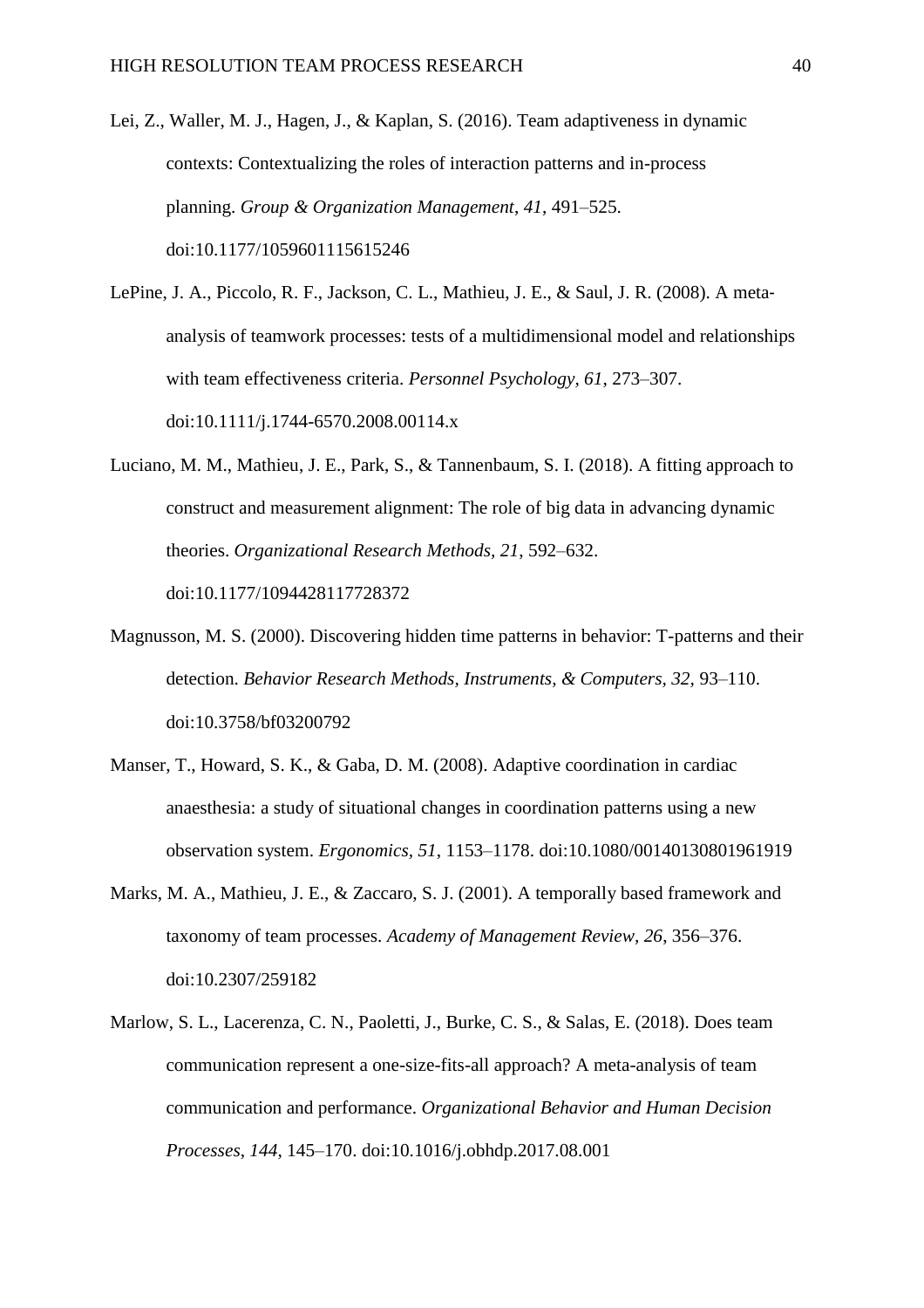- Lei, Z., Waller, M. J., Hagen, J., & Kaplan, S. (2016). Team adaptiveness in dynamic contexts: Contextualizing the roles of interaction patterns and in-process planning. *Group & Organization Management*, *41*, 491–525. doi:10.1177/1059601115615246
- LePine, J. A., Piccolo, R. F., Jackson, C. L., Mathieu, J. E., & Saul, J. R. (2008). A meta‐ analysis of teamwork processes: tests of a multidimensional model and relationships with team effectiveness criteria. *Personnel Psychology, 61*, 273–307. doi:10.1111/j.1744-6570.2008.00114.x
- Luciano, M. M., Mathieu, J. E., Park, S., & Tannenbaum, S. I. (2018). A fitting approach to construct and measurement alignment: The role of big data in advancing dynamic theories. *Organizational Research Methods, 21*, 592–632. doi:10.1177/1094428117728372
- Magnusson, M. S. (2000). Discovering hidden time patterns in behavior: T-patterns and their detection. *Behavior Research Methods, Instruments, & Computers, 32,* 93–110. doi:10.3758/bf03200792
- Manser, T., Howard, S. K., & Gaba, D. M. (2008). Adaptive coordination in cardiac anaesthesia: a study of situational changes in coordination patterns using a new observation system. *Ergonomics, 51*, 1153–1178. doi:10.1080/00140130801961919
- Marks, M. A., Mathieu, J. E., & Zaccaro, S. J. (2001). A temporally based framework and taxonomy of team processes. *Academy of Management Review, 26*, 356–376. doi:10.2307/259182
- Marlow, S. L., Lacerenza, C. N., Paoletti, J., Burke, C. S., & Salas, E. (2018). Does team communication represent a one-size-fits-all approach? A meta-analysis of team communication and performance. *Organizational Behavior and Human Decision Processes*, *144*, 145–170. doi:10.1016/j.obhdp.2017.08.001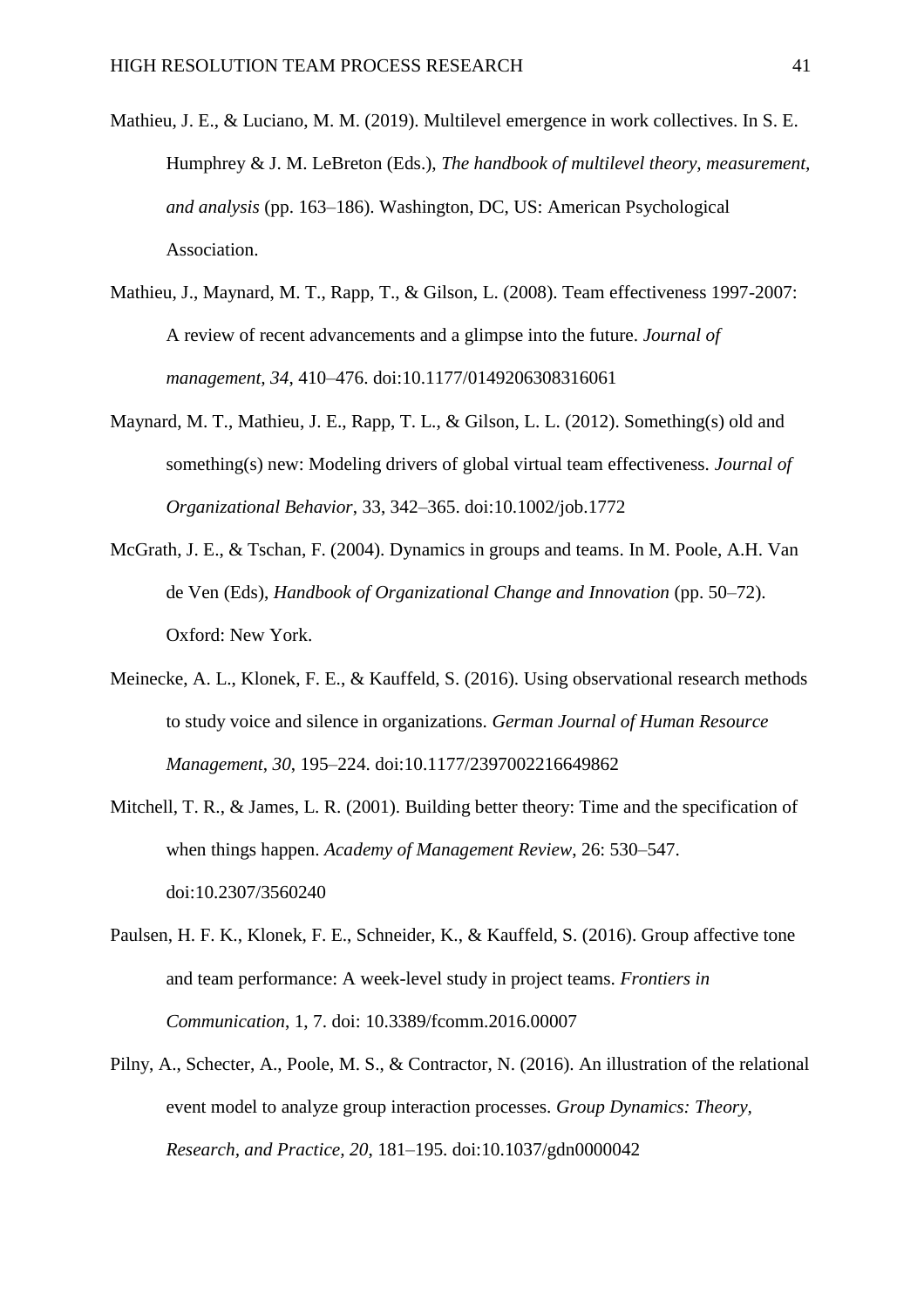- Mathieu, J. E., & Luciano, M. M. (2019). Multilevel emergence in work collectives. In S. E. Humphrey & J. M. LeBreton (Eds.), *The handbook of multilevel theory, measurement, and analysis* (pp. 163–186). Washington, DC, US: American Psychological Association.
- Mathieu, J., Maynard, M. T., Rapp, T., & Gilson, L. (2008). Team effectiveness 1997-2007: A review of recent advancements and a glimpse into the future. *Journal of management, 34*, 410–476. doi:10.1177/0149206308316061
- Maynard, M. T., Mathieu, J. E., Rapp, T. L., & Gilson, L. L. (2012). Something(s) old and something(s) new: Modeling drivers of global virtual team effectiveness*. Journal of Organizational Behavior*, 33, 342–365. doi:10.1002/job.1772
- McGrath, J. E., & Tschan, F. (2004). Dynamics in groups and teams. In M. Poole, A.H. Van de Ven (Eds), *Handbook of Organizational Change and Innovation* (pp. 50–72). Oxford: New York.
- Meinecke, A. L., Klonek, F. E., & Kauffeld, S. (2016). Using observational research methods to study voice and silence in organizations. *German Journal of Human Resource Management*, *30*, 195–224. doi:10.1177/2397002216649862
- Mitchell, T. R., & James, L. R. (2001). Building better theory: Time and the specification of when things happen. *Academy of Management Review*, 26: 530–547. doi:10.2307/3560240
- Paulsen, H. F. K., Klonek, F. E., Schneider, K., & Kauffeld, S. (2016). Group affective tone and team performance: A week-level study in project teams. *Frontiers in Communication*, 1, 7. doi: 10.3389/fcomm.2016.00007
- Pilny, A., Schecter, A., Poole, M. S., & Contractor, N. (2016). An illustration of the relational event model to analyze group interaction processes. *Group Dynamics: Theory, Research, and Practice, 20*, 181–195. doi:10.1037/gdn0000042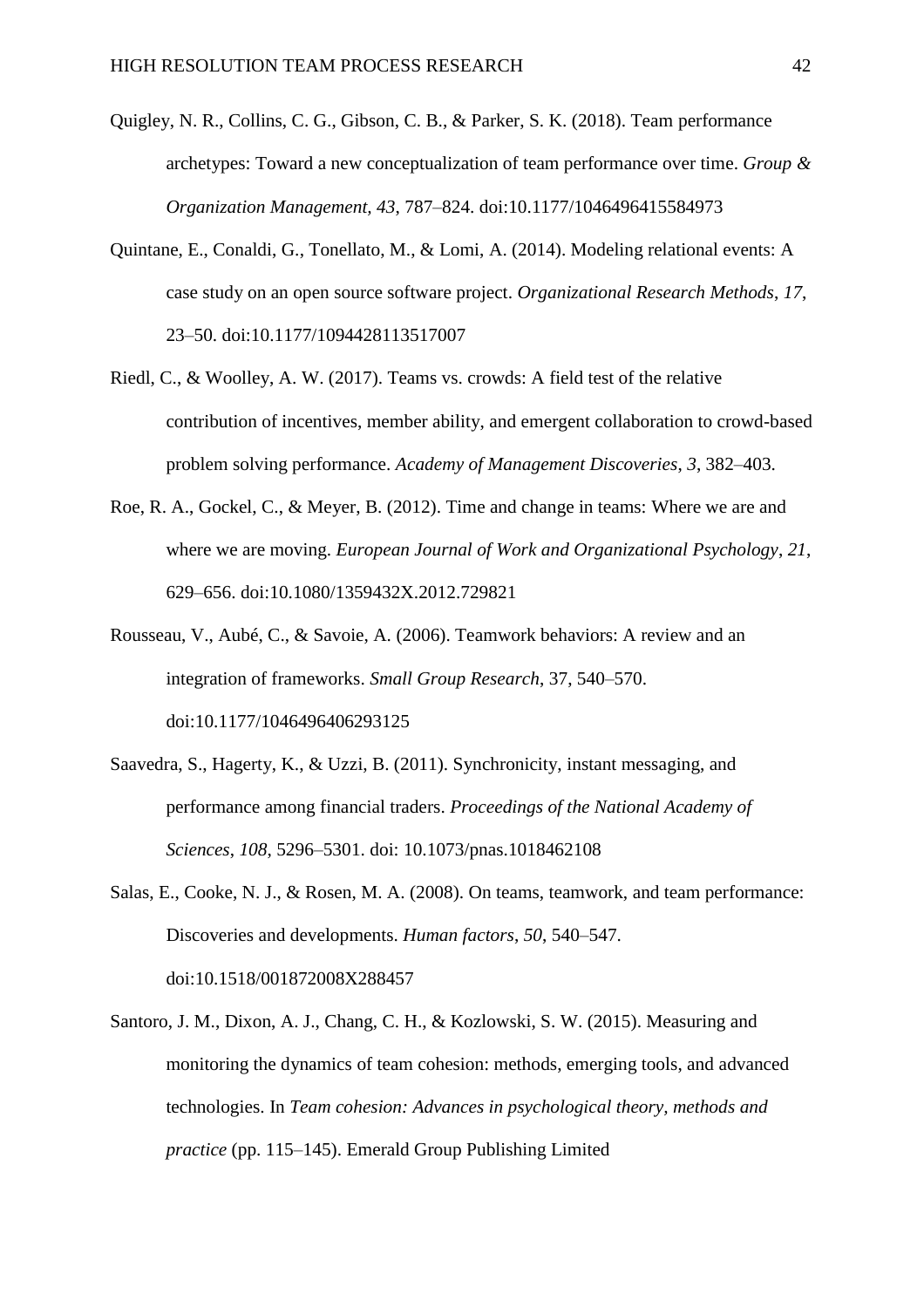- Quigley, N. R., Collins, C. G., Gibson, C. B., & Parker, S. K. (2018). Team performance archetypes: Toward a new conceptualization of team performance over time. *Group & Organization Management, 43*, 787–824. doi:10.1177/1046496415584973
- Quintane, E., Conaldi, G., Tonellato, M., & Lomi, A. (2014). Modeling relational events: A case study on an open source software project. *Organizational Research Methods*, *17*, 23–50. doi:10.1177/1094428113517007
- Riedl, C., & Woolley, A. W. (2017). Teams vs. crowds: A field test of the relative contribution of incentives, member ability, and emergent collaboration to crowd-based problem solving performance. *Academy of Management Discoveries*, *3*, 382–403.
- Roe, R. A., Gockel, C., & Meyer, B. (2012). Time and change in teams: Where we are and where we are moving. *European Journal of Work and Organizational Psychology*, *21*, 629–656. doi:10.1080/1359432X.2012.729821
- Rousseau, V., Aubé, C., & Savoie, A. (2006). Teamwork behaviors: A review and an integration of frameworks. *Small Group Research*, 37, 540–570. doi:10.1177/1046496406293125
- Saavedra, S., Hagerty, K., & Uzzi, B. (2011). Synchronicity, instant messaging, and performance among financial traders. *Proceedings of the National Academy of Sciences*, *108*, 5296–5301. doi: 10.1073/pnas.1018462108
- Salas, E., Cooke, N. J., & Rosen, M. A. (2008). On teams, teamwork, and team performance: Discoveries and developments. *Human factors*, *50*, 540–547. doi:10.1518/001872008X288457
- Santoro, J. M., Dixon, A. J., Chang, C. H., & Kozlowski, S. W. (2015). Measuring and monitoring the dynamics of team cohesion: methods, emerging tools, and advanced technologies. In *Team cohesion: Advances in psychological theory, methods and practice* (pp. 115–145). Emerald Group Publishing Limited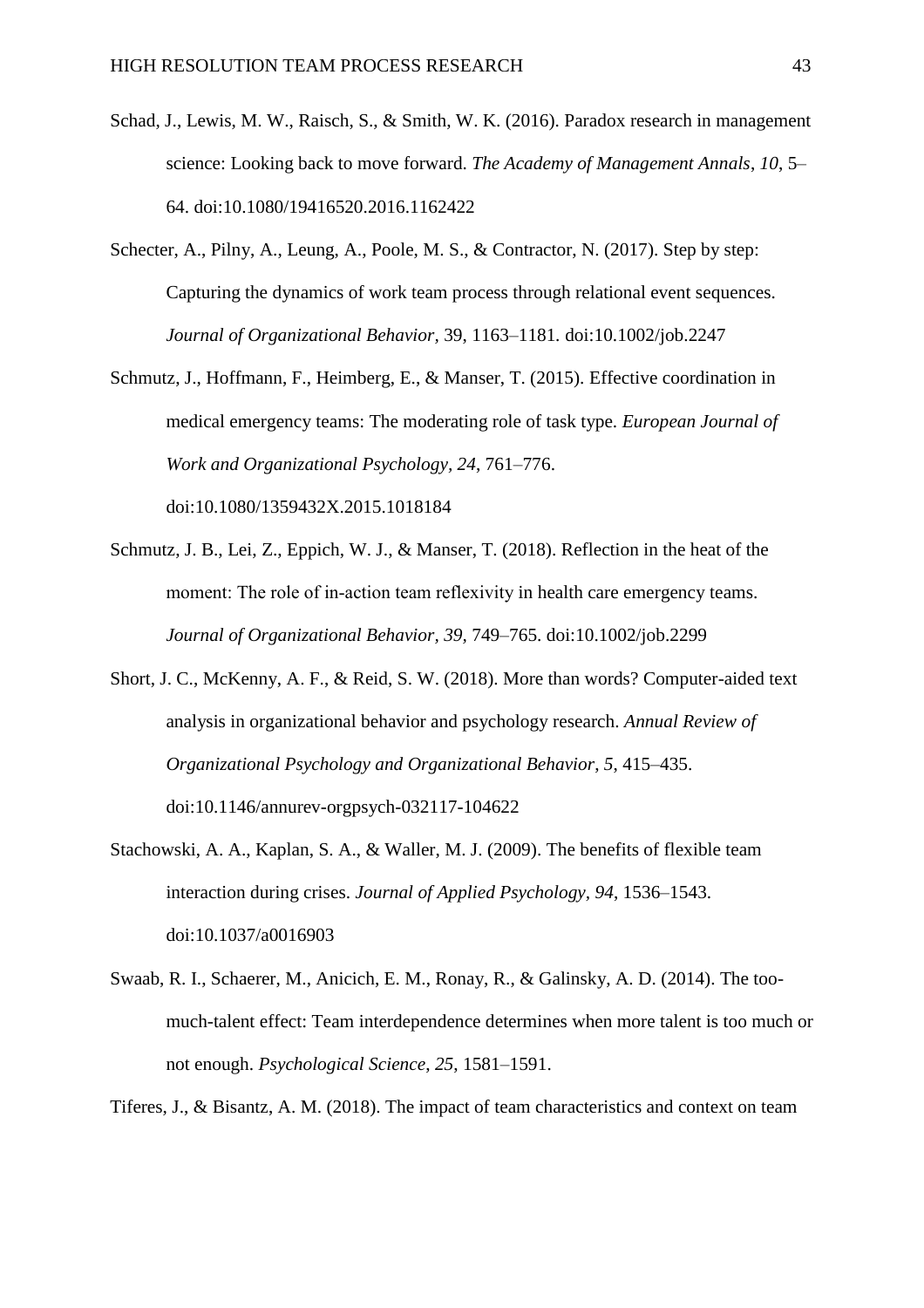- Schad, J., Lewis, M. W., Raisch, S., & Smith, W. K. (2016). Paradox research in management science: Looking back to move forward. *The Academy of Management Annals*, *10*, 5– 64. doi:10.1080/19416520.2016.1162422
- Schecter, A., Pilny, A., Leung, A., Poole, M. S., & Contractor, N. (2017). Step by step: Capturing the dynamics of work team process through relational event sequences. *Journal of Organizational Behavior,* 39, 1163–1181*.* doi:10.1002/job.2247
- Schmutz, J., Hoffmann, F., Heimberg, E., & Manser, T. (2015). Effective coordination in medical emergency teams: The moderating role of task type. *European Journal of Work and Organizational Psychology, 24*, 761–776. doi:10.1080/1359432X.2015.1018184

Schmutz, J. B., Lei, Z., Eppich, W. J., & Manser, T. (2018). Reflection in the heat of the moment: The role of in-action team reflexivity in health care emergency teams. *Journal of Organizational Behavior, 39,* 749–765. doi:10.1002/job.2299

- Short, J. C., McKenny, A. F., & Reid, S. W. (2018). More than words? Computer-aided text analysis in organizational behavior and psychology research. *Annual Review of Organizational Psychology and Organizational Behavior*, *5*, 415–435. doi:10.1146/annurev-orgpsych-032117-104622
- Stachowski, A. A., Kaplan, S. A., & Waller, M. J. (2009). The benefits of flexible team interaction during crises. *Journal of Applied Psychology, 94*, 1536–1543. doi:10.1037/a0016903
- Swaab, R. I., Schaerer, M., Anicich, E. M., Ronay, R., & Galinsky, A. D. (2014). The toomuch-talent effect: Team interdependence determines when more talent is too much or not enough. *Psychological Science*, *25*, 1581–1591.

Tiferes, J., & Bisantz, A. M. (2018). The impact of team characteristics and context on team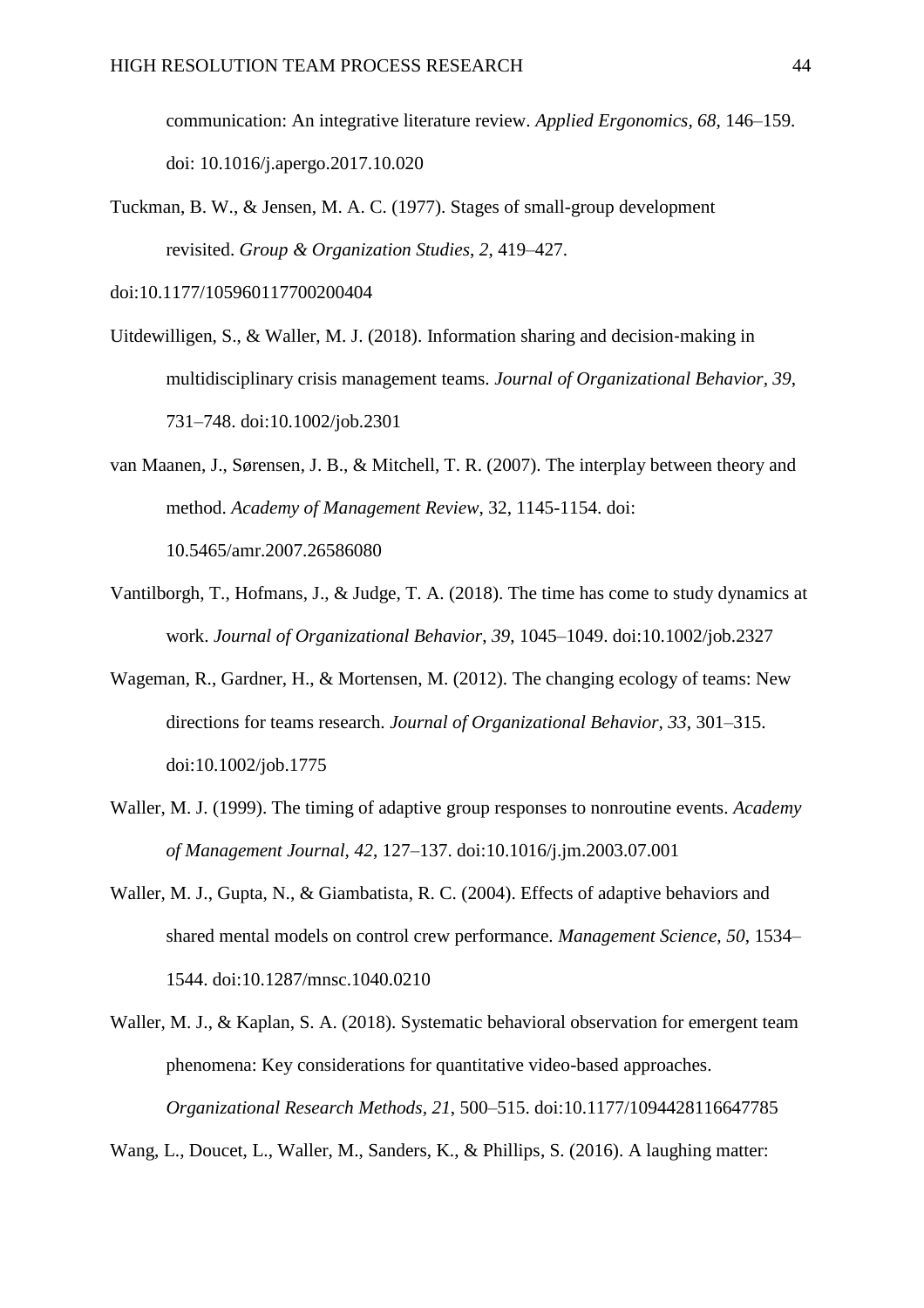communication: An integrative literature review. *Applied Ergonomics, 68*, 146–159. doi: 10.1016/j.apergo.2017.10.020

Tuckman, B. W., & Jensen, M. A. C. (1977). Stages of small-group development revisited. *Group & Organization Studies*, *2*, 419–427.

doi:10.1177/105960117700200404

- Uitdewilligen, S., & Waller, M. J. (2018). Information sharing and decision‐making in multidisciplinary crisis management teams. *Journal of Organizational Behavior, 39*, 731–748. doi:10.1002/job.2301
- van Maanen, J., Sørensen, J. B., & Mitchell, T. R. (2007). The interplay between theory and method. *Academy of Management Review*, 32, 1145-1154. doi: 10.5465/amr.2007.26586080
- Vantilborgh, T., Hofmans, J., & Judge, T. A. (2018). The time has come to study dynamics at work. *Journal of Organizational Behavior*, *39*, 1045–1049. doi:10.1002/job.2327
- Wageman, R., Gardner, H., & Mortensen, M. (2012). The changing ecology of teams: New directions for teams research. *Journal of Organizational Behavior, 33*, 301–315. doi:10.1002/job.1775
- Waller, M. J. (1999). The timing of adaptive group responses to nonroutine events. *Academy of Management Journal, 42*, 127–137. doi:10.1016/j.jm.2003.07.001
- Waller, M. J., Gupta, N., & Giambatista, R. C. (2004). Effects of adaptive behaviors and shared mental models on control crew performance. *Management Science, 50*, 1534– 1544. doi:10.1287/mnsc.1040.0210
- Waller, M. J., & Kaplan, S. A. (2018). Systematic behavioral observation for emergent team phenomena: Key considerations for quantitative video-based approaches. *Organizational Research Methods, 21*, 500–515. doi:10.1177/1094428116647785

Wang, L., Doucet, L., Waller, M., Sanders, K., & Phillips, S. (2016). A laughing matter: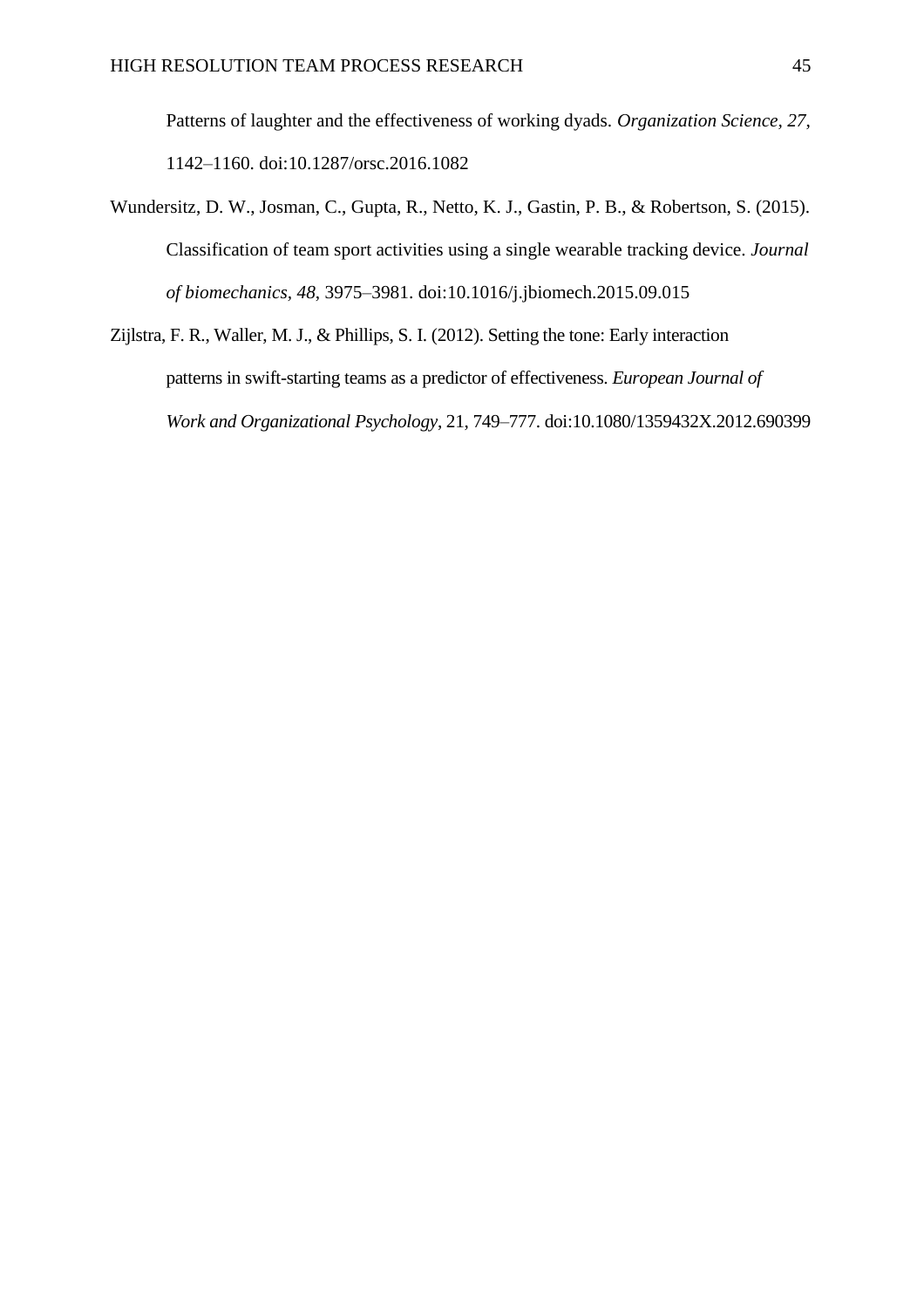Patterns of laughter and the effectiveness of working dyads. *Organization Science, 27*, 1142–1160. doi:10.1287/orsc.2016.1082

- Wundersitz, D. W., Josman, C., Gupta, R., Netto, K. J., Gastin, P. B., & Robertson, S. (2015). Classification of team sport activities using a single wearable tracking device*. Journal of biomechanics, 48*, 3975–3981. doi:10.1016/j.jbiomech.2015.09.015
- Zijlstra, F. R., Waller, M. J., & Phillips, S. I. (2012). Setting the tone: Early interaction patterns in swift-starting teams as a predictor of effectiveness. *European Journal of Work and Organizational Psychology*, 21, 749–777. doi:10.1080/1359432X.2012.690399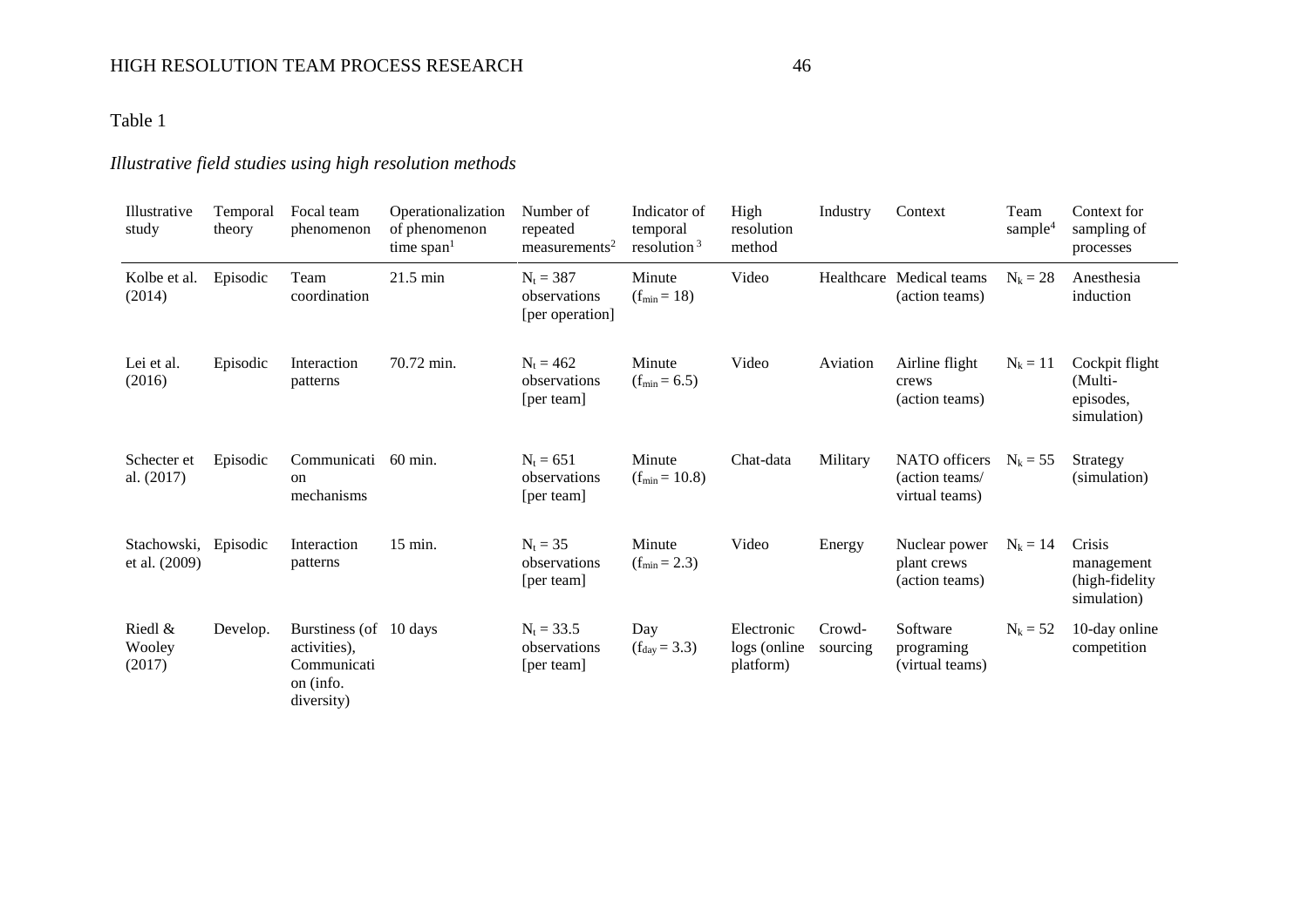## HIGH RESOLUTION TEAM PROCESS RESEARCH 46

## Table 1

## *Illustrative field studies using high resolution methods*

| Illustrative<br>study        | Temporal<br>theory | Focal team<br>phenomenon                                                          | Operationalization<br>of phenomenon<br>time span <sup>1</sup> | Number of<br>repeated<br>measures <sup>2</sup> | Indicator of<br>temporal<br>resolution $3$ | High<br>resolution<br>method            | Industry           | Context                                           | Team<br>sample <sup>4</sup> | Context for<br>sampling of<br>processes               |
|------------------------------|--------------------|-----------------------------------------------------------------------------------|---------------------------------------------------------------|------------------------------------------------|--------------------------------------------|-----------------------------------------|--------------------|---------------------------------------------------|-----------------------------|-------------------------------------------------------|
| Kolbe et al.<br>(2014)       | Episodic           | Team<br>coordination                                                              | $21.5 \text{ min}$                                            | $N_t = 387$<br>observations<br>[per operation] | Minute<br>$(f_{min} = 18)$                 | Video                                   | Healthcare         | Medical teams<br>(action teams)                   | $N_k = 28$                  | Anesthesia<br>induction                               |
| Lei et al.<br>(2016)         | Episodic           | Interaction<br>patterns                                                           | 70.72 min.                                                    | $N_t = 462$<br>observations<br>[per team]      | Minute<br>$(f_{min} = 6.5)$                | Video                                   | Aviation           | Airline flight<br>crews<br>(action teams)         | $N_k = 11$                  | Cockpit flight<br>(Multi-<br>episodes,<br>simulation) |
| Schecter et<br>al. (2017)    | Episodic           | Communicati<br>on<br>mechanisms                                                   | $60 \text{ min}$ .                                            | $N_t = 651$<br>observations<br>[per team]      | Minute<br>$(f_{min} = 10.8)$               | Chat-data                               | Military           | NATO officers<br>(action teams/<br>virtual teams) | $N_k = 55$                  | Strategy<br>(simulation)                              |
| Stachowski,<br>et al. (2009) | Episodic           | Interaction<br>patterns                                                           | $15 \text{ min.}$                                             | $N_t = 35$<br>observations<br>[per team]       | Minute<br>$(f_{min} = 2.3)$                | Video                                   | Energy             | Nuclear power<br>plant crews<br>(action teams)    | $N_k = 14$                  | Crisis<br>management<br>(high-fidelity<br>simulation) |
| Riedl &<br>Wooley<br>(2017)  | Develop.           | Burstiness (of 10 days)<br>activities),<br>Communicati<br>on (info.<br>diversity) |                                                               | $N_t = 33.5$<br>observations<br>[per team]     | Day<br>$(f_{day} = 3.3)$                   | Electronic<br>logs (online<br>platform) | Crowd-<br>sourcing | Software<br>programing<br>(virtual teams)         | $N_k = 52$                  | 10-day online<br>competition                          |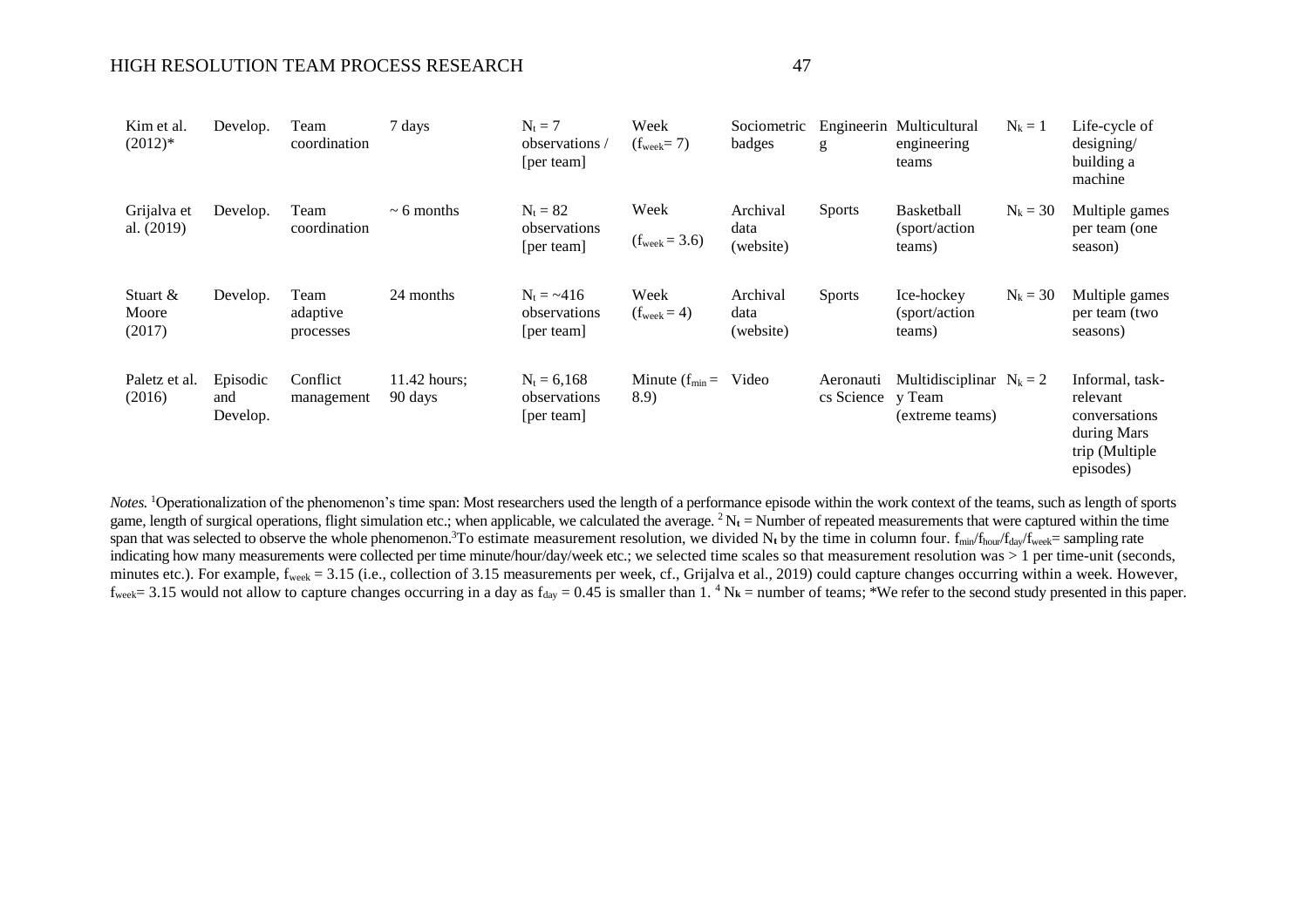### HIGH RESOLUTION TEAM PROCESS RESEARCH 47

| Kim et al.<br>$(2012)*$     | Develop.                    | Team<br>coordination          | 7 days                  | $N_t = 7$<br>observations/<br>[per team]    | Week<br>$(f_{\text{week}}=7)$   | Sociometric<br>badges         | g                              | Engineerin Multicultural<br>engineering<br>teams | $N_k = 1$  | Life-cycle of<br>designing/<br>building a<br>machine                                       |
|-----------------------------|-----------------------------|-------------------------------|-------------------------|---------------------------------------------|---------------------------------|-------------------------------|--------------------------------|--------------------------------------------------|------------|--------------------------------------------------------------------------------------------|
| Grijalva et<br>al. (2019)   | Develop.                    | Team<br>coordination          | $\sim$ 6 months         | $N_t = 82$<br>observations<br>[per team]    | Week<br>$(f_{week} = 3.6)$      | Archival<br>data<br>(website) | <b>Sports</b>                  | <b>Basketball</b><br>(sport/action)<br>teams)    | $N_k = 30$ | Multiple games<br>per team (one<br>season)                                                 |
| Stuart &<br>Moore<br>(2017) | Develop.                    | Team<br>adaptive<br>processes | 24 months               | $N_t = -416$<br>observations<br>[per team]  | Week<br>$(f_{\text{week}} = 4)$ | Archival<br>data<br>(website) | <b>Sports</b>                  | Ice-hockey<br>(sport/action)<br>teams)           | $N_k = 30$ | Multiple games<br>per team (two<br>seasons)                                                |
| Paletz et al.<br>(2016)     | Episodic<br>and<br>Develop. | Conflict<br>management        | 11.42 hours;<br>90 days | $N_t = 6,168$<br>observations<br>[per team] | Minute $(f_{min} =$<br>8.9      | Video                         | Aeronauti<br>cs Science y Team | Multidisciplinar $N_k = 2$<br>(extreme teams)    |            | Informal, task-<br>relevant<br>conversations<br>during Mars<br>trip (Multiple<br>episodes) |

*Notes.* <sup>1</sup>Operationalization of the phenomenon's time span: Most researchers used the length of a performance episode within the work context of the teams, such as length of sports game, length of surgical operations, flight simulation etc.; when applicable, we calculated the average.  ${}^{2}N_{t}$  = Number of repeated measurements that were captured within the time span that was selected to observe the whole phenomenon.<sup>3</sup>To estimate measurement resolution, we divided N<sub>t</sub> by the time in column four. f<sub>min</sub>/f<sub>hour</sub>/f<sub>day</sub>/f<sub>week</sub>= sampling rate indicating how many measurements were collected per time minute/hour/day/week etc.; we selected time scales so that measurement resolution was > 1 per time-unit (seconds, minutes etc.). For example, f<sub>week</sub> = 3.15 (i.e., collection of 3.15 measurements per week, cf., Grijalva et al., 2019) could capture changes occurring within a week. However,  $f_{week} = 3.15$  would not allow to capture changes occurring in a day as  $f_{day} = 0.45$  is smaller than 1.<sup>4</sup> N<sub>k</sub> = number of teams; \*We refer to the second study presented in this paper.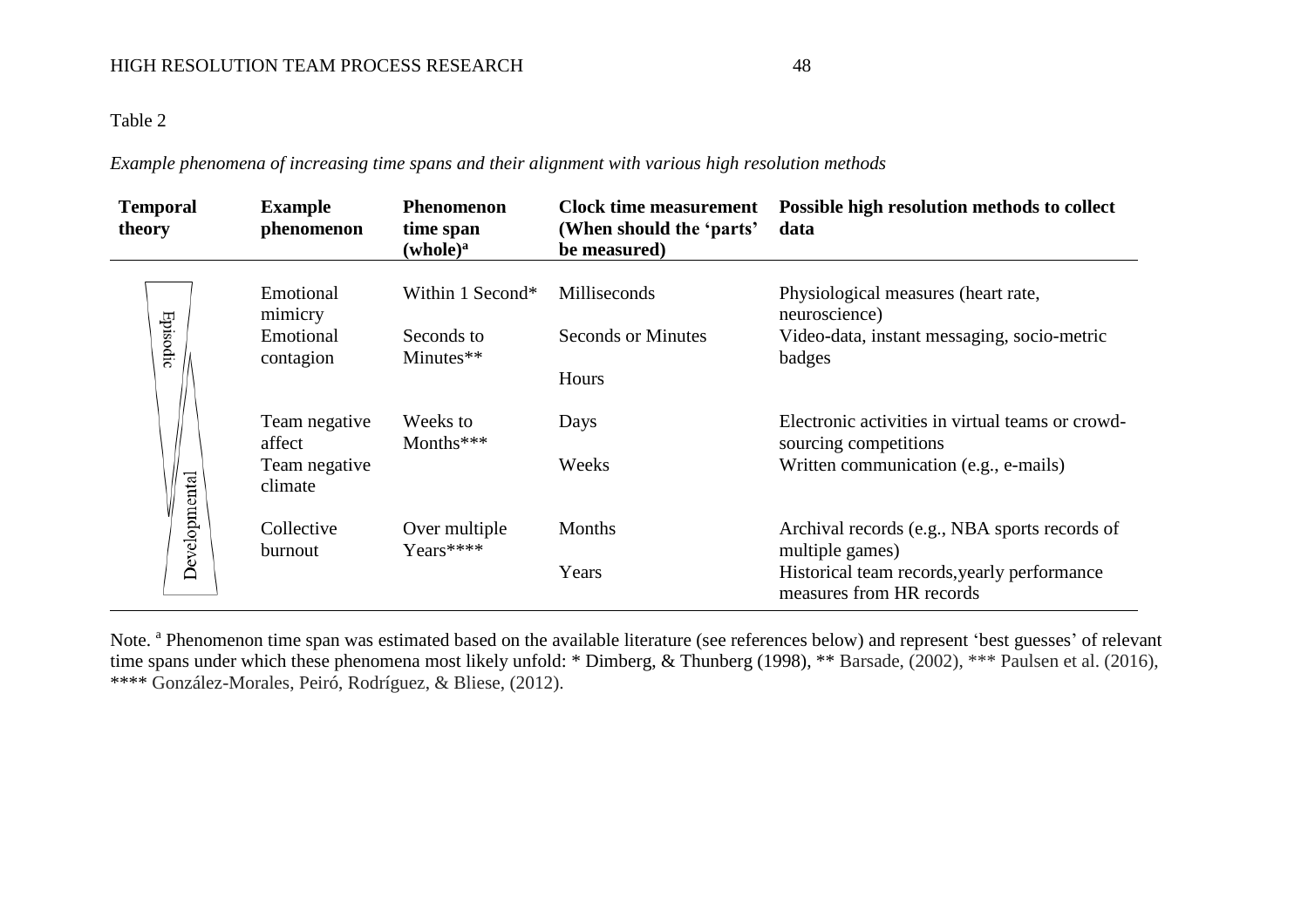## Table 2

*Example phenomena of increasing time spans and their alignment with various high resolution methods*

| <b>Temporal</b><br>theory | <b>Example</b><br>phenomenon                        | <b>Phenomenon</b><br>time span<br>(whole) <sup>a</sup> | <b>Clock time measurement</b><br>(When should the 'parts'<br>be measured) | Possible high resolution methods to collect<br>data                                                                                         |
|---------------------------|-----------------------------------------------------|--------------------------------------------------------|---------------------------------------------------------------------------|---------------------------------------------------------------------------------------------------------------------------------------------|
| Episodic                  | Emotional<br>mimicry<br>Emotional<br>contagion      | Within 1 Second*<br>Seconds to<br>Minutes**            | Milliseconds<br><b>Seconds or Minutes</b>                                 | Physiological measures (heart rate,<br>neuroscience)<br>Video-data, instant messaging, socio-metric<br>badges                               |
|                           | Team negative<br>affect<br>Team negative<br>climate | Weeks to<br>Months***                                  | Hours<br>Days<br>Weeks                                                    | Electronic activities in virtual teams or crowd-<br>sourcing competitions<br>Written communication (e.g., e-mails)                          |
| Developmental             | Collective<br>burnout                               | Over multiple<br>Years****                             | <b>Months</b><br>Years                                                    | Archival records (e.g., NBA sports records of<br>multiple games)<br>Historical team records, yearly performance<br>measures from HR records |

Note. <sup>a</sup> Phenomenon time span was estimated based on the available literature (see references below) and represent 'best guesses' of relevant time spans under which these phenomena most likely unfold: \* Dimberg, & Thunberg (1998), \*\* Barsade, (2002), \*\*\* Paulsen et al. (2016), \*\*\*\* González-Morales, Peiró, Rodríguez, & Bliese, (2012).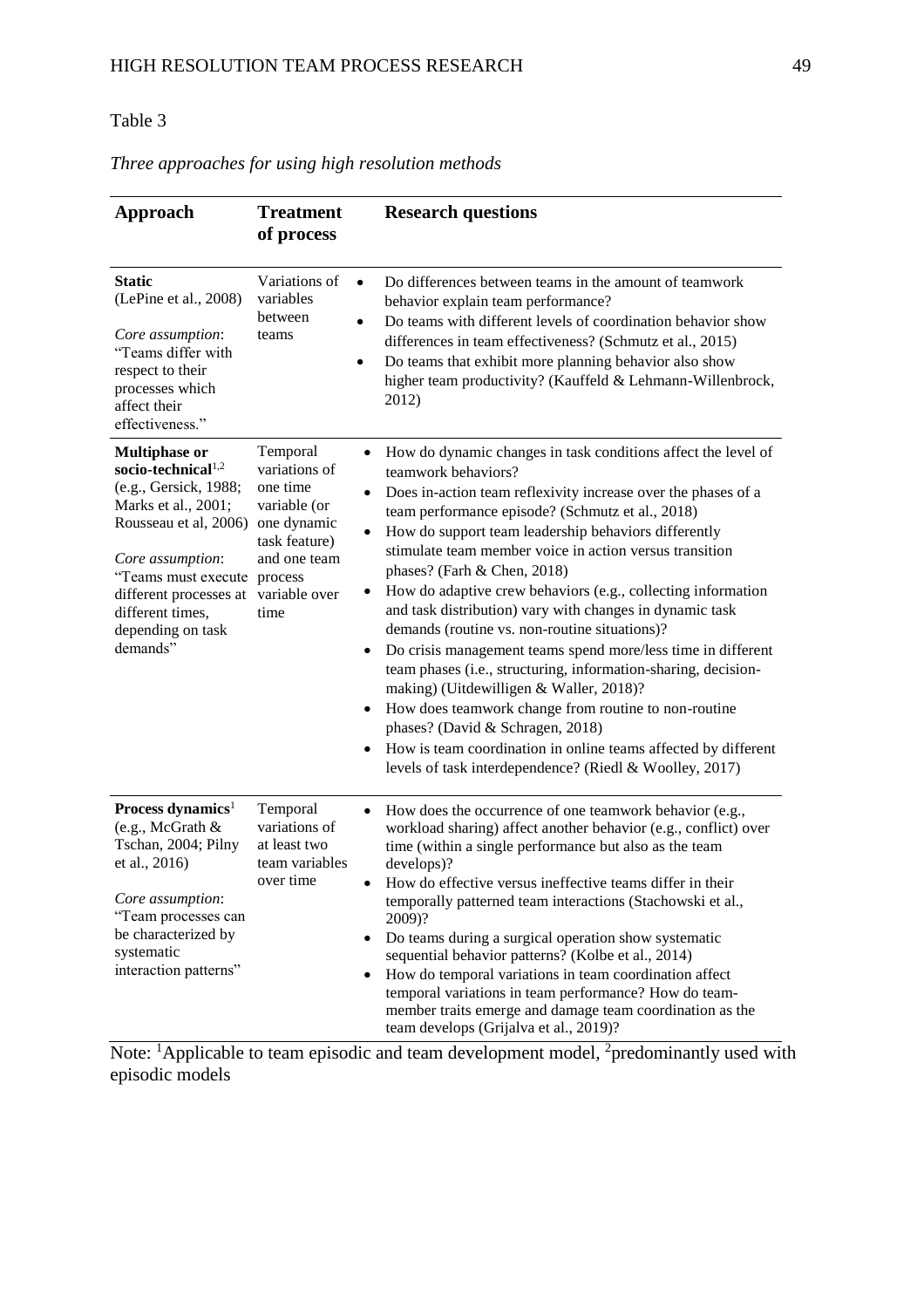## Table 3

| Approach                                                                                                                                                                                                                                                  | <b>Treatment</b><br>of process                                                                                                                                                                               | <b>Research questions</b>                                                                                                                                                                                                                                                                                                                                                                                                                                                                                                                                                                                                                                                                                                                                                                                                                                                                                                                      |
|-----------------------------------------------------------------------------------------------------------------------------------------------------------------------------------------------------------------------------------------------------------|--------------------------------------------------------------------------------------------------------------------------------------------------------------------------------------------------------------|------------------------------------------------------------------------------------------------------------------------------------------------------------------------------------------------------------------------------------------------------------------------------------------------------------------------------------------------------------------------------------------------------------------------------------------------------------------------------------------------------------------------------------------------------------------------------------------------------------------------------------------------------------------------------------------------------------------------------------------------------------------------------------------------------------------------------------------------------------------------------------------------------------------------------------------------|
| <b>Static</b><br>(LePine et al., 2008)<br>Core assumption:<br>"Teams differ with<br>respect to their<br>processes which<br>affect their<br>effectiveness."                                                                                                | Variations of<br>$\bullet$<br>variables<br>between<br>$\bullet$<br>teams<br>٠                                                                                                                                | Do differences between teams in the amount of teamwork<br>behavior explain team performance?<br>Do teams with different levels of coordination behavior show<br>differences in team effectiveness? (Schmutz et al., 2015)<br>Do teams that exhibit more planning behavior also show<br>higher team productivity? (Kauffeld & Lehmann-Willenbrock,<br>2012)                                                                                                                                                                                                                                                                                                                                                                                                                                                                                                                                                                                     |
| <b>Multiphase or</b><br>socio-technical <sup>1,2</sup><br>(e.g., Gersick, 1988;<br>Marks et al., 2001;<br>Rousseau et al, 2006)<br>Core assumption:<br>"Teams must execute<br>different processes at<br>different times,<br>depending on task<br>demands" | Temporal<br>$\bullet$<br>variations of<br>one time<br>٠<br>variable (or<br>one dynamic<br>$\bullet$<br>task feature)<br>and one team<br>process<br>٠<br>variable over<br>time<br>٠<br>$\bullet$<br>$\bullet$ | How do dynamic changes in task conditions affect the level of<br>teamwork behaviors?<br>Does in-action team reflexivity increase over the phases of a<br>team performance episode? (Schmutz et al., 2018)<br>How do support team leadership behaviors differently<br>stimulate team member voice in action versus transition<br>phases? (Farh & Chen, 2018)<br>How do adaptive crew behaviors (e.g., collecting information<br>and task distribution) vary with changes in dynamic task<br>demands (routine vs. non-routine situations)?<br>Do crisis management teams spend more/less time in different<br>team phases (i.e., structuring, information-sharing, decision-<br>making) (Uitdewilligen & Waller, 2018)?<br>How does teamwork change from routine to non-routine<br>phases? (David & Schragen, 2018)<br>How is team coordination in online teams affected by different<br>levels of task interdependence? (Riedl & Woolley, 2017) |
| Process dynamics <sup>1</sup><br>(e.g., McGrath &<br>Tschan, 2004; Pilny<br>et al., 2016)<br>Core assumption:<br>"Team processes can<br>be characterized by<br>systematic<br>interaction patterns"                                                        | Temporal<br>variations of<br>at least two<br>team variables<br>over time<br>$\bullet$<br>٠<br>٠                                                                                                              | How does the occurrence of one teamwork behavior (e.g.,<br>workload sharing) affect another behavior (e.g., conflict) over<br>time (within a single performance but also as the team<br>develops)?<br>How do effective versus ineffective teams differ in their<br>temporally patterned team interactions (Stachowski et al.,<br>2009)?<br>Do teams during a surgical operation show systematic<br>sequential behavior patterns? (Kolbe et al., 2014)<br>How do temporal variations in team coordination affect<br>temporal variations in team performance? How do team-<br>member traits emerge and damage team coordination as the<br>team develops (Grijalva et al., 2019)?                                                                                                                                                                                                                                                                 |

## *Three approaches for using high resolution methods*

Note:  $\frac{1}{2}$ Applicable to team episodic and team development model,  $\frac{2}{2}$ predominantly used with episodic models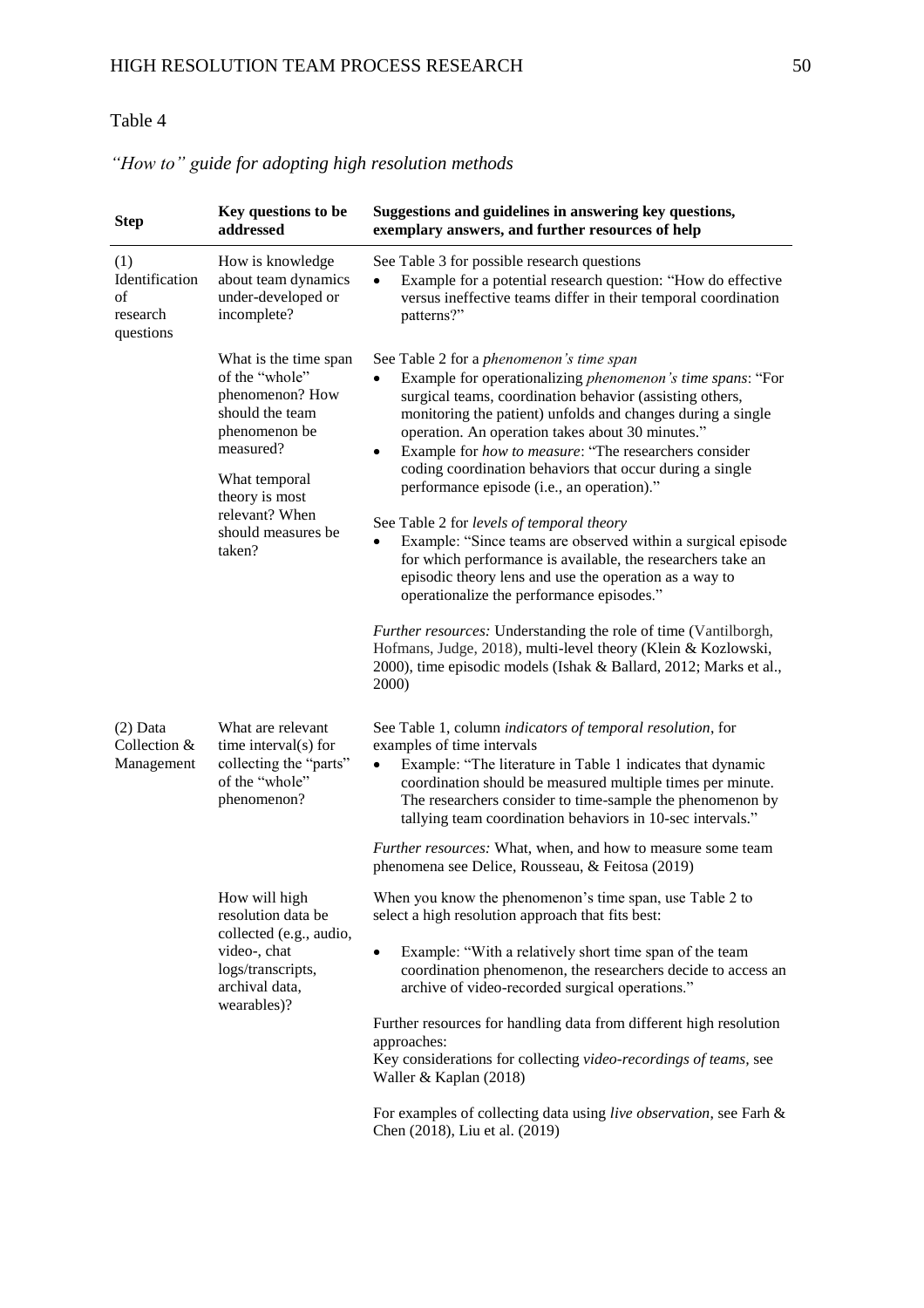## Table 4

| <b>Step</b>                                          | Key questions to be<br>addressed                                                                                                                                                                 | Suggestions and guidelines in answering key questions,<br>exemplary answers, and further resources of help                                                                                                                                                                                                                                                                                                                                                                                                                                                                                                                                                                                                                                                                                                                                                                                                                                                         |
|------------------------------------------------------|--------------------------------------------------------------------------------------------------------------------------------------------------------------------------------------------------|--------------------------------------------------------------------------------------------------------------------------------------------------------------------------------------------------------------------------------------------------------------------------------------------------------------------------------------------------------------------------------------------------------------------------------------------------------------------------------------------------------------------------------------------------------------------------------------------------------------------------------------------------------------------------------------------------------------------------------------------------------------------------------------------------------------------------------------------------------------------------------------------------------------------------------------------------------------------|
| (1)<br>Identification<br>of<br>research<br>questions | How is knowledge<br>about team dynamics<br>under-developed or<br>incomplete?                                                                                                                     | See Table 3 for possible research questions<br>Example for a potential research question: "How do effective<br>versus ineffective teams differ in their temporal coordination<br>patterns?"                                                                                                                                                                                                                                                                                                                                                                                                                                                                                                                                                                                                                                                                                                                                                                        |
|                                                      | What is the time span<br>of the "whole"<br>phenomenon? How<br>should the team<br>phenomenon be<br>measured?<br>What temporal<br>theory is most<br>relevant? When<br>should measures be<br>taken? | See Table 2 for a phenomenon's time span<br>Example for operationalizing phenomenon's time spans: "For<br>surgical teams, coordination behavior (assisting others,<br>monitoring the patient) unfolds and changes during a single<br>operation. An operation takes about 30 minutes."<br>Example for how to measure: "The researchers consider<br>٠<br>coding coordination behaviors that occur during a single<br>performance episode (i.e., an operation)."<br>See Table 2 for levels of temporal theory<br>Example: "Since teams are observed within a surgical episode<br>for which performance is available, the researchers take an<br>episodic theory lens and use the operation as a way to<br>operationalize the performance episodes."<br>Further resources: Understanding the role of time (Vantilborgh,<br>Hofmans, Judge, 2018), multi-level theory (Klein & Kozlowski,<br>2000), time episodic models (Ishak & Ballard, 2012; Marks et al.,<br>2000) |
| $(2)$ Data<br>Collection &<br>Management             | What are relevant<br>time interval(s) for<br>collecting the "parts"<br>of the "whole"<br>phenomenon?                                                                                             | See Table 1, column indicators of temporal resolution, for<br>examples of time intervals<br>Example: "The literature in Table 1 indicates that dynamic<br>$\bullet$<br>coordination should be measured multiple times per minute.<br>The researchers consider to time-sample the phenomenon by<br>tallying team coordination behaviors in 10-sec intervals."<br>Further resources: What, when, and how to measure some team<br>phenomena see Delice, Rousseau, & Feitosa (2019)                                                                                                                                                                                                                                                                                                                                                                                                                                                                                    |
|                                                      | How will high<br>resolution data be<br>collected (e.g., audio,<br>video-, chat<br>logs/transcripts,<br>archival data,<br>wearables)?                                                             | When you know the phenomenon's time span, use Table 2 to<br>select a high resolution approach that fits best:<br>Example: "With a relatively short time span of the team<br>$\bullet$<br>coordination phenomenon, the researchers decide to access an<br>archive of video-recorded surgical operations."<br>Further resources for handling data from different high resolution<br>approaches:<br>Key considerations for collecting video-recordings of teams, see<br>Waller & Kaplan (2018)<br>For examples of collecting data using live observation, see Farh &<br>Chen (2018), Liu et al. (2019)                                                                                                                                                                                                                                                                                                                                                                |

## *"How to" guide for adopting high resolution methods*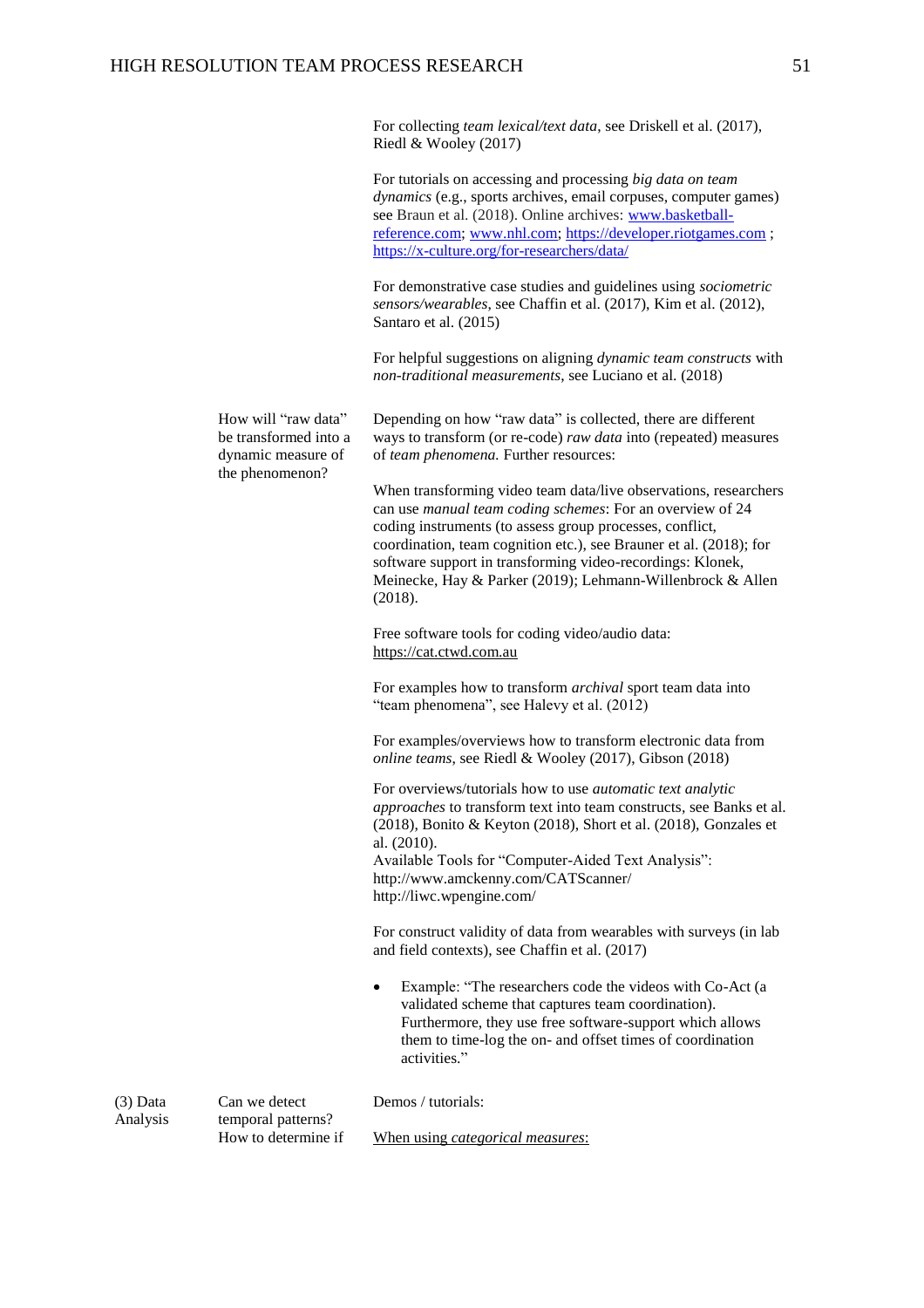For collecting *team lexical/text data*, see Driskell et al. (2017), Riedl & Wooley (2017)

For tutorials on accessing and processing *big data on team dynamics* (e.g., sports archives, email corpuses, computer games) see Braun et al. (2018). Online archives: [www.basketball](http://www.basketball-reference.com/)[reference.com;](http://www.basketball-reference.com/) [www.nhl.com;](http://www.nhl.com/) [https://developer.riotgames.com](https://developer.riotgames.com/) ; <https://x-culture.org/for-researchers/data/>

For demonstrative case studies and guidelines using *sociometric sensors/wearables*, see Chaffin et al. (2017), Kim et al. (2012), Santaro et al. (2015)

For helpful suggestions on aligning *dynamic team constructs* with *non-traditional measurements*, see Luciano et al. (2018)

How will "raw data" be transformed into a dynamic measure of the phenomenon?

Depending on how "raw data" is collected, there are different ways to transform (or re-code) *raw data* into (repeated) measures of *team phenomena.* Further resources:

When transforming video team data/live observations, researchers can use *manual team coding schemes*: For an overview of 24 coding instruments (to assess group processes, conflict, coordination, team cognition etc.), see Brauner et al. (2018); for software support in transforming video-recordings: Klonek, Meinecke, Hay & Parker (2019); Lehmann-Willenbrock & Allen (2018).

Free software tools for coding video/audio data: [https://cat.ctwd.com.au](https://cat.ctwd.com.au/index.html)

For examples how to transform *archival* sport team data into "team phenomena", see Halevy et al. (2012)

For examples/overviews how to transform electronic data from *online teams*, see Riedl & Wooley (2017), Gibson (2018)

For overviews/tutorials how to use *automatic text analytic approaches* to transform text into team constructs*,* see Banks et al. (2018), Bonito & Keyton (2018), Short et al. (2018), Gonzales et al. (2010).

Available Tools for "Computer-Aided Text Analysis": <http://www.amckenny.com/CATScanner/> <http://liwc.wpengine.com/>

For construct validity of data from wearables with surveys (in lab and field contexts), see Chaffin et al. (2017)

 Example: "The researchers code the videos with Co-Act (a validated scheme that captures team coordination). Furthermore, they use free software-support which allows them to time-log the on- and offset times of coordination activities."

Demos / tutorials:

(3) Data Analysis Can we detect temporal patterns? How to determine if

When using *categorical measures*: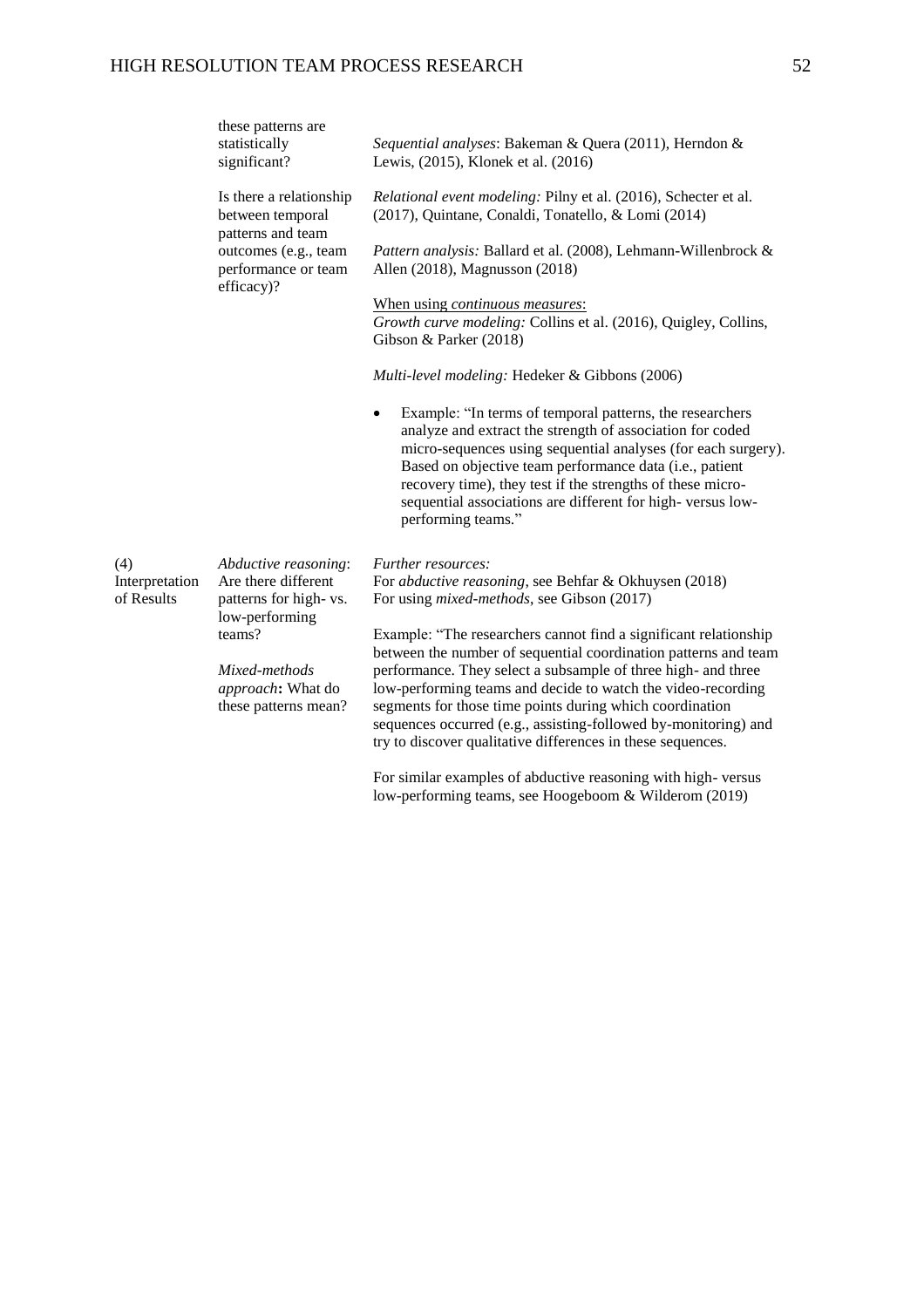|                | these patterns are<br>statistically<br>significant?              | Sequential analyses: Bakeman & Quera (2011), Herndon &<br>Lewis, (2015), Klonek et al. (2016)                                                                                                                                                                                                                                                                                                       |
|----------------|------------------------------------------------------------------|-----------------------------------------------------------------------------------------------------------------------------------------------------------------------------------------------------------------------------------------------------------------------------------------------------------------------------------------------------------------------------------------------------|
|                | Is there a relationship<br>between temporal<br>patterns and team | Relational event modeling: Pilny et al. (2016), Schecter et al.<br>(2017), Quintane, Conaldi, Tonatello, & Lomi (2014)                                                                                                                                                                                                                                                                              |
|                | outcomes (e.g., team<br>performance or team<br>efficacy)?        | Pattern analysis: Ballard et al. (2008), Lehmann-Willenbrock &<br>Allen (2018), Magnusson (2018)                                                                                                                                                                                                                                                                                                    |
|                |                                                                  | When using continuous measures:                                                                                                                                                                                                                                                                                                                                                                     |
|                |                                                                  | Growth curve modeling: Collins et al. (2016), Quigley, Collins,                                                                                                                                                                                                                                                                                                                                     |
|                |                                                                  | Gibson & Parker (2018)                                                                                                                                                                                                                                                                                                                                                                              |
|                |                                                                  | Multi-level modeling: Hedeker & Gibbons (2006)                                                                                                                                                                                                                                                                                                                                                      |
|                |                                                                  | Example: "In terms of temporal patterns, the researchers<br>analyze and extract the strength of association for coded<br>micro-sequences using sequential analyses (for each surgery).<br>Based on objective team performance data (i.e., patient<br>recovery time), they test if the strengths of these micro-<br>sequential associations are different for high-versus low-<br>performing teams." |
| (4)            | Abductive reasoning:                                             | <i>Further resources:</i>                                                                                                                                                                                                                                                                                                                                                                           |
| Interpretation | Are there different                                              | For <i>abductive reasoning</i> , see Behfar & Okhuysen (2018)                                                                                                                                                                                                                                                                                                                                       |
| of Results     | patterns for high-vs.<br>low-performing                          | For using <i>mixed-methods</i> , see Gibson (2017)                                                                                                                                                                                                                                                                                                                                                  |
|                | teams?                                                           | Example: "The researchers cannot find a significant relationship<br>between the number of sequential coordination patterns and team                                                                                                                                                                                                                                                                 |
|                | Mixed-methods                                                    | performance. They select a subsample of three high- and three                                                                                                                                                                                                                                                                                                                                       |
|                | approach: What do                                                | low-performing teams and decide to watch the video-recording                                                                                                                                                                                                                                                                                                                                        |
|                | these patterns mean?                                             | segments for those time points during which coordination<br>sequences occurred (e.g., assisting-followed by-monitoring) and<br>try to discover qualitative differences in these sequences.                                                                                                                                                                                                          |
|                |                                                                  |                                                                                                                                                                                                                                                                                                                                                                                                     |
|                |                                                                  | For similar examples of abductive reasoning with high-versus                                                                                                                                                                                                                                                                                                                                        |

low-performing teams, see Hoogeboom & Wilderom (2019)